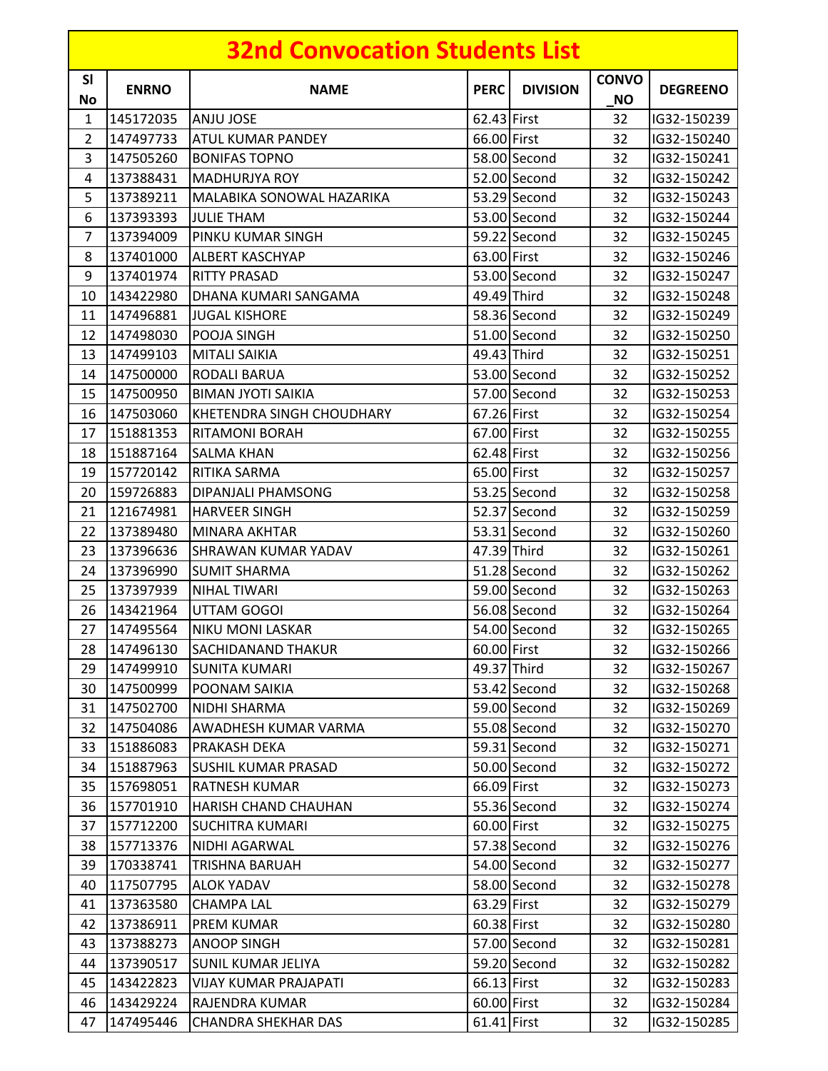|                 |                    | <b>32nd Convocation Students List</b> |             |                 |                           |                 |
|-----------------|--------------------|---------------------------------------|-------------|-----------------|---------------------------|-----------------|
| <b>SI</b><br>No | <b>ENRNO</b>       | <b>NAME</b>                           | <b>PERC</b> | <b>DIVISION</b> | <b>CONVO</b><br><b>NO</b> | <b>DEGREENO</b> |
| 1               | 145172035          | <b>ANJU JOSE</b>                      | 62.43 First |                 | 32                        | IG32-150239     |
| $\overline{2}$  | 147497733          | ATUL KUMAR PANDEY                     | 66.00 First |                 | 32                        | IG32-150240     |
| 3               | 147505260          | <b>BONIFAS TOPNO</b>                  |             | 58.00 Second    | 32                        | IG32-150241     |
| 4               | 137388431          | <b>MADHURJYA ROY</b>                  |             | 52.00 Second    | 32                        | IG32-150242     |
| 5               | 137389211          | <b>MALABIKA SONOWAL HAZARIKA</b>      |             | 53.29 Second    | 32                        | IG32-150243     |
| 6               | 137393393          | <b>JULIE THAM</b>                     |             | 53.00 Second    | 32                        | IG32-150244     |
| 7               | 137394009          | <b>PINKU KUMAR SINGH</b>              |             | 59.22 Second    | 32                        | IG32-150245     |
| 8               | 137401000          | <b>ALBERT KASCHYAP</b>                | 63.00 First |                 | 32                        | IG32-150246     |
| 9               | 137401974          | <b>RITTY PRASAD</b>                   |             | 53.00 Second    | 32                        | IG32-150247     |
| 10              | 143422980          | DHANA KUMARI SANGAMA                  |             | 49.49 Third     | 32                        | IG32-150248     |
| 11              | 147496881          | <b>JUGAL KISHORE</b>                  |             | 58.36 Second    | 32                        | IG32-150249     |
| 12              | 147498030          | POOJA SINGH                           |             | 51.00 Second    | 32                        | IG32-150250     |
| 13              | 147499103          | <b>MITALI SAIKIA</b>                  |             | 49.43 Third     | 32                        | IG32-150251     |
| 14              | 147500000          | <b>RODALI BARUA</b>                   |             | 53.00 Second    | 32                        | IG32-150252     |
| 15              | 147500950          | <b>BIMAN JYOTI SAIKIA</b>             |             | 57.00 Second    | 32                        | IG32-150253     |
| 16              | 147503060          | KHETENDRA SINGH CHOUDHARY             | 67.26 First |                 | 32                        | IG32-150254     |
| 17              | 151881353          | <b>RITAMONI BORAH</b>                 | 67.00 First |                 | 32                        | IG32-150255     |
| 18              | 151887164          | <b>SALMA KHAN</b>                     | 62.48 First |                 | 32                        | IG32-150256     |
| 19              | 157720142          | RITIKA SARMA                          | 65.00 First |                 | 32                        | IG32-150257     |
| 20              | 159726883          | DIPANJALI PHAMSONG                    |             | 53.25 Second    | 32                        | IG32-150258     |
| 21              | 121674981          | <b>HARVEER SINGH</b>                  |             | 52.37 Second    | 32                        | IG32-150259     |
| 22              | 137389480          | MINARA AKHTAR                         |             | 53.31 Second    | 32                        | IG32-150260     |
| 23              | 137396636          | <b>SHRAWAN KUMAR YADAV</b>            |             | 47.39 Third     | 32                        | IG32-150261     |
| 24              | 137396990          | <b>SUMIT SHARMA</b>                   |             | 51.28 Second    | 32                        | IG32-150262     |
| 25              | 137397939          | NIHAL TIWARI                          |             | 59.00 Second    | 32                        | IG32-150263     |
| 26              | 143421964          | UTTAM GOGOI                           |             | 56.08 Second    | 32                        | IG32-150264     |
| 27              | $\sqrt{147495564}$ | <b>NIKU MONI LASKAR</b>               |             | 54.00 Second    | 32                        | IG32-150265     |
| 28              | 147496130          | <b>SACHIDANAND THAKUR</b>             | 60.00 First |                 | 32                        | IG32-150266     |
| 29              | 147499910          | <b>SUNITA KUMARI</b>                  |             | 49.37 Third     | 32                        | IG32-150267     |
| 30              | 147500999          | POONAM SAIKIA                         |             | 53.42 Second    | 32                        | IG32-150268     |
| 31              | 147502700          | NIDHI SHARMA                          |             | 59.00 Second    | 32                        | IG32-150269     |
| 32              | 147504086          | AWADHESH KUMAR VARMA                  |             | 55.08 Second    | 32                        | IG32-150270     |
| 33              | 151886083          | PRAKASH DEKA                          |             | 59.31 Second    | 32                        | IG32-150271     |
| 34              | 151887963          | <b>SUSHIL KUMAR PRASAD</b>            |             | 50.00 Second    | 32                        | IG32-150272     |
| 35              | 157698051          | <b>RATNESH KUMAR</b>                  | 66.09 First |                 | 32                        | IG32-150273     |
| 36              | 157701910          | <b>HARISH CHAND CHAUHAN</b>           |             | 55.36 Second    | 32                        | IG32-150274     |
| 37              | 157712200          | <b>SUCHITRA KUMARI</b>                | 60.00 First |                 | 32                        | IG32-150275     |
| 38              | 157713376          | <b>NIDHI AGARWAL</b>                  |             | 57.38 Second    | 32                        | IG32-150276     |
| 39              | 170338741          | TRISHNA BARUAH                        |             | 54.00 Second    | 32                        | IG32-150277     |
| 40              | 117507795          | <b>ALOK YADAV</b>                     |             | 58.00 Second    | 32                        | IG32-150278     |
| 41              | 137363580          | <b>CHAMPA LAL</b>                     | 63.29 First |                 | 32                        | IG32-150279     |
| 42              | 137386911          | PREM KUMAR                            | 60.38 First |                 | 32                        | IG32-150280     |
| 43              | 137388273          | <b>ANOOP SINGH</b>                    |             | 57.00 Second    | 32                        | IG32-150281     |
| 44              | 137390517          | <b>SUNIL KUMAR JELIYA</b>             |             | 59.20 Second    | 32                        | IG32-150282     |
| 45              | 143422823          | <b>VIJAY KUMAR PRAJAPATI</b>          | 66.13 First |                 | 32                        | IG32-150283     |
| 46              | 143429224          | RAJENDRA KUMAR                        | 60.00 First |                 | 32                        | IG32-150284     |
| 47              | 147495446          | <b>CHANDRA SHEKHAR DAS</b>            | 61.41 First |                 | 32                        | IG32-150285     |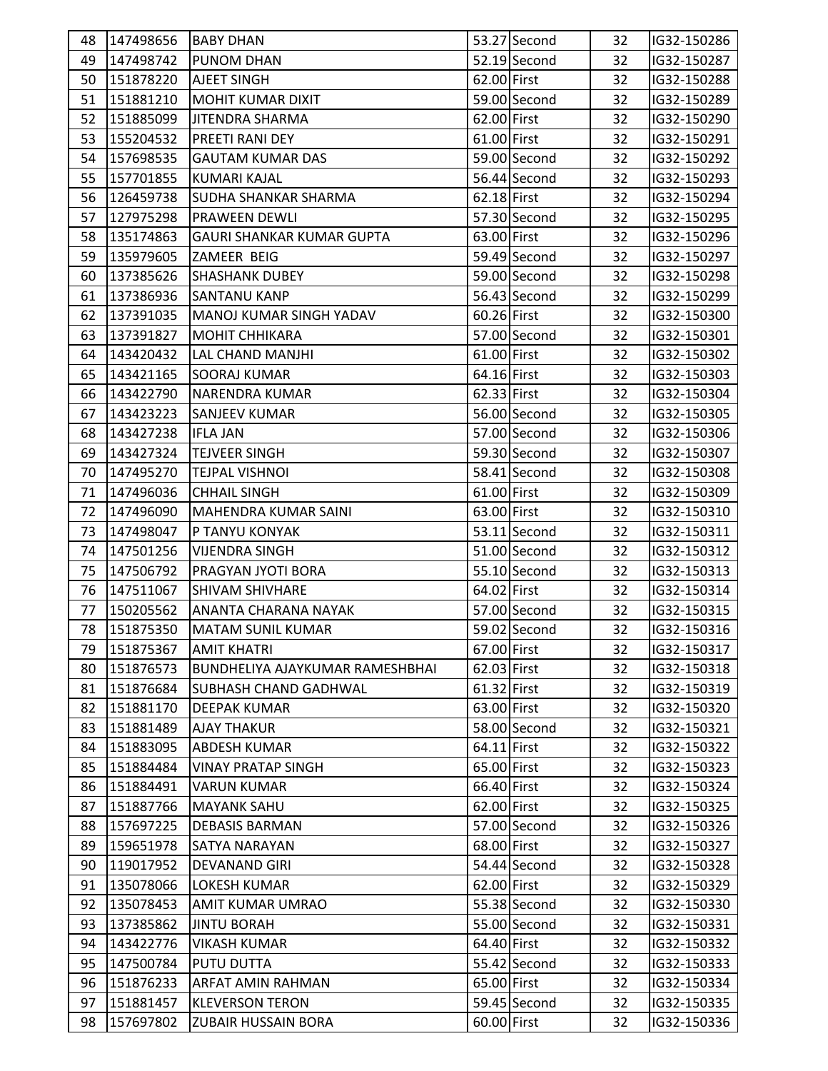| 48 | 147498656 | <b>BABY DHAN</b>                       |             | 53.27 Second   | 32 | IG32-150286 |  |
|----|-----------|----------------------------------------|-------------|----------------|----|-------------|--|
| 49 | 147498742 | PUNOM DHAN                             |             | $52.19$ Second | 32 | IG32-150287 |  |
| 50 | 151878220 | <b>AJEET SINGH</b>                     | 62.00 First |                | 32 | IG32-150288 |  |
| 51 | 151881210 | MOHIT KUMAR DIXIT                      |             | 59.00 Second   | 32 | IG32-150289 |  |
| 52 | 151885099 | JITENDRA SHARMA                        | 62.00 First |                | 32 | IG32-150290 |  |
| 53 | 155204532 | PREETI RANI DEY                        | 61.00 First |                | 32 | IG32-150291 |  |
| 54 | 157698535 | <b>GAUTAM KUMAR DAS</b>                |             | 59.00 Second   | 32 | IG32-150292 |  |
| 55 | 157701855 | <b>KUMARI KAJAL</b>                    |             | 56.44 Second   | 32 | IG32-150293 |  |
| 56 | 126459738 | <b>SUDHA SHANKAR SHARMA</b>            | 62.18 First |                | 32 | IG32-150294 |  |
| 57 | 127975298 | PRAWEEN DEWLI                          |             | 57.30 Second   | 32 | IG32-150295 |  |
| 58 | 135174863 | <b>GAURI SHANKAR KUMAR GUPTA</b>       | 63.00 First |                | 32 | IG32-150296 |  |
| 59 | 135979605 | ZAMEER BEIG                            |             | 59.49 Second   | 32 | IG32-150297 |  |
| 60 | 137385626 | <b>SHASHANK DUBEY</b>                  |             | 59.00 Second   | 32 | IG32-150298 |  |
| 61 | 137386936 | <b>SANTANU KANP</b>                    |             | 56.43 Second   | 32 | IG32-150299 |  |
| 62 | 137391035 | <b>MANOJ KUMAR SINGH YADAV</b>         | 60.26 First |                | 32 | IG32-150300 |  |
| 63 | 137391827 | <b>MOHIT CHHIKARA</b>                  |             | 57.00 Second   | 32 | IG32-150301 |  |
| 64 | 143420432 | LAL CHAND MANJHI                       | 61.00 First |                | 32 | IG32-150302 |  |
| 65 | 143421165 | <b>SOORAJ KUMAR</b>                    | 64.16 First |                | 32 | IG32-150303 |  |
| 66 | 143422790 | <b>NARENDRA KUMAR</b>                  | 62.33 First |                | 32 | IG32-150304 |  |
| 67 | 143423223 | <b>SANJEEV KUMAR</b>                   |             | 56.00 Second   | 32 | IG32-150305 |  |
| 68 | 143427238 | <b>IFLA JAN</b>                        |             | 57.00 Second   | 32 | IG32-150306 |  |
| 69 | 143427324 | <b>TEJVEER SINGH</b>                   |             | 59.30 Second   | 32 | IG32-150307 |  |
| 70 | 147495270 | <b>TEJPAL VISHNOI</b>                  |             | 58.41 Second   | 32 | IG32-150308 |  |
| 71 | 147496036 | <b>CHHAIL SINGH</b>                    | 61.00 First |                | 32 | IG32-150309 |  |
| 72 | 147496090 | <b>MAHENDRA KUMAR SAINI</b>            | 63.00 First |                | 32 | IG32-150310 |  |
| 73 | 147498047 | P TANYU KONYAK                         |             | $53.11$ Second | 32 | IG32-150311 |  |
| 74 | 147501256 | VIJENDRA SINGH                         |             | 51.00 Second   | 32 | IG32-150312 |  |
| 75 | 147506792 | PRAGYAN JYOTI BORA                     |             | 55.10 Second   | 32 | IG32-150313 |  |
| 76 | 147511067 | <b>SHIVAM SHIVHARE</b>                 | 64.02 First |                | 32 | IG32-150314 |  |
| 77 | 150205562 | <b>ANANTA CHARANA NAYAK</b>            |             | 57.00 Second   | 32 | IG32-150315 |  |
| 78 | 151875350 | <b>MATAM SUNIL KUMAR</b>               |             | 59.02 Second   | 32 | IG32-150316 |  |
| 79 | 151875367 | <b>AMIT KHATRI</b>                     | 67.00 First |                | 32 | IG32-150317 |  |
| 80 | 151876573 | <b>BUNDHELIYA AJAYKUMAR RAMESHBHAI</b> | 62.03 First |                | 32 | IG32-150318 |  |
| 81 | 151876684 | SUBHASH CHAND GADHWAL                  | 61.32 First |                | 32 | IG32-150319 |  |
| 82 | 151881170 | <b>DEEPAK KUMAR</b>                    | 63.00 First |                | 32 | IG32-150320 |  |
| 83 | 151881489 | <b>AJAY THAKUR</b>                     |             | 58.00 Second   | 32 | IG32-150321 |  |
| 84 | 151883095 | <b>ABDESH KUMAR</b>                    | 64.11 First |                | 32 | IG32-150322 |  |
| 85 | 151884484 | <b>VINAY PRATAP SINGH</b>              | 65.00 First |                | 32 | IG32-150323 |  |
| 86 | 151884491 | <b>VARUN KUMAR</b>                     | 66.40 First |                | 32 | IG32-150324 |  |
| 87 | 151887766 | <b>MAYANK SAHU</b>                     | 62.00 First |                | 32 | IG32-150325 |  |
| 88 | 157697225 | <b>DEBASIS BARMAN</b>                  |             | 57.00 Second   | 32 | IG32-150326 |  |
| 89 | 159651978 | <b>SATYA NARAYAN</b>                   | 68.00 First |                | 32 | IG32-150327 |  |
| 90 | 119017952 | <b>DEVANAND GIRI</b>                   |             | 54.44 Second   | 32 | IG32-150328 |  |
| 91 | 135078066 | <b>LOKESH KUMAR</b>                    | 62.00 First |                | 32 | IG32-150329 |  |
| 92 | 135078453 | <b>AMIT KUMAR UMRAO</b>                |             | 55.38 Second   | 32 | IG32-150330 |  |
| 93 | 137385862 | <b>JINTU BORAH</b>                     |             | 55.00 Second   | 32 | IG32-150331 |  |
| 94 | 143422776 | <b>VIKASH KUMAR</b>                    | 64.40 First |                | 32 | IG32-150332 |  |
| 95 | 147500784 | <b>PUTU DUTTA</b>                      |             | 55.42 Second   | 32 | IG32-150333 |  |
| 96 | 151876233 | <b>ARFAT AMIN RAHMAN</b>               | 65.00 First |                | 32 | IG32-150334 |  |
| 97 | 151881457 | <b>KLEVERSON TERON</b>                 |             | 59.45 Second   | 32 | IG32-150335 |  |
| 98 | 157697802 | <b>ZUBAIR HUSSAIN BORA</b>             | 60.00 First |                | 32 | IG32-150336 |  |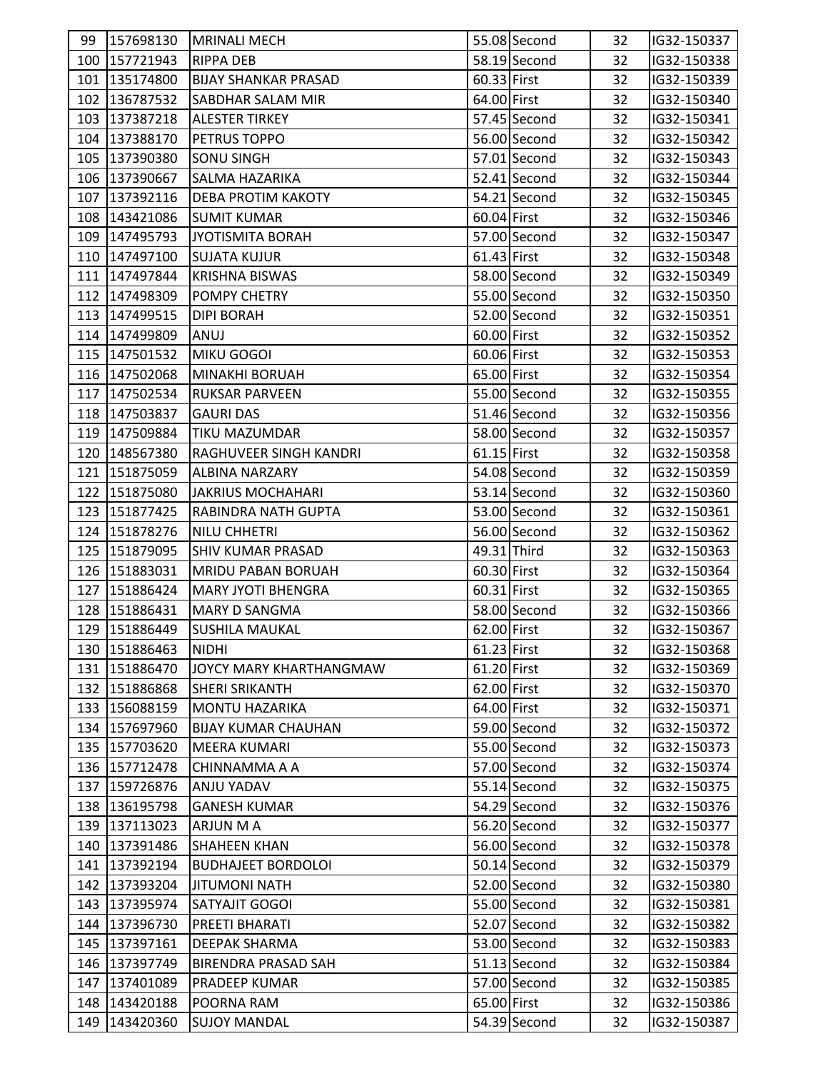| 99 | 157698130     | <b>MRINALI MECH</b>         |               | 55.08 Second   | 32 | IG32-150337 |  |
|----|---------------|-----------------------------|---------------|----------------|----|-------------|--|
|    | 100 157721943 | <b>RIPPA DEB</b>            |               | 58.19 Second   | 32 | IG32-150338 |  |
|    | 101 135174800 | <b>BIJAY SHANKAR PRASAD</b> | 60.33 First   |                | 32 | IG32-150339 |  |
|    | 102 136787532 | SABDHAR SALAM MIR           | 64.00 First   |                | 32 | IG32-150340 |  |
|    | 103 137387218 | <b>ALESTER TIRKEY</b>       |               | 57.45 Second   | 32 | IG32-150341 |  |
|    | 104 137388170 | PETRUS TOPPO                |               | 56.00 Second   | 32 | IG32-150342 |  |
|    | 105 137390380 | <b>SONU SINGH</b>           |               | 57.01 Second   | 32 | IG32-150343 |  |
|    | 106 137390667 | <b>SALMA HAZARIKA</b>       |               | 52.41 Second   | 32 | IG32-150344 |  |
|    | 107 137392116 | <b>DEBA PROTIM KAKOTY</b>   |               | 54.21 Second   | 32 | IG32-150345 |  |
|    | 108 143421086 | <b>SUMIT KUMAR</b>          | 60.04 First   |                | 32 | IG32-150346 |  |
|    | 109 147495793 | JYOTISMITA BORAH            |               | 57.00 Second   | 32 | IG32-150347 |  |
|    | 110 147497100 | <b>SUJATA KUJUR</b>         | 61.43 First   |                | 32 | IG32-150348 |  |
|    | 111 147497844 | <b>KRISHNA BISWAS</b>       |               | 58.00 Second   | 32 | IG32-150349 |  |
|    | 112 147498309 | POMPY CHETRY                |               | 55.00 Second   | 32 | IG32-150350 |  |
|    | 113 147499515 | <b>DIPI BORAH</b>           |               | 52.00 Second   | 32 | IG32-150351 |  |
|    | 114 147499809 | ANUJ                        | 60.00 First   |                | 32 | IG32-150352 |  |
|    | 115 147501532 | MIKU GOGOI                  | 60.06 First   |                | 32 | IG32-150353 |  |
|    | 116 147502068 | MINAKHI BORUAH              | 65.00 First   |                | 32 | IG32-150354 |  |
|    | 117 147502534 | <b>RUKSAR PARVEEN</b>       |               | 55.00 Second   | 32 | IG32-150355 |  |
|    | 118 147503837 | <b>GAURI DAS</b>            |               | 51.46 Second   | 32 | IG32-150356 |  |
|    | 119 147509884 | <b>TIKU MAZUMDAR</b>        |               | 58.00 Second   | 32 | IG32-150357 |  |
|    | 120 148567380 | RAGHUVEER SINGH KANDRI      | $61.15$ First |                | 32 | IG32-150358 |  |
|    | 121 151875059 | <b>ALBINA NARZARY</b>       |               | 54.08 Second   | 32 | IG32-150359 |  |
|    | 122 151875080 | <b>JAKRIUS MOCHAHARI</b>    |               | 53.14 Second   | 32 | IG32-150360 |  |
|    | 123 151877425 | RABINDRA NATH GUPTA         |               | 53.00 Second   | 32 | IG32-150361 |  |
|    | 124 151878276 | <b>NILU CHHETRI</b>         |               | 56.00 Second   | 32 | IG32-150362 |  |
|    | 125 151879095 | <b>SHIV KUMAR PRASAD</b>    |               | 49.31 Third    | 32 | IG32-150363 |  |
|    | 126 151883031 | <b>MRIDU PABAN BORUAH</b>   | 60.30 First   |                | 32 | IG32-150364 |  |
|    | 127 151886424 | <b>MARY JYOTI BHENGRA</b>   | 60.31 First   |                | 32 | IG32-150365 |  |
|    | 128 151886431 | MARY D SANGMA               |               | 58.00 Second   | 32 | IG32-150366 |  |
|    | 129 151886449 | <b>SUSHILA MAUKAL</b>       | 62.00 First   |                | 32 | IG32-150367 |  |
|    | 130 151886463 | <b>NIDHI</b>                | 61.23 First   |                | 32 | IG32-150368 |  |
|    | 131 151886470 | JOYCY MARY KHARTHANGMAW     | 61.20 First   |                | 32 | IG32-150369 |  |
|    | 132 151886868 | <b>SHERI SRIKANTH</b>       | 62.00 First   |                | 32 | IG32-150370 |  |
|    | 133 156088159 | <b>MONTU HAZARIKA</b>       | 64.00 First   |                | 32 | IG32-150371 |  |
|    | 134 157697960 | <b>BIJAY KUMAR CHAUHAN</b>  |               | 59.00 Second   | 32 | IG32-150372 |  |
|    | 135 157703620 | <b>MEERA KUMARI</b>         |               | 55.00 Second   | 32 | IG32-150373 |  |
|    | 136 157712478 | CHINNAMMA A A               |               | 57.00 Second   | 32 | IG32-150374 |  |
|    | 137 159726876 | <b>ANJU YADAV</b>           |               | 55.14 Second   | 32 | IG32-150375 |  |
|    | 138 136195798 | <b>GANESH KUMAR</b>         |               | 54.29 Second   | 32 | IG32-150376 |  |
|    | 139 137113023 | ARJUN M A                   |               | 56.20 Second   | 32 | IG32-150377 |  |
|    | 140 137391486 | <b>SHAHEEN KHAN</b>         |               | 56.00 Second   | 32 | IG32-150378 |  |
|    | 141 137392194 | <b>BUDHAJEET BORDOLOI</b>   |               | $50.14$ Second | 32 | IG32-150379 |  |
|    | 142 137393204 | <b>JITUMONI NATH</b>        |               | 52.00 Second   | 32 | IG32-150380 |  |
|    | 143 137395974 | SATYAJIT GOGOI              |               | 55.00 Second   | 32 | IG32-150381 |  |
|    | 144 137396730 | PREETI BHARATI              |               | 52.07 Second   | 32 | IG32-150382 |  |
|    | 145 137397161 | <b>DEEPAK SHARMA</b>        |               | 53.00 Second   | 32 | IG32-150383 |  |
|    | 146 137397749 | <b>BIRENDRA PRASAD SAH</b>  |               | $51.13$ Second | 32 | IG32-150384 |  |
|    | 147 137401089 | PRADEEP KUMAR               |               | 57.00 Second   | 32 | IG32-150385 |  |
|    | 148 143420188 | POORNA RAM                  | 65.00 First   |                | 32 | IG32-150386 |  |
|    | 149 143420360 | <b>SUJOY MANDAL</b>         |               | 54.39 Second   | 32 | IG32-150387 |  |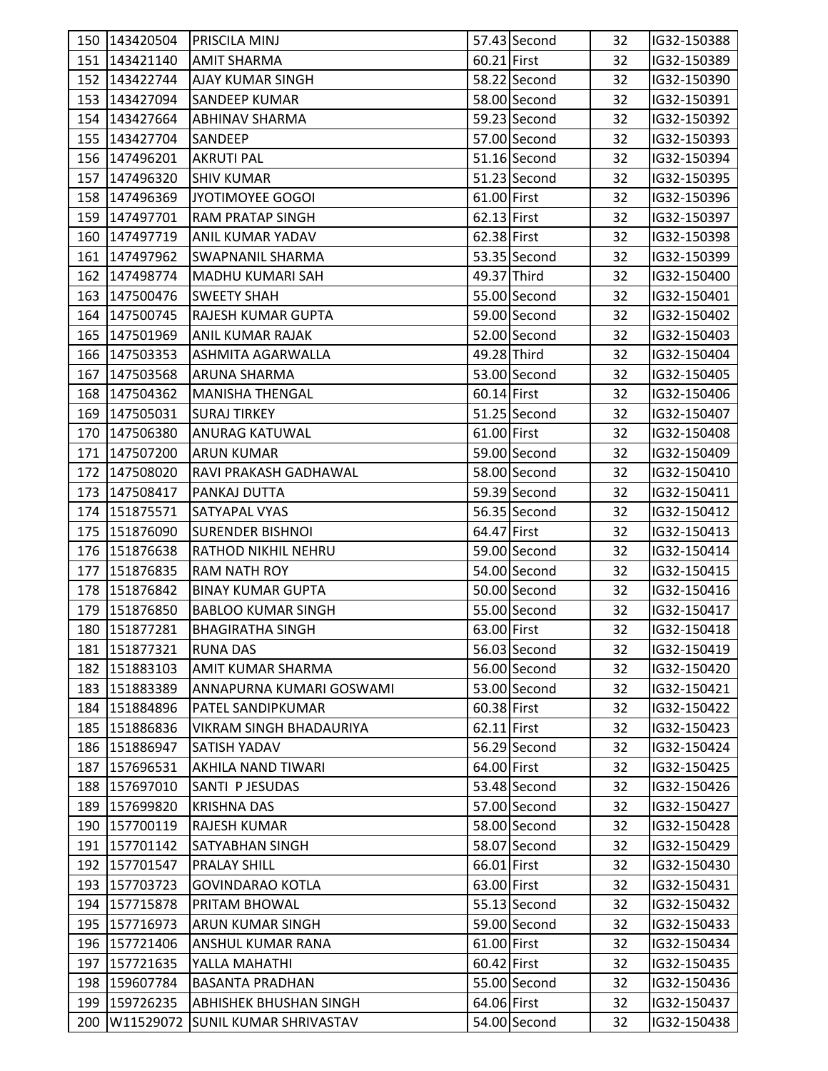| 60.21 First<br>151 143421140<br>32<br>IG32-150389<br>AMIT SHARMA<br>58.22 Second<br>152 143422744<br><b>AJAY KUMAR SINGH</b><br>32<br>IG32-150390<br>153 143427094<br>58.00 Second<br><b>SANDEEP KUMAR</b><br>32<br>IG32-150391<br>59.23 Second<br>32<br>154 143427664<br><b>ABHINAV SHARMA</b><br>IG32-150392<br>57.00 Second<br>155 143427704<br>32<br>IG32-150393<br>SANDEEP<br>$51.16$ Second<br>156 147496201<br>32<br>IG32-150394<br>AKRUTI PAL<br>51.23 Second<br>157 147496320<br><b>SHIV KUMAR</b><br>32<br>IG32-150395<br>158 147496369<br>JYOTIMOYEE GOGOI<br>61.00 First<br>32<br>IG32-150396<br>159 147497701<br>62.13 First<br>32<br>IG32-150397<br><b>RAM PRATAP SINGH</b><br>62.38 First<br>160 147497719<br>32<br>IG32-150398<br><b>ANIL KUMAR YADAV</b><br>53.35 Second<br>161 147497962<br>32<br><b>SWAPNANIL SHARMA</b><br>IG32-150399<br>162 147498774<br>49.37 Third<br>MADHU KUMARI SAH<br>32<br>IG32-150400<br>163 147500476<br>55.00 Second<br><b>SWEETY SHAH</b><br>32<br>IG32-150401<br>59.00 Second<br>164 147500745<br><b>RAJESH KUMAR GUPTA</b><br>32<br>IG32-150402<br>52.00 Second<br>165 147501969<br>IG32-150403<br><b>ANIL KUMAR RAJAK</b><br>32<br>49.28 Third<br>166 147503353<br>ASHMITA AGARWALLA<br>32<br>IG32-150404<br>53.00 Second<br>167 147503568<br>32<br>IG32-150405<br><b>ARUNA SHARMA</b><br>168 147504362<br>60.14 First<br>32<br>IG32-150406<br><b>MANISHA THENGAL</b><br>$51.25$ Second<br>169 147505031<br><b>SURAJ TIRKEY</b><br>32<br>IG32-150407<br>61.00 First<br>170 147506380<br><b>ANURAG KATUWAL</b><br>32<br>IG32-150408<br>59.00 Second<br>171 147507200<br>IG32-150409<br><b>ARUN KUMAR</b><br>32<br>172 147508020<br>RAVI PRAKASH GADHAWAL<br>58.00 Second<br>32<br>IG32-150410<br>59.39 Second<br>173 147508417<br>PANKAJ DUTTA<br>32<br>IG32-150411<br>56.35 Second<br>174 151875571<br>SATYAPAL VYAS<br>32<br>IG32-150412<br>175 151876090<br>64.47 First<br>32<br>IG32-150413<br><b>SURENDER BISHNOI</b><br>59.00 Second<br>176 151876638<br>RATHOD NIKHIL NEHRU<br>32<br>IG32-150414<br>177 151876835<br>54.00 Second<br><b>RAM NATH ROY</b><br>32<br>IG32-150415<br>50.00 Second<br>178 151876842<br><b>BINAY KUMAR GUPTA</b><br>32<br>IG32-150416<br>55.00 Second<br>179 151876850<br>32<br>IG32-150417<br><b>BABLOO KUMAR SINGH</b><br>63.00 First<br>180 151877281<br>32<br>IG32-150418<br><b>BHAGIRATHA SINGH</b><br>56.03 Second<br>181 151877321<br><b>RUNA DAS</b><br>32<br>IG32-150419<br>56.00 Second<br>182 151883103<br><b>AMIT KUMAR SHARMA</b><br>32<br>IG32-150420<br>183 151883389<br>53.00 Second<br>32<br>IG32-150421<br>ANNAPURNA KUMARI GOSWAMI<br>60.38 First<br>184 151884896<br>PATEL SANDIPKUMAR<br>32<br>IG32-150422<br>185 151886836<br>$62.11$ First<br><b>VIKRAM SINGH BHADAURIYA</b><br>32<br>IG32-150423<br>56.29 Second<br>186 151886947<br>32<br>IG32-150424<br>SATISH YADAV<br>64.00 First<br>187 157696531<br><b>AKHILA NAND TIWARI</b><br>32<br>IG32-150425<br>53.48 Second<br>188 157697010<br>SANTI P JESUDAS<br>32<br>IG32-150426<br>57.00 Second<br>189 157699820<br>IG32-150427<br><b>KRISHNA DAS</b><br>32<br>58.00 Second<br>190 157700119<br>32<br>IG32-150428<br>RAJESH KUMAR<br>191 157701142<br>58.07 Second<br>32<br>IG32-150429<br><b>SATYABHAN SINGH</b><br>66.01 First<br>192 157701547<br><b>PRALAY SHILL</b><br>32<br>IG32-150430<br>63.00 First<br>193 157703723<br><b>GOVINDARAO KOTLA</b><br>32<br>IG32-150431<br>55.13 Second<br>194 157715878<br><b>PRITAM BHOWAL</b><br>32<br>IG32-150432<br>59.00 Second<br>195 157716973<br><b>ARUN KUMAR SINGH</b><br>32<br>IG32-150433<br>61.00 First<br>196 157721406<br>ANSHUL KUMAR RANA<br>32<br>IG32-150434<br>60.42 First<br>197 157721635<br>YALLA MAHATHI<br>32<br>IG32-150435<br>55.00 Second<br>198 159607784<br><b>BASANTA PRADHAN</b><br>IG32-150436<br>32<br>64.06 First<br>199 159726235<br>32<br>IG32-150437<br>ABHISHEK BHUSHAN SINGH<br>54.00 Second<br>200<br>W11529072<br><b>SUNIL KUMAR SHRIVASTAV</b><br>32<br>IG32-150438 | 150 143420504 | <b>PRISCILA MINJ</b> | 57.43 Second | 32 | IG32-150388 |
|---------------------------------------------------------------------------------------------------------------------------------------------------------------------------------------------------------------------------------------------------------------------------------------------------------------------------------------------------------------------------------------------------------------------------------------------------------------------------------------------------------------------------------------------------------------------------------------------------------------------------------------------------------------------------------------------------------------------------------------------------------------------------------------------------------------------------------------------------------------------------------------------------------------------------------------------------------------------------------------------------------------------------------------------------------------------------------------------------------------------------------------------------------------------------------------------------------------------------------------------------------------------------------------------------------------------------------------------------------------------------------------------------------------------------------------------------------------------------------------------------------------------------------------------------------------------------------------------------------------------------------------------------------------------------------------------------------------------------------------------------------------------------------------------------------------------------------------------------------------------------------------------------------------------------------------------------------------------------------------------------------------------------------------------------------------------------------------------------------------------------------------------------------------------------------------------------------------------------------------------------------------------------------------------------------------------------------------------------------------------------------------------------------------------------------------------------------------------------------------------------------------------------------------------------------------------------------------------------------------------------------------------------------------------------------------------------------------------------------------------------------------------------------------------------------------------------------------------------------------------------------------------------------------------------------------------------------------------------------------------------------------------------------------------------------------------------------------------------------------------------------------------------------------------------------------------------------------------------------------------------------------------------------------------------------------------------------------------------------------------------------------------------------------------------------------------------------------------------------------------------------------------------------------------------------------------------------------------------------------------------------------------------------------------------------------------------------------------------------------------------------------------------------------------------------------------------------------------------------------------------------------------------------------------------------------------------------------------------------------------------------------------|---------------|----------------------|--------------|----|-------------|
|                                                                                                                                                                                                                                                                                                                                                                                                                                                                                                                                                                                                                                                                                                                                                                                                                                                                                                                                                                                                                                                                                                                                                                                                                                                                                                                                                                                                                                                                                                                                                                                                                                                                                                                                                                                                                                                                                                                                                                                                                                                                                                                                                                                                                                                                                                                                                                                                                                                                                                                                                                                                                                                                                                                                                                                                                                                                                                                                                                                                                                                                                                                                                                                                                                                                                                                                                                                                                                                                                                                                                                                                                                                                                                                                                                                                                                                                                                                                                                                                                     |               |                      |              |    |             |
|                                                                                                                                                                                                                                                                                                                                                                                                                                                                                                                                                                                                                                                                                                                                                                                                                                                                                                                                                                                                                                                                                                                                                                                                                                                                                                                                                                                                                                                                                                                                                                                                                                                                                                                                                                                                                                                                                                                                                                                                                                                                                                                                                                                                                                                                                                                                                                                                                                                                                                                                                                                                                                                                                                                                                                                                                                                                                                                                                                                                                                                                                                                                                                                                                                                                                                                                                                                                                                                                                                                                                                                                                                                                                                                                                                                                                                                                                                                                                                                                                     |               |                      |              |    |             |
|                                                                                                                                                                                                                                                                                                                                                                                                                                                                                                                                                                                                                                                                                                                                                                                                                                                                                                                                                                                                                                                                                                                                                                                                                                                                                                                                                                                                                                                                                                                                                                                                                                                                                                                                                                                                                                                                                                                                                                                                                                                                                                                                                                                                                                                                                                                                                                                                                                                                                                                                                                                                                                                                                                                                                                                                                                                                                                                                                                                                                                                                                                                                                                                                                                                                                                                                                                                                                                                                                                                                                                                                                                                                                                                                                                                                                                                                                                                                                                                                                     |               |                      |              |    |             |
|                                                                                                                                                                                                                                                                                                                                                                                                                                                                                                                                                                                                                                                                                                                                                                                                                                                                                                                                                                                                                                                                                                                                                                                                                                                                                                                                                                                                                                                                                                                                                                                                                                                                                                                                                                                                                                                                                                                                                                                                                                                                                                                                                                                                                                                                                                                                                                                                                                                                                                                                                                                                                                                                                                                                                                                                                                                                                                                                                                                                                                                                                                                                                                                                                                                                                                                                                                                                                                                                                                                                                                                                                                                                                                                                                                                                                                                                                                                                                                                                                     |               |                      |              |    |             |
|                                                                                                                                                                                                                                                                                                                                                                                                                                                                                                                                                                                                                                                                                                                                                                                                                                                                                                                                                                                                                                                                                                                                                                                                                                                                                                                                                                                                                                                                                                                                                                                                                                                                                                                                                                                                                                                                                                                                                                                                                                                                                                                                                                                                                                                                                                                                                                                                                                                                                                                                                                                                                                                                                                                                                                                                                                                                                                                                                                                                                                                                                                                                                                                                                                                                                                                                                                                                                                                                                                                                                                                                                                                                                                                                                                                                                                                                                                                                                                                                                     |               |                      |              |    |             |
|                                                                                                                                                                                                                                                                                                                                                                                                                                                                                                                                                                                                                                                                                                                                                                                                                                                                                                                                                                                                                                                                                                                                                                                                                                                                                                                                                                                                                                                                                                                                                                                                                                                                                                                                                                                                                                                                                                                                                                                                                                                                                                                                                                                                                                                                                                                                                                                                                                                                                                                                                                                                                                                                                                                                                                                                                                                                                                                                                                                                                                                                                                                                                                                                                                                                                                                                                                                                                                                                                                                                                                                                                                                                                                                                                                                                                                                                                                                                                                                                                     |               |                      |              |    |             |
|                                                                                                                                                                                                                                                                                                                                                                                                                                                                                                                                                                                                                                                                                                                                                                                                                                                                                                                                                                                                                                                                                                                                                                                                                                                                                                                                                                                                                                                                                                                                                                                                                                                                                                                                                                                                                                                                                                                                                                                                                                                                                                                                                                                                                                                                                                                                                                                                                                                                                                                                                                                                                                                                                                                                                                                                                                                                                                                                                                                                                                                                                                                                                                                                                                                                                                                                                                                                                                                                                                                                                                                                                                                                                                                                                                                                                                                                                                                                                                                                                     |               |                      |              |    |             |
|                                                                                                                                                                                                                                                                                                                                                                                                                                                                                                                                                                                                                                                                                                                                                                                                                                                                                                                                                                                                                                                                                                                                                                                                                                                                                                                                                                                                                                                                                                                                                                                                                                                                                                                                                                                                                                                                                                                                                                                                                                                                                                                                                                                                                                                                                                                                                                                                                                                                                                                                                                                                                                                                                                                                                                                                                                                                                                                                                                                                                                                                                                                                                                                                                                                                                                                                                                                                                                                                                                                                                                                                                                                                                                                                                                                                                                                                                                                                                                                                                     |               |                      |              |    |             |
|                                                                                                                                                                                                                                                                                                                                                                                                                                                                                                                                                                                                                                                                                                                                                                                                                                                                                                                                                                                                                                                                                                                                                                                                                                                                                                                                                                                                                                                                                                                                                                                                                                                                                                                                                                                                                                                                                                                                                                                                                                                                                                                                                                                                                                                                                                                                                                                                                                                                                                                                                                                                                                                                                                                                                                                                                                                                                                                                                                                                                                                                                                                                                                                                                                                                                                                                                                                                                                                                                                                                                                                                                                                                                                                                                                                                                                                                                                                                                                                                                     |               |                      |              |    |             |
|                                                                                                                                                                                                                                                                                                                                                                                                                                                                                                                                                                                                                                                                                                                                                                                                                                                                                                                                                                                                                                                                                                                                                                                                                                                                                                                                                                                                                                                                                                                                                                                                                                                                                                                                                                                                                                                                                                                                                                                                                                                                                                                                                                                                                                                                                                                                                                                                                                                                                                                                                                                                                                                                                                                                                                                                                                                                                                                                                                                                                                                                                                                                                                                                                                                                                                                                                                                                                                                                                                                                                                                                                                                                                                                                                                                                                                                                                                                                                                                                                     |               |                      |              |    |             |
|                                                                                                                                                                                                                                                                                                                                                                                                                                                                                                                                                                                                                                                                                                                                                                                                                                                                                                                                                                                                                                                                                                                                                                                                                                                                                                                                                                                                                                                                                                                                                                                                                                                                                                                                                                                                                                                                                                                                                                                                                                                                                                                                                                                                                                                                                                                                                                                                                                                                                                                                                                                                                                                                                                                                                                                                                                                                                                                                                                                                                                                                                                                                                                                                                                                                                                                                                                                                                                                                                                                                                                                                                                                                                                                                                                                                                                                                                                                                                                                                                     |               |                      |              |    |             |
|                                                                                                                                                                                                                                                                                                                                                                                                                                                                                                                                                                                                                                                                                                                                                                                                                                                                                                                                                                                                                                                                                                                                                                                                                                                                                                                                                                                                                                                                                                                                                                                                                                                                                                                                                                                                                                                                                                                                                                                                                                                                                                                                                                                                                                                                                                                                                                                                                                                                                                                                                                                                                                                                                                                                                                                                                                                                                                                                                                                                                                                                                                                                                                                                                                                                                                                                                                                                                                                                                                                                                                                                                                                                                                                                                                                                                                                                                                                                                                                                                     |               |                      |              |    |             |
|                                                                                                                                                                                                                                                                                                                                                                                                                                                                                                                                                                                                                                                                                                                                                                                                                                                                                                                                                                                                                                                                                                                                                                                                                                                                                                                                                                                                                                                                                                                                                                                                                                                                                                                                                                                                                                                                                                                                                                                                                                                                                                                                                                                                                                                                                                                                                                                                                                                                                                                                                                                                                                                                                                                                                                                                                                                                                                                                                                                                                                                                                                                                                                                                                                                                                                                                                                                                                                                                                                                                                                                                                                                                                                                                                                                                                                                                                                                                                                                                                     |               |                      |              |    |             |
|                                                                                                                                                                                                                                                                                                                                                                                                                                                                                                                                                                                                                                                                                                                                                                                                                                                                                                                                                                                                                                                                                                                                                                                                                                                                                                                                                                                                                                                                                                                                                                                                                                                                                                                                                                                                                                                                                                                                                                                                                                                                                                                                                                                                                                                                                                                                                                                                                                                                                                                                                                                                                                                                                                                                                                                                                                                                                                                                                                                                                                                                                                                                                                                                                                                                                                                                                                                                                                                                                                                                                                                                                                                                                                                                                                                                                                                                                                                                                                                                                     |               |                      |              |    |             |
|                                                                                                                                                                                                                                                                                                                                                                                                                                                                                                                                                                                                                                                                                                                                                                                                                                                                                                                                                                                                                                                                                                                                                                                                                                                                                                                                                                                                                                                                                                                                                                                                                                                                                                                                                                                                                                                                                                                                                                                                                                                                                                                                                                                                                                                                                                                                                                                                                                                                                                                                                                                                                                                                                                                                                                                                                                                                                                                                                                                                                                                                                                                                                                                                                                                                                                                                                                                                                                                                                                                                                                                                                                                                                                                                                                                                                                                                                                                                                                                                                     |               |                      |              |    |             |
|                                                                                                                                                                                                                                                                                                                                                                                                                                                                                                                                                                                                                                                                                                                                                                                                                                                                                                                                                                                                                                                                                                                                                                                                                                                                                                                                                                                                                                                                                                                                                                                                                                                                                                                                                                                                                                                                                                                                                                                                                                                                                                                                                                                                                                                                                                                                                                                                                                                                                                                                                                                                                                                                                                                                                                                                                                                                                                                                                                                                                                                                                                                                                                                                                                                                                                                                                                                                                                                                                                                                                                                                                                                                                                                                                                                                                                                                                                                                                                                                                     |               |                      |              |    |             |
|                                                                                                                                                                                                                                                                                                                                                                                                                                                                                                                                                                                                                                                                                                                                                                                                                                                                                                                                                                                                                                                                                                                                                                                                                                                                                                                                                                                                                                                                                                                                                                                                                                                                                                                                                                                                                                                                                                                                                                                                                                                                                                                                                                                                                                                                                                                                                                                                                                                                                                                                                                                                                                                                                                                                                                                                                                                                                                                                                                                                                                                                                                                                                                                                                                                                                                                                                                                                                                                                                                                                                                                                                                                                                                                                                                                                                                                                                                                                                                                                                     |               |                      |              |    |             |
|                                                                                                                                                                                                                                                                                                                                                                                                                                                                                                                                                                                                                                                                                                                                                                                                                                                                                                                                                                                                                                                                                                                                                                                                                                                                                                                                                                                                                                                                                                                                                                                                                                                                                                                                                                                                                                                                                                                                                                                                                                                                                                                                                                                                                                                                                                                                                                                                                                                                                                                                                                                                                                                                                                                                                                                                                                                                                                                                                                                                                                                                                                                                                                                                                                                                                                                                                                                                                                                                                                                                                                                                                                                                                                                                                                                                                                                                                                                                                                                                                     |               |                      |              |    |             |
|                                                                                                                                                                                                                                                                                                                                                                                                                                                                                                                                                                                                                                                                                                                                                                                                                                                                                                                                                                                                                                                                                                                                                                                                                                                                                                                                                                                                                                                                                                                                                                                                                                                                                                                                                                                                                                                                                                                                                                                                                                                                                                                                                                                                                                                                                                                                                                                                                                                                                                                                                                                                                                                                                                                                                                                                                                                                                                                                                                                                                                                                                                                                                                                                                                                                                                                                                                                                                                                                                                                                                                                                                                                                                                                                                                                                                                                                                                                                                                                                                     |               |                      |              |    |             |
|                                                                                                                                                                                                                                                                                                                                                                                                                                                                                                                                                                                                                                                                                                                                                                                                                                                                                                                                                                                                                                                                                                                                                                                                                                                                                                                                                                                                                                                                                                                                                                                                                                                                                                                                                                                                                                                                                                                                                                                                                                                                                                                                                                                                                                                                                                                                                                                                                                                                                                                                                                                                                                                                                                                                                                                                                                                                                                                                                                                                                                                                                                                                                                                                                                                                                                                                                                                                                                                                                                                                                                                                                                                                                                                                                                                                                                                                                                                                                                                                                     |               |                      |              |    |             |
|                                                                                                                                                                                                                                                                                                                                                                                                                                                                                                                                                                                                                                                                                                                                                                                                                                                                                                                                                                                                                                                                                                                                                                                                                                                                                                                                                                                                                                                                                                                                                                                                                                                                                                                                                                                                                                                                                                                                                                                                                                                                                                                                                                                                                                                                                                                                                                                                                                                                                                                                                                                                                                                                                                                                                                                                                                                                                                                                                                                                                                                                                                                                                                                                                                                                                                                                                                                                                                                                                                                                                                                                                                                                                                                                                                                                                                                                                                                                                                                                                     |               |                      |              |    |             |
|                                                                                                                                                                                                                                                                                                                                                                                                                                                                                                                                                                                                                                                                                                                                                                                                                                                                                                                                                                                                                                                                                                                                                                                                                                                                                                                                                                                                                                                                                                                                                                                                                                                                                                                                                                                                                                                                                                                                                                                                                                                                                                                                                                                                                                                                                                                                                                                                                                                                                                                                                                                                                                                                                                                                                                                                                                                                                                                                                                                                                                                                                                                                                                                                                                                                                                                                                                                                                                                                                                                                                                                                                                                                                                                                                                                                                                                                                                                                                                                                                     |               |                      |              |    |             |
|                                                                                                                                                                                                                                                                                                                                                                                                                                                                                                                                                                                                                                                                                                                                                                                                                                                                                                                                                                                                                                                                                                                                                                                                                                                                                                                                                                                                                                                                                                                                                                                                                                                                                                                                                                                                                                                                                                                                                                                                                                                                                                                                                                                                                                                                                                                                                                                                                                                                                                                                                                                                                                                                                                                                                                                                                                                                                                                                                                                                                                                                                                                                                                                                                                                                                                                                                                                                                                                                                                                                                                                                                                                                                                                                                                                                                                                                                                                                                                                                                     |               |                      |              |    |             |
|                                                                                                                                                                                                                                                                                                                                                                                                                                                                                                                                                                                                                                                                                                                                                                                                                                                                                                                                                                                                                                                                                                                                                                                                                                                                                                                                                                                                                                                                                                                                                                                                                                                                                                                                                                                                                                                                                                                                                                                                                                                                                                                                                                                                                                                                                                                                                                                                                                                                                                                                                                                                                                                                                                                                                                                                                                                                                                                                                                                                                                                                                                                                                                                                                                                                                                                                                                                                                                                                                                                                                                                                                                                                                                                                                                                                                                                                                                                                                                                                                     |               |                      |              |    |             |
|                                                                                                                                                                                                                                                                                                                                                                                                                                                                                                                                                                                                                                                                                                                                                                                                                                                                                                                                                                                                                                                                                                                                                                                                                                                                                                                                                                                                                                                                                                                                                                                                                                                                                                                                                                                                                                                                                                                                                                                                                                                                                                                                                                                                                                                                                                                                                                                                                                                                                                                                                                                                                                                                                                                                                                                                                                                                                                                                                                                                                                                                                                                                                                                                                                                                                                                                                                                                                                                                                                                                                                                                                                                                                                                                                                                                                                                                                                                                                                                                                     |               |                      |              |    |             |
|                                                                                                                                                                                                                                                                                                                                                                                                                                                                                                                                                                                                                                                                                                                                                                                                                                                                                                                                                                                                                                                                                                                                                                                                                                                                                                                                                                                                                                                                                                                                                                                                                                                                                                                                                                                                                                                                                                                                                                                                                                                                                                                                                                                                                                                                                                                                                                                                                                                                                                                                                                                                                                                                                                                                                                                                                                                                                                                                                                                                                                                                                                                                                                                                                                                                                                                                                                                                                                                                                                                                                                                                                                                                                                                                                                                                                                                                                                                                                                                                                     |               |                      |              |    |             |
|                                                                                                                                                                                                                                                                                                                                                                                                                                                                                                                                                                                                                                                                                                                                                                                                                                                                                                                                                                                                                                                                                                                                                                                                                                                                                                                                                                                                                                                                                                                                                                                                                                                                                                                                                                                                                                                                                                                                                                                                                                                                                                                                                                                                                                                                                                                                                                                                                                                                                                                                                                                                                                                                                                                                                                                                                                                                                                                                                                                                                                                                                                                                                                                                                                                                                                                                                                                                                                                                                                                                                                                                                                                                                                                                                                                                                                                                                                                                                                                                                     |               |                      |              |    |             |
|                                                                                                                                                                                                                                                                                                                                                                                                                                                                                                                                                                                                                                                                                                                                                                                                                                                                                                                                                                                                                                                                                                                                                                                                                                                                                                                                                                                                                                                                                                                                                                                                                                                                                                                                                                                                                                                                                                                                                                                                                                                                                                                                                                                                                                                                                                                                                                                                                                                                                                                                                                                                                                                                                                                                                                                                                                                                                                                                                                                                                                                                                                                                                                                                                                                                                                                                                                                                                                                                                                                                                                                                                                                                                                                                                                                                                                                                                                                                                                                                                     |               |                      |              |    |             |
|                                                                                                                                                                                                                                                                                                                                                                                                                                                                                                                                                                                                                                                                                                                                                                                                                                                                                                                                                                                                                                                                                                                                                                                                                                                                                                                                                                                                                                                                                                                                                                                                                                                                                                                                                                                                                                                                                                                                                                                                                                                                                                                                                                                                                                                                                                                                                                                                                                                                                                                                                                                                                                                                                                                                                                                                                                                                                                                                                                                                                                                                                                                                                                                                                                                                                                                                                                                                                                                                                                                                                                                                                                                                                                                                                                                                                                                                                                                                                                                                                     |               |                      |              |    |             |
|                                                                                                                                                                                                                                                                                                                                                                                                                                                                                                                                                                                                                                                                                                                                                                                                                                                                                                                                                                                                                                                                                                                                                                                                                                                                                                                                                                                                                                                                                                                                                                                                                                                                                                                                                                                                                                                                                                                                                                                                                                                                                                                                                                                                                                                                                                                                                                                                                                                                                                                                                                                                                                                                                                                                                                                                                                                                                                                                                                                                                                                                                                                                                                                                                                                                                                                                                                                                                                                                                                                                                                                                                                                                                                                                                                                                                                                                                                                                                                                                                     |               |                      |              |    |             |
|                                                                                                                                                                                                                                                                                                                                                                                                                                                                                                                                                                                                                                                                                                                                                                                                                                                                                                                                                                                                                                                                                                                                                                                                                                                                                                                                                                                                                                                                                                                                                                                                                                                                                                                                                                                                                                                                                                                                                                                                                                                                                                                                                                                                                                                                                                                                                                                                                                                                                                                                                                                                                                                                                                                                                                                                                                                                                                                                                                                                                                                                                                                                                                                                                                                                                                                                                                                                                                                                                                                                                                                                                                                                                                                                                                                                                                                                                                                                                                                                                     |               |                      |              |    |             |
|                                                                                                                                                                                                                                                                                                                                                                                                                                                                                                                                                                                                                                                                                                                                                                                                                                                                                                                                                                                                                                                                                                                                                                                                                                                                                                                                                                                                                                                                                                                                                                                                                                                                                                                                                                                                                                                                                                                                                                                                                                                                                                                                                                                                                                                                                                                                                                                                                                                                                                                                                                                                                                                                                                                                                                                                                                                                                                                                                                                                                                                                                                                                                                                                                                                                                                                                                                                                                                                                                                                                                                                                                                                                                                                                                                                                                                                                                                                                                                                                                     |               |                      |              |    |             |
|                                                                                                                                                                                                                                                                                                                                                                                                                                                                                                                                                                                                                                                                                                                                                                                                                                                                                                                                                                                                                                                                                                                                                                                                                                                                                                                                                                                                                                                                                                                                                                                                                                                                                                                                                                                                                                                                                                                                                                                                                                                                                                                                                                                                                                                                                                                                                                                                                                                                                                                                                                                                                                                                                                                                                                                                                                                                                                                                                                                                                                                                                                                                                                                                                                                                                                                                                                                                                                                                                                                                                                                                                                                                                                                                                                                                                                                                                                                                                                                                                     |               |                      |              |    |             |
|                                                                                                                                                                                                                                                                                                                                                                                                                                                                                                                                                                                                                                                                                                                                                                                                                                                                                                                                                                                                                                                                                                                                                                                                                                                                                                                                                                                                                                                                                                                                                                                                                                                                                                                                                                                                                                                                                                                                                                                                                                                                                                                                                                                                                                                                                                                                                                                                                                                                                                                                                                                                                                                                                                                                                                                                                                                                                                                                                                                                                                                                                                                                                                                                                                                                                                                                                                                                                                                                                                                                                                                                                                                                                                                                                                                                                                                                                                                                                                                                                     |               |                      |              |    |             |
|                                                                                                                                                                                                                                                                                                                                                                                                                                                                                                                                                                                                                                                                                                                                                                                                                                                                                                                                                                                                                                                                                                                                                                                                                                                                                                                                                                                                                                                                                                                                                                                                                                                                                                                                                                                                                                                                                                                                                                                                                                                                                                                                                                                                                                                                                                                                                                                                                                                                                                                                                                                                                                                                                                                                                                                                                                                                                                                                                                                                                                                                                                                                                                                                                                                                                                                                                                                                                                                                                                                                                                                                                                                                                                                                                                                                                                                                                                                                                                                                                     |               |                      |              |    |             |
|                                                                                                                                                                                                                                                                                                                                                                                                                                                                                                                                                                                                                                                                                                                                                                                                                                                                                                                                                                                                                                                                                                                                                                                                                                                                                                                                                                                                                                                                                                                                                                                                                                                                                                                                                                                                                                                                                                                                                                                                                                                                                                                                                                                                                                                                                                                                                                                                                                                                                                                                                                                                                                                                                                                                                                                                                                                                                                                                                                                                                                                                                                                                                                                                                                                                                                                                                                                                                                                                                                                                                                                                                                                                                                                                                                                                                                                                                                                                                                                                                     |               |                      |              |    |             |
|                                                                                                                                                                                                                                                                                                                                                                                                                                                                                                                                                                                                                                                                                                                                                                                                                                                                                                                                                                                                                                                                                                                                                                                                                                                                                                                                                                                                                                                                                                                                                                                                                                                                                                                                                                                                                                                                                                                                                                                                                                                                                                                                                                                                                                                                                                                                                                                                                                                                                                                                                                                                                                                                                                                                                                                                                                                                                                                                                                                                                                                                                                                                                                                                                                                                                                                                                                                                                                                                                                                                                                                                                                                                                                                                                                                                                                                                                                                                                                                                                     |               |                      |              |    |             |
|                                                                                                                                                                                                                                                                                                                                                                                                                                                                                                                                                                                                                                                                                                                                                                                                                                                                                                                                                                                                                                                                                                                                                                                                                                                                                                                                                                                                                                                                                                                                                                                                                                                                                                                                                                                                                                                                                                                                                                                                                                                                                                                                                                                                                                                                                                                                                                                                                                                                                                                                                                                                                                                                                                                                                                                                                                                                                                                                                                                                                                                                                                                                                                                                                                                                                                                                                                                                                                                                                                                                                                                                                                                                                                                                                                                                                                                                                                                                                                                                                     |               |                      |              |    |             |
|                                                                                                                                                                                                                                                                                                                                                                                                                                                                                                                                                                                                                                                                                                                                                                                                                                                                                                                                                                                                                                                                                                                                                                                                                                                                                                                                                                                                                                                                                                                                                                                                                                                                                                                                                                                                                                                                                                                                                                                                                                                                                                                                                                                                                                                                                                                                                                                                                                                                                                                                                                                                                                                                                                                                                                                                                                                                                                                                                                                                                                                                                                                                                                                                                                                                                                                                                                                                                                                                                                                                                                                                                                                                                                                                                                                                                                                                                                                                                                                                                     |               |                      |              |    |             |
|                                                                                                                                                                                                                                                                                                                                                                                                                                                                                                                                                                                                                                                                                                                                                                                                                                                                                                                                                                                                                                                                                                                                                                                                                                                                                                                                                                                                                                                                                                                                                                                                                                                                                                                                                                                                                                                                                                                                                                                                                                                                                                                                                                                                                                                                                                                                                                                                                                                                                                                                                                                                                                                                                                                                                                                                                                                                                                                                                                                                                                                                                                                                                                                                                                                                                                                                                                                                                                                                                                                                                                                                                                                                                                                                                                                                                                                                                                                                                                                                                     |               |                      |              |    |             |
|                                                                                                                                                                                                                                                                                                                                                                                                                                                                                                                                                                                                                                                                                                                                                                                                                                                                                                                                                                                                                                                                                                                                                                                                                                                                                                                                                                                                                                                                                                                                                                                                                                                                                                                                                                                                                                                                                                                                                                                                                                                                                                                                                                                                                                                                                                                                                                                                                                                                                                                                                                                                                                                                                                                                                                                                                                                                                                                                                                                                                                                                                                                                                                                                                                                                                                                                                                                                                                                                                                                                                                                                                                                                                                                                                                                                                                                                                                                                                                                                                     |               |                      |              |    |             |
|                                                                                                                                                                                                                                                                                                                                                                                                                                                                                                                                                                                                                                                                                                                                                                                                                                                                                                                                                                                                                                                                                                                                                                                                                                                                                                                                                                                                                                                                                                                                                                                                                                                                                                                                                                                                                                                                                                                                                                                                                                                                                                                                                                                                                                                                                                                                                                                                                                                                                                                                                                                                                                                                                                                                                                                                                                                                                                                                                                                                                                                                                                                                                                                                                                                                                                                                                                                                                                                                                                                                                                                                                                                                                                                                                                                                                                                                                                                                                                                                                     |               |                      |              |    |             |
|                                                                                                                                                                                                                                                                                                                                                                                                                                                                                                                                                                                                                                                                                                                                                                                                                                                                                                                                                                                                                                                                                                                                                                                                                                                                                                                                                                                                                                                                                                                                                                                                                                                                                                                                                                                                                                                                                                                                                                                                                                                                                                                                                                                                                                                                                                                                                                                                                                                                                                                                                                                                                                                                                                                                                                                                                                                                                                                                                                                                                                                                                                                                                                                                                                                                                                                                                                                                                                                                                                                                                                                                                                                                                                                                                                                                                                                                                                                                                                                                                     |               |                      |              |    |             |
|                                                                                                                                                                                                                                                                                                                                                                                                                                                                                                                                                                                                                                                                                                                                                                                                                                                                                                                                                                                                                                                                                                                                                                                                                                                                                                                                                                                                                                                                                                                                                                                                                                                                                                                                                                                                                                                                                                                                                                                                                                                                                                                                                                                                                                                                                                                                                                                                                                                                                                                                                                                                                                                                                                                                                                                                                                                                                                                                                                                                                                                                                                                                                                                                                                                                                                                                                                                                                                                                                                                                                                                                                                                                                                                                                                                                                                                                                                                                                                                                                     |               |                      |              |    |             |
|                                                                                                                                                                                                                                                                                                                                                                                                                                                                                                                                                                                                                                                                                                                                                                                                                                                                                                                                                                                                                                                                                                                                                                                                                                                                                                                                                                                                                                                                                                                                                                                                                                                                                                                                                                                                                                                                                                                                                                                                                                                                                                                                                                                                                                                                                                                                                                                                                                                                                                                                                                                                                                                                                                                                                                                                                                                                                                                                                                                                                                                                                                                                                                                                                                                                                                                                                                                                                                                                                                                                                                                                                                                                                                                                                                                                                                                                                                                                                                                                                     |               |                      |              |    |             |
|                                                                                                                                                                                                                                                                                                                                                                                                                                                                                                                                                                                                                                                                                                                                                                                                                                                                                                                                                                                                                                                                                                                                                                                                                                                                                                                                                                                                                                                                                                                                                                                                                                                                                                                                                                                                                                                                                                                                                                                                                                                                                                                                                                                                                                                                                                                                                                                                                                                                                                                                                                                                                                                                                                                                                                                                                                                                                                                                                                                                                                                                                                                                                                                                                                                                                                                                                                                                                                                                                                                                                                                                                                                                                                                                                                                                                                                                                                                                                                                                                     |               |                      |              |    |             |
|                                                                                                                                                                                                                                                                                                                                                                                                                                                                                                                                                                                                                                                                                                                                                                                                                                                                                                                                                                                                                                                                                                                                                                                                                                                                                                                                                                                                                                                                                                                                                                                                                                                                                                                                                                                                                                                                                                                                                                                                                                                                                                                                                                                                                                                                                                                                                                                                                                                                                                                                                                                                                                                                                                                                                                                                                                                                                                                                                                                                                                                                                                                                                                                                                                                                                                                                                                                                                                                                                                                                                                                                                                                                                                                                                                                                                                                                                                                                                                                                                     |               |                      |              |    |             |
|                                                                                                                                                                                                                                                                                                                                                                                                                                                                                                                                                                                                                                                                                                                                                                                                                                                                                                                                                                                                                                                                                                                                                                                                                                                                                                                                                                                                                                                                                                                                                                                                                                                                                                                                                                                                                                                                                                                                                                                                                                                                                                                                                                                                                                                                                                                                                                                                                                                                                                                                                                                                                                                                                                                                                                                                                                                                                                                                                                                                                                                                                                                                                                                                                                                                                                                                                                                                                                                                                                                                                                                                                                                                                                                                                                                                                                                                                                                                                                                                                     |               |                      |              |    |             |
|                                                                                                                                                                                                                                                                                                                                                                                                                                                                                                                                                                                                                                                                                                                                                                                                                                                                                                                                                                                                                                                                                                                                                                                                                                                                                                                                                                                                                                                                                                                                                                                                                                                                                                                                                                                                                                                                                                                                                                                                                                                                                                                                                                                                                                                                                                                                                                                                                                                                                                                                                                                                                                                                                                                                                                                                                                                                                                                                                                                                                                                                                                                                                                                                                                                                                                                                                                                                                                                                                                                                                                                                                                                                                                                                                                                                                                                                                                                                                                                                                     |               |                      |              |    |             |
|                                                                                                                                                                                                                                                                                                                                                                                                                                                                                                                                                                                                                                                                                                                                                                                                                                                                                                                                                                                                                                                                                                                                                                                                                                                                                                                                                                                                                                                                                                                                                                                                                                                                                                                                                                                                                                                                                                                                                                                                                                                                                                                                                                                                                                                                                                                                                                                                                                                                                                                                                                                                                                                                                                                                                                                                                                                                                                                                                                                                                                                                                                                                                                                                                                                                                                                                                                                                                                                                                                                                                                                                                                                                                                                                                                                                                                                                                                                                                                                                                     |               |                      |              |    |             |
|                                                                                                                                                                                                                                                                                                                                                                                                                                                                                                                                                                                                                                                                                                                                                                                                                                                                                                                                                                                                                                                                                                                                                                                                                                                                                                                                                                                                                                                                                                                                                                                                                                                                                                                                                                                                                                                                                                                                                                                                                                                                                                                                                                                                                                                                                                                                                                                                                                                                                                                                                                                                                                                                                                                                                                                                                                                                                                                                                                                                                                                                                                                                                                                                                                                                                                                                                                                                                                                                                                                                                                                                                                                                                                                                                                                                                                                                                                                                                                                                                     |               |                      |              |    |             |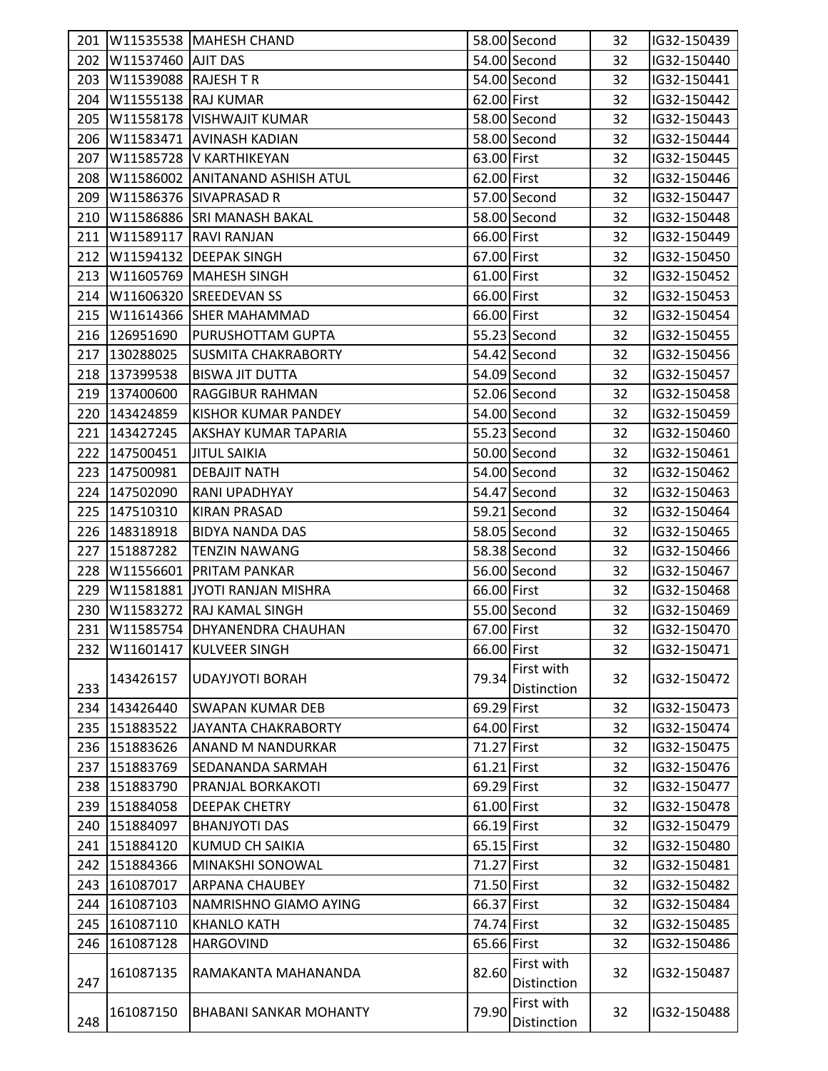|     |                            | 201   W11535538   MAHESH CHAND   |             | 58.00 Second       | 32 | IG32-150439 |  |
|-----|----------------------------|----------------------------------|-------------|--------------------|----|-------------|--|
|     | 202   W11537460   AJIT DAS |                                  |             | 54.00 Second       | 32 | IG32-150440 |  |
| 203 | W11539088 RAJESH TR        |                                  |             | 54.00 Second       | 32 | IG32-150441 |  |
| 204 | W11555138 RAJ KUMAR        |                                  | 62.00 First |                    | 32 | IG32-150442 |  |
| 205 |                            | W11558178 VISHWAJIT KUMAR        |             | 58.00 Second       | 32 | IG32-150443 |  |
| 206 |                            | W11583471 AVINASH KADIAN         |             | 58.00 Second       | 32 | IG32-150444 |  |
| 207 |                            | W11585728 V KARTHIKEYAN          | 63.00 First |                    | 32 | IG32-150445 |  |
| 208 |                            | W11586002 ANITANAND ASHISH ATUL  | 62.00 First |                    | 32 | IG32-150446 |  |
| 209 |                            | W11586376 SIVAPRASAD R           |             | 57.00 Second       | 32 | IG32-150447 |  |
|     |                            | 210   W11586886 SRI MANASH BAKAL |             | 58.00 Second       | 32 | IG32-150448 |  |
| 211 |                            | W11589117 RAVI RANJAN            | 66.00 First |                    | 32 | IG32-150449 |  |
| 212 |                            | W11594132 DEEPAK SINGH           | 67.00 First |                    | 32 | IG32-150450 |  |
| 213 |                            | W11605769 MAHESH SINGH           | 61.00 First |                    | 32 | IG32-150452 |  |
|     |                            | 214   W11606320 SREEDEVAN SS     | 66.00 First |                    | 32 | IG32-150453 |  |
|     |                            | 215   W11614366 SHER MAHAMMAD    | 66.00 First |                    | 32 | IG32-150454 |  |
|     | 216 126951690              | <b>PURUSHOTTAM GUPTA</b>         |             | 55.23 Second       | 32 | IG32-150455 |  |
|     | 217 130288025              | <b>SUSMITA CHAKRABORTY</b>       |             | 54.42 Second       | 32 | IG32-150456 |  |
|     | 218 137399538              | <b>BISWA JIT DUTTA</b>           |             | 54.09 Second       | 32 | IG32-150457 |  |
|     | 219 137400600              | <b>RAGGIBUR RAHMAN</b>           |             | 52.06 Second       | 32 | IG32-150458 |  |
|     | 220 143424859              | KISHOR KUMAR PANDEY              |             | 54.00 Second       | 32 | IG32-150459 |  |
|     | 221 143427245              | <b>AKSHAY KUMAR TAPARIA</b>      |             | 55.23 Second       | 32 | IG32-150460 |  |
|     | 222 147500451              | <b>JITUL SAIKIA</b>              |             | 50.00 Second       | 32 | IG32-150461 |  |
|     | 223 147500981              | <b>DEBAJIT NATH</b>              |             | 54.00 Second       | 32 | IG32-150462 |  |
|     | 224 147502090              | RANI UPADHYAY                    |             | 54.47 Second       | 32 | IG32-150463 |  |
|     | 225 147510310              | <b>KIRAN PRASAD</b>              |             | 59.21 Second       | 32 | IG32-150464 |  |
|     | 226 148318918              | <b>BIDYA NANDA DAS</b>           |             | 58.05 Second       | 32 | IG32-150465 |  |
|     | 227 151887282              | <b>TENZIN NAWANG</b>             |             | 58.38 Second       | 32 | IG32-150466 |  |
|     |                            | 228   W11556601   PRITAM PANKAR  |             | 56.00 Second       | 32 | IG32-150467 |  |
| 229 |                            | W11581881 JYOTI RANJAN MISHRA    | 66.00 First |                    | 32 | IG32-150468 |  |
| 230 |                            | W11583272 RAJ KAMAL SINGH        |             | 55.00 Second       | 32 | IG32-150469 |  |
|     |                            | 231 W11585754 DHYANENDRA CHAUHAN | 67.00 First |                    | 32 | IG32-150470 |  |
|     | 232 W11601417              | <b>KULVEER SINGH</b>             | 66.00 First |                    | 32 | IG32-150471 |  |
|     |                            |                                  |             | 79.34 First with   |    |             |  |
| 233 | 143426157                  | <b>UDAYJYOTI BORAH</b>           |             | <b>Distinction</b> | 32 | IG32-150472 |  |
| 234 | 143426440                  | <b>SWAPAN KUMAR DEB</b>          | 69.29 First |                    | 32 | IG32-150473 |  |
|     | 235 151883522              | JAYANTA CHAKRABORTY              | 64.00 First |                    | 32 | IG32-150474 |  |
|     | 236 151883626              | ANAND M NANDURKAR                | 71.27 First |                    | 32 | IG32-150475 |  |
|     | 237 151883769              | <b>SEDANANDA SARMAH</b>          | 61.21 First |                    | 32 | IG32-150476 |  |
|     | 238 151883790              | PRANJAL BORKAKOTI                | 69.29 First |                    | 32 | IG32-150477 |  |
|     | 239 151884058              | <b>DEEPAK CHETRY</b>             | 61.00 First |                    | 32 | IG32-150478 |  |
|     | 240 151884097              | <b>BHANJYOTI DAS</b>             | 66.19 First |                    | 32 | IG32-150479 |  |
| 241 | 151884120                  | KUMUD CH SAIKIA                  | 65.15 First |                    | 32 | IG32-150480 |  |
| 242 | 151884366                  | MINAKSHI SONOWAL                 | 71.27 First |                    | 32 | IG32-150481 |  |
|     | 243 161087017              | <b>ARPANA CHAUBEY</b>            | 71.50 First |                    | 32 | IG32-150482 |  |
| 244 | 161087103                  | NAMRISHNO GIAMO AYING            | 66.37 First |                    | 32 | IG32-150484 |  |
|     | 245 161087110              | <b>KHANLO KATH</b>               | 74.74 First |                    | 32 | IG32-150485 |  |
| 246 | 161087128                  | <b>HARGOVIND</b>                 | 65.66 First |                    | 32 | IG32-150486 |  |
|     |                            |                                  |             | First with         |    |             |  |
| 247 | 161087135                  | RAMAKANTA MAHANANDA              | 82.60       | <b>Distinction</b> | 32 | IG32-150487 |  |
|     |                            |                                  |             | First with         |    |             |  |
| 248 | 161087150                  | <b>BHABANI SANKAR MOHANTY</b>    | 79.90       | Distinction        | 32 | IG32-150488 |  |
|     |                            |                                  |             |                    |    |             |  |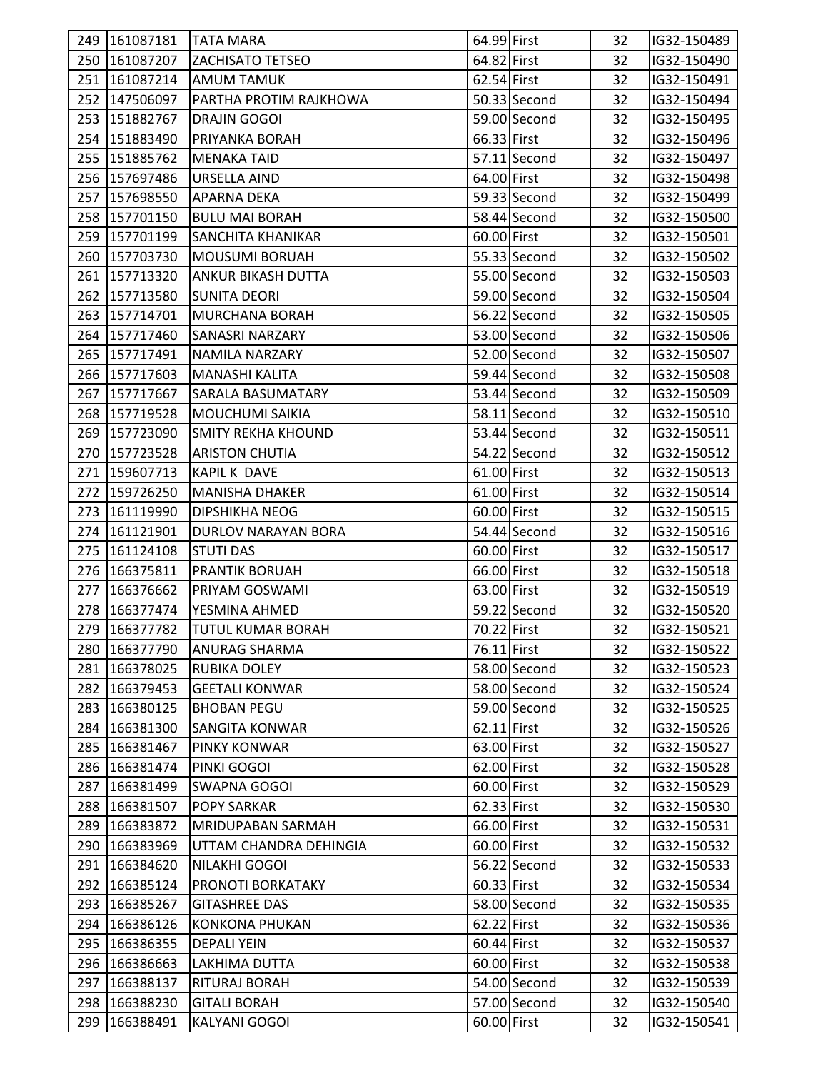|     | 249 161087181 | <b>TATA MARA</b>          | 64.99 First |              | 32 | IG32-150489 |  |
|-----|---------------|---------------------------|-------------|--------------|----|-------------|--|
|     | 250 161087207 | <b>ZACHISATO TETSEO</b>   | 64.82 First |              | 32 | IG32-150490 |  |
|     | 251 161087214 | <b>AMUM TAMUK</b>         | 62.54 First |              | 32 | IG32-150491 |  |
|     | 252 147506097 | PARTHA PROTIM RAJKHOWA    |             | 50.33 Second | 32 | IG32-150494 |  |
|     | 253 151882767 | DRAJIN GOGOI              |             | 59.00 Second | 32 | IG32-150495 |  |
|     | 254 151883490 | PRIYANKA BORAH            | 66.33 First |              | 32 | IG32-150496 |  |
|     | 255 151885762 | <b>MENAKA TAID</b>        |             | 57.11 Second | 32 | IG32-150497 |  |
|     | 256 157697486 | URSELLA AIND              | 64.00 First |              | 32 | IG32-150498 |  |
|     | 257 157698550 | APARNA DEKA               |             | 59.33 Second | 32 | IG32-150499 |  |
|     | 258 157701150 | <b>BULU MAI BORAH</b>     |             | 58.44 Second | 32 | IG32-150500 |  |
|     | 259 157701199 | <b>SANCHITA KHANIKAR</b>  | 60.00 First |              | 32 | IG32-150501 |  |
|     | 260 157703730 | <b>MOUSUMI BORUAH</b>     |             | 55.33 Second | 32 | IG32-150502 |  |
|     | 261 157713320 | <b>ANKUR BIKASH DUTTA</b> |             | 55.00 Second | 32 | IG32-150503 |  |
|     | 262 157713580 | SUNITA DEORI              |             | 59.00 Second | 32 | IG32-150504 |  |
|     | 263 157714701 | <b>MURCHANA BORAH</b>     |             | 56.22 Second | 32 | IG32-150505 |  |
|     | 264 157717460 | <b>SANASRI NARZARY</b>    |             | 53.00 Second | 32 | IG32-150506 |  |
|     | 265 157717491 | NAMILA NARZARY            |             | 52.00 Second | 32 | IG32-150507 |  |
|     | 266 157717603 | <b>MANASHI KALITA</b>     |             | 59.44 Second | 32 | IG32-150508 |  |
|     | 267 157717667 | SARALA BASUMATARY         |             | 53.44 Second | 32 | IG32-150509 |  |
|     | 268 157719528 | <b>MOUCHUMI SAIKIA</b>    |             | 58.11 Second | 32 | IG32-150510 |  |
|     | 269 157723090 | SMITY REKHA KHOUND        |             | 53.44 Second | 32 | IG32-150511 |  |
|     | 270 157723528 | <b>ARISTON CHUTIA</b>     |             | 54.22 Second | 32 | IG32-150512 |  |
|     | 271 159607713 | <b>KAPIL K DAVE</b>       | 61.00 First |              | 32 | IG32-150513 |  |
|     | 272 159726250 | <b>MANISHA DHAKER</b>     | 61.00 First |              | 32 | IG32-150514 |  |
|     | 273 161119990 | <b>DIPSHIKHA NEOG</b>     | 60.00 First |              | 32 | IG32-150515 |  |
|     | 274 161121901 | DURLOV NARAYAN BORA       |             | 54.44 Second | 32 | IG32-150516 |  |
|     | 275 161124108 | <b>STUTI DAS</b>          | 60.00 First |              | 32 | IG32-150517 |  |
|     | 276 166375811 | <b>PRANTIK BORUAH</b>     | 66.00 First |              | 32 | IG32-150518 |  |
|     | 277 166376662 | PRIYAM GOSWAMI            | 63.00 First |              | 32 | IG32-150519 |  |
|     | 278 166377474 | YESMINA AHMED             |             | 59.22 Second | 32 | IG32-150520 |  |
|     | 279 166377782 | <b>TUTUL KUMAR BORAH</b>  | 70.22 First |              | 32 | IG32-150521 |  |
|     | 280 166377790 | <b>ANURAG SHARMA</b>      | 76.11 First |              | 32 | IG32-150522 |  |
|     | 281 166378025 | <b>RUBIKA DOLEY</b>       |             | 58.00 Second | 32 | IG32-150523 |  |
|     | 282 166379453 | <b>GEETALI KONWAR</b>     |             | 58.00 Second | 32 | IG32-150524 |  |
|     | 283 166380125 | <b>BHOBAN PEGU</b>        |             | 59.00 Second | 32 | IG32-150525 |  |
|     | 284 166381300 | <b>SANGITA KONWAR</b>     | 62.11 First |              | 32 | IG32-150526 |  |
|     | 285 166381467 | <b>PINKY KONWAR</b>       | 63.00 First |              | 32 | IG32-150527 |  |
|     | 286 166381474 | PINKI GOGOI               | 62.00 First |              | 32 | IG32-150528 |  |
|     | 287 166381499 | <b>SWAPNA GOGOI</b>       | 60.00 First |              | 32 | IG32-150529 |  |
|     | 288 166381507 | <b>POPY SARKAR</b>        | 62.33 First |              | 32 | IG32-150530 |  |
|     | 289 166383872 | <b>MRIDUPABAN SARMAH</b>  | 66.00 First |              | 32 | IG32-150531 |  |
|     | 290 166383969 | UTTAM CHANDRA DEHINGIA    | 60.00 First |              | 32 | IG32-150532 |  |
|     | 291 166384620 | NILAKHI GOGOI             |             | 56.22 Second | 32 | IG32-150533 |  |
|     | 292 166385124 | PRONOTI BORKATAKY         | 60.33 First |              | 32 | IG32-150534 |  |
|     | 293 166385267 | <b>GITASHREE DAS</b>      |             | 58.00 Second | 32 | IG32-150535 |  |
|     | 294 166386126 | <b>KONKONA PHUKAN</b>     | 62.22 First |              | 32 | IG32-150536 |  |
|     | 295 166386355 | <b>DEPALI YEIN</b>        | 60.44 First |              | 32 | IG32-150537 |  |
|     | 296 166386663 | LAKHIMA DUTTA             | 60.00 First |              | 32 | IG32-150538 |  |
|     | 297 166388137 | <b>RITURAJ BORAH</b>      |             | 54.00 Second | 32 | IG32-150539 |  |
| 298 | 166388230     | <b>GITALI BORAH</b>       |             | 57.00 Second | 32 | IG32-150540 |  |
| 299 | 166388491     | <b>KALYANI GOGOI</b>      | 60.00 First |              | 32 | IG32-150541 |  |
|     |               |                           |             |              |    |             |  |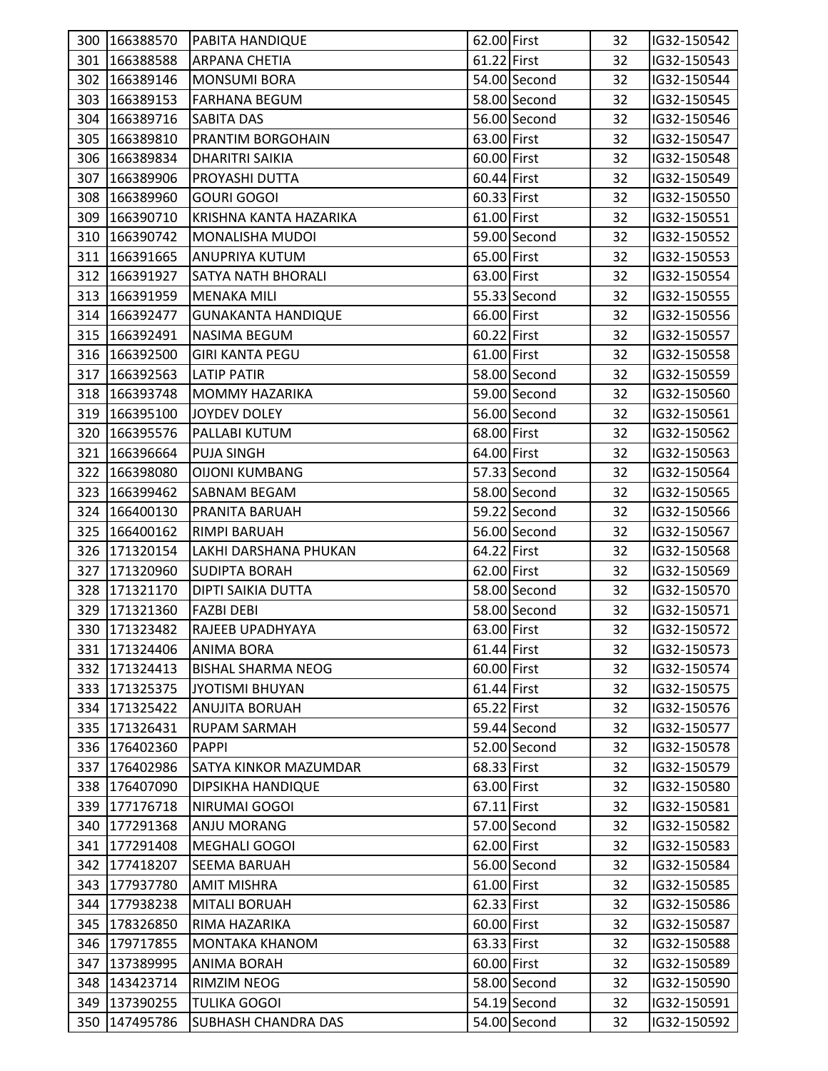| 300 166388570 | <b>PABITA HANDIQUE</b>       | 62.00 First |              | 32 | IG32-150542 |  |
|---------------|------------------------------|-------------|--------------|----|-------------|--|
| 301 166388588 | ARPANA CHETIA                | 61.22 First |              | 32 | IG32-150543 |  |
| 302 166389146 | <b>MONSUMI BORA</b>          |             | 54.00 Second | 32 | IG32-150544 |  |
| 303 166389153 | <b>FARHANA BEGUM</b>         |             | 58.00 Second | 32 | IG32-150545 |  |
| 304 166389716 | <b>SABITA DAS</b>            |             | 56.00 Second | 32 | IG32-150546 |  |
| 305 166389810 | PRANTIM BORGOHAIN            | 63.00 First |              | 32 | IG32-150547 |  |
| 306 166389834 | <b>DHARITRI SAIKIA</b>       | 60.00 First |              | 32 | IG32-150548 |  |
| 307 166389906 | PROYASHI DUTTA               | 60.44 First |              | 32 | IG32-150549 |  |
| 308 166389960 | <b>GOURI GOGOI</b>           | 60.33 First |              | 32 | IG32-150550 |  |
| 309 166390710 | KRISHNA KANTA HAZARIKA       | 61.00 First |              | 32 | IG32-150551 |  |
| 310 166390742 | MONALISHA MUDOI              |             | 59.00 Second | 32 | IG32-150552 |  |
| 311 166391665 | <b>ANUPRIYA KUTUM</b>        | 65.00 First |              | 32 | IG32-150553 |  |
| 312 166391927 | <b>SATYA NATH BHORALI</b>    | 63.00 First |              | 32 | IG32-150554 |  |
| 313 166391959 | <b>MENAKA MILI</b>           |             | 55.33 Second | 32 | IG32-150555 |  |
| 314 166392477 | <b>GUNAKANTA HANDIQUE</b>    | 66.00 First |              | 32 | IG32-150556 |  |
| 315 166392491 | NASIMA BEGUM                 | 60.22 First |              | 32 | IG32-150557 |  |
| 316 166392500 | <b>GIRI KANTA PEGU</b>       | 61.00 First |              | 32 | IG32-150558 |  |
| 317 166392563 | <b>LATIP PATIR</b>           |             | 58.00 Second | 32 | IG32-150559 |  |
| 318 166393748 | <b>MOMMY HAZARIKA</b>        |             | 59.00 Second | 32 | IG32-150560 |  |
| 319 166395100 | JOYDEV DOLEY                 |             | 56.00 Second | 32 | IG32-150561 |  |
| 320 166395576 | PALLABI KUTUM                | 68.00 First |              | 32 | IG32-150562 |  |
| 321 166396664 | <b>PUJA SINGH</b>            | 64.00 First |              | 32 | IG32-150563 |  |
| 322 166398080 | <b>OIJONI KUMBANG</b>        |             | 57.33 Second | 32 | IG32-150564 |  |
| 323 166399462 | SABNAM BEGAM                 |             | 58.00 Second | 32 | IG32-150565 |  |
| 324 166400130 | PRANITA BARUAH               |             | 59.22 Second | 32 | IG32-150566 |  |
| 325 166400162 | <b>RIMPI BARUAH</b>          |             | 56.00 Second | 32 | IG32-150567 |  |
| 326 171320154 | LAKHI DARSHANA PHUKAN        | 64.22 First |              | 32 | IG32-150568 |  |
| 327 171320960 | <b>SUDIPTA BORAH</b>         | 62.00 First |              | 32 | IG32-150569 |  |
| 328 171321170 | DIPTI SAIKIA DUTTA           |             | 58.00 Second | 32 | IG32-150570 |  |
| 329 171321360 | <b>FAZBI DEBI</b>            |             | 58.00 Second | 32 | IG32-150571 |  |
| 330 171323482 | RAJEEB UPADHYAYA             | 63.00 First |              | 32 | IG32-150572 |  |
| 331 171324406 | <b>ANIMA BORA</b>            | 61.44 First |              | 32 | IG32-150573 |  |
| 332 171324413 | <b>BISHAL SHARMA NEOG</b>    | 60.00 First |              | 32 | IG32-150574 |  |
| 333 171325375 | <b>JYOTISMI BHUYAN</b>       | 61.44 First |              | 32 | IG32-150575 |  |
| 334 171325422 | <b>ANUJITA BORUAH</b>        | 65.22 First |              | 32 | IG32-150576 |  |
| 335 171326431 | <b>RUPAM SARMAH</b>          |             | 59.44 Second | 32 | IG32-150577 |  |
| 336 176402360 | PAPPI                        |             | 52.00 Second | 32 | IG32-150578 |  |
| 337 176402986 | <b>SATYA KINKOR MAZUMDAR</b> | 68.33 First |              | 32 | IG32-150579 |  |
| 338 176407090 | <b>DIPSIKHA HANDIQUE</b>     | 63.00 First |              | 32 | IG32-150580 |  |
| 339 177176718 | NIRUMAI GOGOI                | 67.11 First |              | 32 | IG32-150581 |  |
| 340 177291368 | <b>ANJU MORANG</b>           |             | 57.00 Second | 32 | IG32-150582 |  |
| 341 177291408 | <b>MEGHALI GOGOI</b>         | 62.00 First |              | 32 | IG32-150583 |  |
| 342 177418207 | <b>SEEMA BARUAH</b>          |             | 56.00 Second | 32 | IG32-150584 |  |
| 343 177937780 | <b>AMIT MISHRA</b>           | 61.00 First |              | 32 | IG32-150585 |  |
| 344 177938238 | <b>MITALI BORUAH</b>         | 62.33 First |              | 32 | IG32-150586 |  |
| 345 178326850 | RIMA HAZARIKA                | 60.00 First |              | 32 | IG32-150587 |  |
| 346 179717855 | MONTAKA KHANOM               | 63.33 First |              | 32 | IG32-150588 |  |
| 347 137389995 | ANIMA BORAH                  | 60.00 First |              | 32 | IG32-150589 |  |
| 348 143423714 | <b>RIMZIM NEOG</b>           |             | 58.00 Second | 32 | IG32-150590 |  |
| 349 137390255 | <b>TULIKA GOGOI</b>          |             | 54.19 Second | 32 | IG32-150591 |  |
| 350 147495786 | <b>SUBHASH CHANDRA DAS</b>   |             | 54.00 Second | 32 | IG32-150592 |  |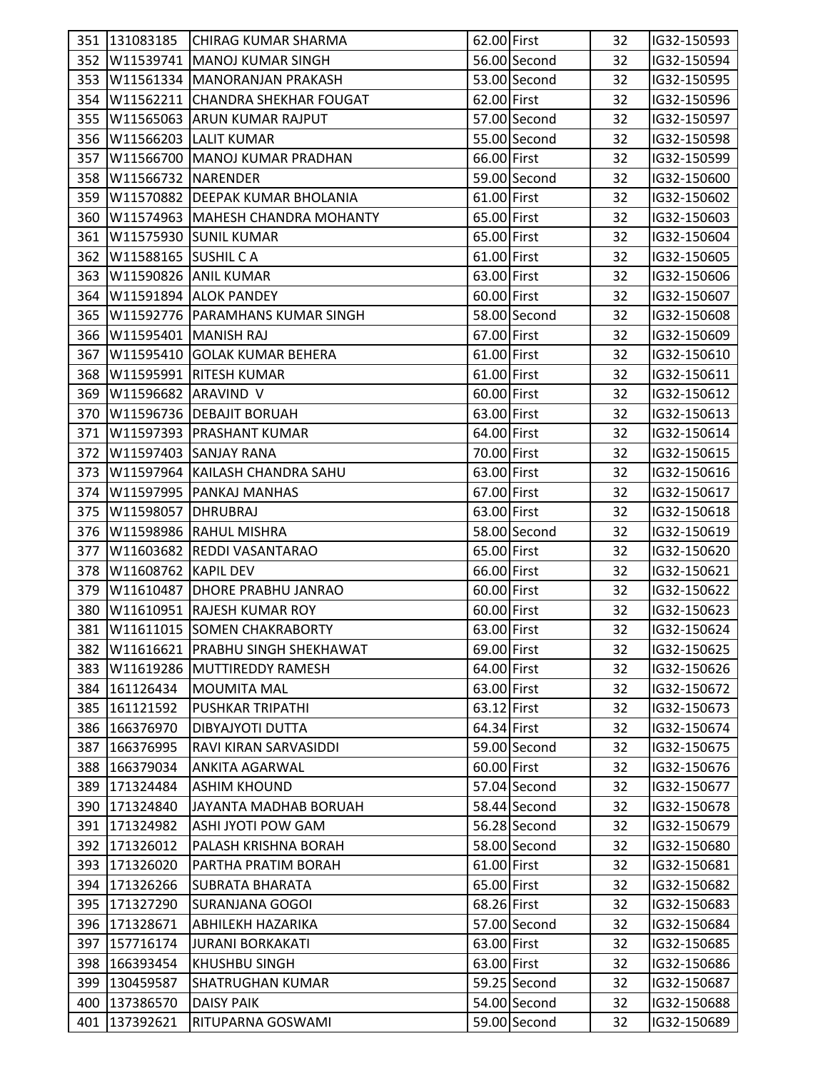|     | 351 131083185            | <b>CHIRAG KUMAR SHARMA</b>             | 62.00 First |              | 32 | IG32-150593 |  |
|-----|--------------------------|----------------------------------------|-------------|--------------|----|-------------|--|
|     |                          | 352   W11539741   MANOJ KUMAR SINGH    |             | 56.00 Second | 32 | IG32-150594 |  |
|     |                          | 353   W11561334   MANORANJAN PRAKASH   |             | 53.00 Second | 32 | IG32-150595 |  |
|     |                          | 354 W11562211 CHANDRA SHEKHAR FOUGAT   | 62.00 First |              | 32 | IG32-150596 |  |
|     |                          |                                        |             |              |    |             |  |
| 355 |                          | W11565063 ARUN KUMAR RAJPUT            |             | 57.00 Second | 32 | IG32-150597 |  |
|     |                          | 356 W11566203 LALIT KUMAR              |             | 55.00 Second | 32 | IG32-150598 |  |
|     |                          | 357   W11566700   MANOJ KUMAR PRADHAN  | 66.00 First |              | 32 | IG32-150599 |  |
| 358 | W11566732 NARENDER       |                                        |             | 59.00 Second | 32 | IG32-150600 |  |
| 359 |                          | W11570882 DEEPAK KUMAR BHOLANIA        | 61.00 First |              | 32 | IG32-150602 |  |
|     |                          | 360 W11574963 MAHESH CHANDRA MOHANTY   | 65.00 First |              | 32 | IG32-150603 |  |
| 361 |                          | W11575930 SUNIL KUMAR                  | 65.00 First |              | 32 | IG32-150604 |  |
| 362 | W11588165 SUSHIL C A     |                                        | 61.00 First |              | 32 | IG32-150605 |  |
|     | 363 W11590826 ANIL KUMAR |                                        | 63.00 First |              | 32 | IG32-150606 |  |
|     |                          | 364 W11591894 ALOK PANDEY              | 60.00 First |              | 32 | IG32-150607 |  |
|     |                          | 365 W11592776 PARAMHANS KUMAR SINGH    |             | 58.00 Second | 32 | IG32-150608 |  |
|     | 366 W11595401 MANISH RAJ |                                        | 67.00 First |              | 32 | IG32-150609 |  |
| 367 |                          | W11595410 GOLAK KUMAR BEHERA           | 61.00 First |              | 32 | IG32-150610 |  |
| 368 |                          | W11595991 RITESH KUMAR                 | 61.00 First |              | 32 | IG32-150611 |  |
| 369 | W11596682 ARAVIND V      |                                        | 60.00 First |              | 32 | IG32-150612 |  |
|     |                          | 370 W11596736 DEBAJIT BORUAH           | 63.00 First |              | 32 | IG32-150613 |  |
|     |                          | 371   W11597393   PRASHANT KUMAR       | 64.00 First |              | 32 | IG32-150614 |  |
|     |                          | 372   W11597403   SANJAY RANA          | 70.00 First |              | 32 | IG32-150615 |  |
|     |                          | 373   W11597964   KAILASH CHANDRA SAHU | 63.00 First |              | 32 | IG32-150616 |  |
|     |                          | 374   W11597995   PANKAJ MANHAS        | 67.00 First |              | 32 | IG32-150617 |  |
|     | 375   W11598057 DHRUBRAJ |                                        | 63.00 First |              | 32 | IG32-150618 |  |
|     |                          | 376   W11598986   RAHUL MISHRA         |             | 58.00 Second | 32 | IG32-150619 |  |
| 377 |                          | W11603682 REDDI VASANTARAO             | 65.00 First |              | 32 | IG32-150620 |  |
|     | 378 W11608762 KAPIL DEV  |                                        | 66.00 First |              | 32 | IG32-150621 |  |
|     |                          | 379   W11610487   DHORE PRABHU JANRAO  | 60.00 First |              | 32 | IG32-150622 |  |
| 380 |                          | W11610951 RAJESH KUMAR ROY             | 60.00 First |              | 32 | IG32-150623 |  |
|     |                          | 381 W11611015 SOMEN CHAKRABORTY        | 63.00 First |              | 32 | IG32-150624 |  |
|     |                          | 382 W11616621 PRABHU SINGH SHEKHAWAT   | 69.00 First |              | 32 | IG32-150625 |  |
| 383 |                          | W11619286 MUTTIREDDY RAMESH            | 64.00 First |              | 32 | IG32-150626 |  |
|     | 384 161126434            | <b>MOUMITA MAL</b>                     | 63.00 First |              | 32 | IG32-150672 |  |
|     | 385 161121592            | <b>PUSHKAR TRIPATHI</b>                | 63.12 First |              | 32 | IG32-150673 |  |
| 386 | 166376970                | DIBYAJYOTI DUTTA                       | 64.34 First |              | 32 | IG32-150674 |  |
| 387 | 166376995                | RAVI KIRAN SARVASIDDI                  |             | 59.00 Second | 32 | IG32-150675 |  |
|     | 388 166379034            | <b>ANKITA AGARWAL</b>                  | 60.00 First |              | 32 | IG32-150676 |  |
|     | 389 171324484            | <b>ASHIM KHOUND</b>                    |             | 57.04 Second | 32 | IG32-150677 |  |
|     | 390 171324840            | JAYANTA MADHAB BORUAH                  |             | 58.44 Second | 32 | IG32-150678 |  |
|     | 391 171324982            | ASHI JYOTI POW GAM                     |             | 56.28 Second | 32 | IG32-150679 |  |
|     | 392 171326012            | PALASH KRISHNA BORAH                   |             | 58.00 Second | 32 | IG32-150680 |  |
|     | 393 171326020            | PARTHA PRATIM BORAH                    | 61.00 First |              | 32 | IG32-150681 |  |
|     | 394 171326266            | <b>SUBRATA BHARATA</b>                 | 65.00 First |              | 32 | IG32-150682 |  |
|     | 395 171327290            | <b>SURANJANA GOGOI</b>                 | 68.26 First |              | 32 | IG32-150683 |  |
|     | 396 171328671            | <b>ABHILEKH HAZARIKA</b>               |             | 57.00 Second | 32 | IG32-150684 |  |
|     | 397 157716174            | <b>JURANI BORKAKATI</b>                | 63.00 First |              | 32 | IG32-150685 |  |
|     | 398 166393454            | <b>KHUSHBU SINGH</b>                   | 63.00 First |              | 32 | IG32-150686 |  |
|     | 399 130459587            | <b>SHATRUGHAN KUMAR</b>                |             | 59.25 Second | 32 | IG32-150687 |  |
|     | 400 137386570            | <b>DAISY PAIK</b>                      |             | 54.00 Second | 32 | IG32-150688 |  |
|     | 401 137392621            | RITUPARNA GOSWAMI                      |             | 59.00 Second | 32 | IG32-150689 |  |
|     |                          |                                        |             |              |    |             |  |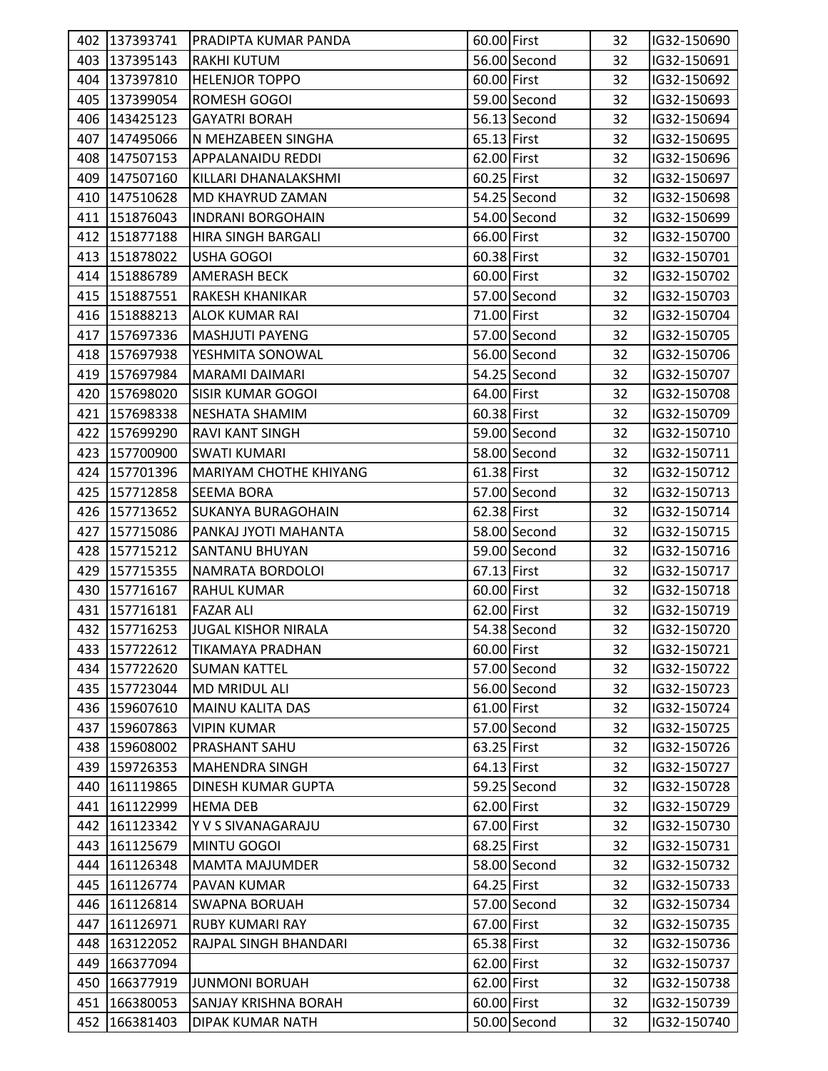|     | 402 137393741 | <b>PRADIPTA KUMAR PANDA</b>   |             |              | 32 |                            |
|-----|---------------|-------------------------------|-------------|--------------|----|----------------------------|
|     | 403 137395143 | <b>RAKHI KUTUM</b>            | 60.00 First | 56.00 Second | 32 | IG32-150690<br>IG32-150691 |
|     | 404 137397810 | <b>HELENJOR TOPPO</b>         | 60.00 First |              |    |                            |
|     |               |                               |             |              | 32 | IG32-150692                |
| 405 | 137399054     | ROMESH GOGOI                  |             | 59.00 Second | 32 | IG32-150693                |
| 406 | 143425123     | <b>GAYATRI BORAH</b>          |             | 56.13 Second | 32 | IG32-150694                |
| 407 | 147495066     | N MEHZABEEN SINGHA            | 65.13 First |              | 32 | IG32-150695                |
|     | 408 147507153 | <b>APPALANAIDU REDDI</b>      | 62.00 First |              | 32 | IG32-150696                |
| 409 | 147507160     | KILLARI DHANALAKSHMI          | 60.25 First |              | 32 | IG32-150697                |
|     | 410 147510628 | MD KHAYRUD ZAMAN              |             | 54.25 Second | 32 | IG32-150698                |
|     | 411 151876043 | <b>INDRANI BORGOHAIN</b>      |             | 54.00 Second | 32 | IG32-150699                |
|     | 412 151877188 | HIRA SINGH BARGALI            | 66.00 First |              | 32 | IG32-150700                |
| 413 | 151878022     | USHA GOGOI                    | 60.38 First |              | 32 | IG32-150701                |
|     | 414 151886789 | <b>AMERASH BECK</b>           | 60.00 First |              | 32 | IG32-150702                |
|     | 415 151887551 | IRAKESH KHANIKAR              |             | 57.00 Second | 32 | IG32-150703                |
|     | 416 151888213 | <b>ALOK KUMAR RAI</b>         | 71.00 First |              | 32 | IG32-150704                |
|     | 417 157697336 | <b>MASHJUTI PAYENG</b>        |             | 57.00 Second | 32 | IG32-150705                |
|     | 418 157697938 | YESHMITA SONOWAL              |             | 56.00 Second | 32 | IG32-150706                |
|     | 419 157697984 | MARAMI DAIMARI                |             | 54.25 Second | 32 | IG32-150707                |
| 420 | 157698020     | <b>SISIR KUMAR GOGOI</b>      | 64.00 First |              | 32 | IG32-150708                |
|     | 421 157698338 | NESHATA SHAMIM                | 60.38 First |              | 32 | IG32-150709                |
|     | 422 157699290 | RAVI KANT SINGH               |             | 59.00 Second | 32 | IG32-150710                |
|     | 423 157700900 | <b>SWATI KUMARI</b>           |             | 58.00 Second | 32 | IG32-150711                |
|     | 424 157701396 | <b>MARIYAM CHOTHE KHIYANG</b> | 61.38 First |              | 32 | IG32-150712                |
| 425 | 157712858     | <b>SEEMA BORA</b>             |             | 57.00 Second | 32 | IG32-150713                |
|     | 426 157713652 | <b>SUKANYA BURAGOHAIN</b>     | 62.38 First |              | 32 | IG32-150714                |
| 427 | 157715086     | PANKAJ JYOTI MAHANTA          |             | 58.00 Second | 32 | IG32-150715                |
|     | 428 157715212 | <b>SANTANU BHUYAN</b>         |             | 59.00 Second | 32 | IG32-150716                |
| 429 | 157715355     | NAMRATA BORDOLOI              | 67.13 First |              | 32 | IG32-150717                |
|     | 430 157716167 | <b>RAHUL KUMAR</b>            | 60.00 First |              | 32 | IG32-150718                |
|     | 431 157716181 | <b>FAZAR ALI</b>              | 62.00 First |              | 32 | IG32-150719                |
|     | 432 157716253 | <b>JUGAL KISHOR NIRALA</b>    |             | 54.38 Second | 32 | IG32-150720                |
|     | 433 157722612 | <b>TIKAMAYA PRADHAN</b>       | 60.00 First |              | 32 | IG32-150721                |
| 434 | 157722620     | <b>SUMAN KATTEL</b>           |             | 57.00 Second | 32 | IG32-150722                |
| 435 | 157723044     | <b>MD MRIDUL ALI</b>          |             | 56.00 Second | 32 | IG32-150723                |
| 436 | 159607610     | <b>MAINU KALITA DAS</b>       | 61.00 First |              | 32 | IG32-150724                |
|     | 437 159607863 | <b>VIPIN KUMAR</b>            |             | 57.00 Second | 32 | IG32-150725                |
| 438 | 159608002     | PRASHANT SAHU                 | 63.25 First |              | 32 | IG32-150726                |
| 439 | 159726353     | <b>MAHENDRA SINGH</b>         | 64.13 First |              | 32 | IG32-150727                |
| 440 | 161119865     | <b>DINESH KUMAR GUPTA</b>     |             | 59.25 Second | 32 | IG32-150728                |
|     | 441 161122999 | <b>HEMA DEB</b>               | 62.00 First |              | 32 | IG32-150729                |
|     | 442 161123342 | Y V S SIVANAGARAJU            | 67.00 First |              | 32 | IG32-150730                |
| 443 | 161125679     | MINTU GOGOI                   | 68.25 First |              | 32 | IG32-150731                |
| 444 | 161126348     | <b>MAMTA MAJUMDER</b>         |             | 58.00 Second | 32 | IG32-150732                |
| 445 | 161126774     | PAVAN KUMAR                   | 64.25 First |              | 32 | IG32-150733                |
| 446 | 161126814     | <b>SWAPNA BORUAH</b>          |             | 57.00 Second | 32 | IG32-150734                |
|     | 447 161126971 | <b>RUBY KUMARI RAY</b>        | 67.00 First |              | 32 | IG32-150735                |
| 448 | 163122052     | RAJPAL SINGH BHANDARI         | 65.38 First |              | 32 | IG32-150736                |
| 449 | 166377094     |                               | 62.00 First |              | 32 | IG32-150737                |
| 450 | 166377919     | <b>JUNMONI BORUAH</b>         | 62.00 First |              | 32 | IG32-150738                |
| 451 | 166380053     | <b>SANJAY KRISHNA BORAH</b>   | 60.00 First |              | 32 | IG32-150739                |
| 452 |               |                               |             | 50.00 Second |    |                            |
|     | 166381403     | DIPAK KUMAR NATH              |             |              | 32 | IG32-150740                |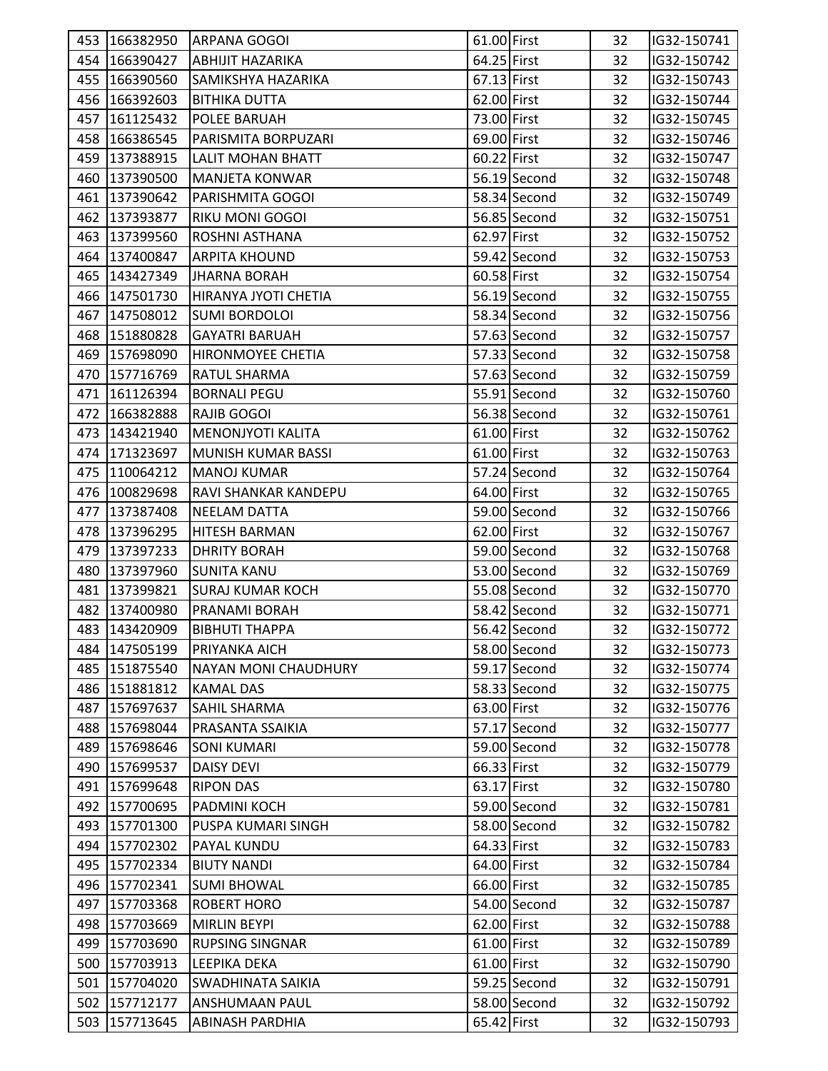|     | 453 166382950 | <b>ARPANA GOGOI</b>         | 61.00 First |              | 32 | IG32-150741 |  |
|-----|---------------|-----------------------------|-------------|--------------|----|-------------|--|
|     | 454 166390427 | <b>ABHIJIT HAZARIKA</b>     | 64.25 First |              | 32 | IG32-150742 |  |
|     | 455 166390560 | SAMIKSHYA HAZARIKA          | 67.13 First |              | 32 | IG32-150743 |  |
|     | 456 166392603 | <b>BITHIKA DUTTA</b>        | 62.00 First |              | 32 | IG32-150744 |  |
|     | 457 161125432 | POLEE BARUAH                | 73.00 First |              | 32 | IG32-150745 |  |
|     | 458 166386545 | PARISMITA BORPUZARI         | 69.00 First |              | 32 | IG32-150746 |  |
|     | 459 137388915 | <b>LALIT MOHAN BHATT</b>    | 60.22 First |              | 32 | IG32-150747 |  |
|     | 460 137390500 | <b>MANJETA KONWAR</b>       |             | 56.19 Second | 32 | IG32-150748 |  |
|     | 461 137390642 | PARISHMITA GOGOI            |             | 58.34 Second | 32 | IG32-150749 |  |
|     | 462 137393877 | <b>RIKU MONI GOGOI</b>      |             | 56.85 Second | 32 | IG32-150751 |  |
|     | 463 137399560 | ROSHNI ASTHANA              | 62.97 First |              | 32 | IG32-150752 |  |
|     | 464 137400847 | <b>ARPITA KHOUND</b>        |             | 59.42 Second | 32 | IG32-150753 |  |
|     | 465 143427349 | <b>JHARNA BORAH</b>         | 60.58 First |              | 32 | IG32-150754 |  |
|     | 466 147501730 | HIRANYA JYOTI CHETIA        |             | 56.19 Second | 32 | IG32-150755 |  |
|     | 467 147508012 | <b>SUMI BORDOLOI</b>        |             | 58.34 Second | 32 | IG32-150756 |  |
|     | 468 151880828 | <b>GAYATRI BARUAH</b>       |             | 57.63 Second | 32 | IG32-150757 |  |
|     | 469 157698090 | HIRONMOYEE CHETIA           |             | 57.33 Second | 32 |             |  |
|     | 470 157716769 | <b>RATUL SHARMA</b>         |             |              |    | IG32-150758 |  |
|     |               |                             |             | 57.63 Second | 32 | IG32-150759 |  |
|     | 471 161126394 | <b>BORNALI PEGU</b>         |             | 55.91 Second | 32 | IG32-150760 |  |
|     | 472 166382888 | <b>RAJIB GOGOI</b>          |             | 56.38 Second | 32 | IG32-150761 |  |
|     | 473 143421940 | <b>MENONJYOTI KALITA</b>    | 61.00 First |              | 32 | IG32-150762 |  |
|     | 474 171323697 | MUNISH KUMAR BASSI          | 61.00 First |              | 32 | IG32-150763 |  |
|     | 475 110064212 | <b>MANOJ KUMAR</b>          |             | 57.24 Second | 32 | IG32-150764 |  |
|     | 476 100829698 | RAVI SHANKAR KANDEPU        | 64.00 First |              | 32 | IG32-150765 |  |
|     | 477 137387408 | <b>NEELAM DATTA</b>         |             | 59.00 Second | 32 | IG32-150766 |  |
|     | 478 137396295 | <b>HITESH BARMAN</b>        | 62.00 First |              | 32 | IG32-150767 |  |
|     | 479 137397233 | <b>DHRITY BORAH</b>         |             | 59.00 Second | 32 | IG32-150768 |  |
|     | 480 137397960 | <b>SUNITA KANU</b>          |             | 53.00 Second | 32 | IG32-150769 |  |
|     | 481 137399821 | <b>SURAJ KUMAR KOCH</b>     |             | 55.08 Second | 32 | IG32-150770 |  |
|     | 482 137400980 | PRANAMI BORAH               |             | 58.42 Second | 32 | IG32-150771 |  |
|     | 483 143420909 | <b>BIBHUTI THAPPA</b>       |             | 56.42 Second | 32 | IG32-150772 |  |
|     | 484 147505199 | PRIYANKA AICH               |             | 58.00 Second | 32 | IG32-150773 |  |
|     | 485 151875540 | <b>NAYAN MONI CHAUDHURY</b> |             | 59.17 Second | 32 | IG32-150774 |  |
|     | 486 151881812 | <b>KAMAL DAS</b>            |             | 58.33 Second | 32 | IG32-150775 |  |
|     | 487 157697637 | <b>SAHIL SHARMA</b>         | 63.00 First |              | 32 | IG32-150776 |  |
| 488 | 157698044     | PRASANTA SSAIKIA            |             | 57.17 Second | 32 | IG32-150777 |  |
|     | 489 157698646 | <b>SONI KUMARI</b>          |             | 59.00 Second | 32 | IG32-150778 |  |
|     | 490 157699537 | <b>DAISY DEVI</b>           | 66.33 First |              | 32 | IG32-150779 |  |
|     | 491 157699648 | <b>RIPON DAS</b>            | 63.17 First |              | 32 | IG32-150780 |  |
|     | 492 157700695 | PADMINI KOCH                |             | 59.00 Second | 32 | IG32-150781 |  |
|     | 493 157701300 | PUSPA KUMARI SINGH          |             | 58.00 Second | 32 | IG32-150782 |  |
|     | 494 157702302 | PAYAL KUNDU                 | 64.33 First |              | 32 | IG32-150783 |  |
|     | 495 157702334 | <b>BIUTY NANDI</b>          | 64.00 First |              | 32 | IG32-150784 |  |
|     | 496 157702341 | <b>SUMI BHOWAL</b>          | 66.00 First |              | 32 | IG32-150785 |  |
|     | 497 157703368 | <b>ROBERT HORO</b>          |             | 54.00 Second | 32 | IG32-150787 |  |
|     | 498 157703669 | <b>MIRLIN BEYPI</b>         | 62.00 First |              | 32 | IG32-150788 |  |
|     | 499 157703690 | <b>RUPSING SINGNAR</b>      | 61.00 First |              | 32 | IG32-150789 |  |
|     | 500 157703913 | <b>LEEPIKA DEKA</b>         | 61.00 First |              | 32 | IG32-150790 |  |
|     | 501 157704020 | SWADHINATA SAIKIA           |             | 59.25 Second | 32 | IG32-150791 |  |
|     | 502 157712177 | <b>ANSHUMAAN PAUL</b>       |             | 58.00 Second | 32 | IG32-150792 |  |
|     | 503 157713645 | <b>ABINASH PARDHIA</b>      | 65.42 First |              | 32 | IG32-150793 |  |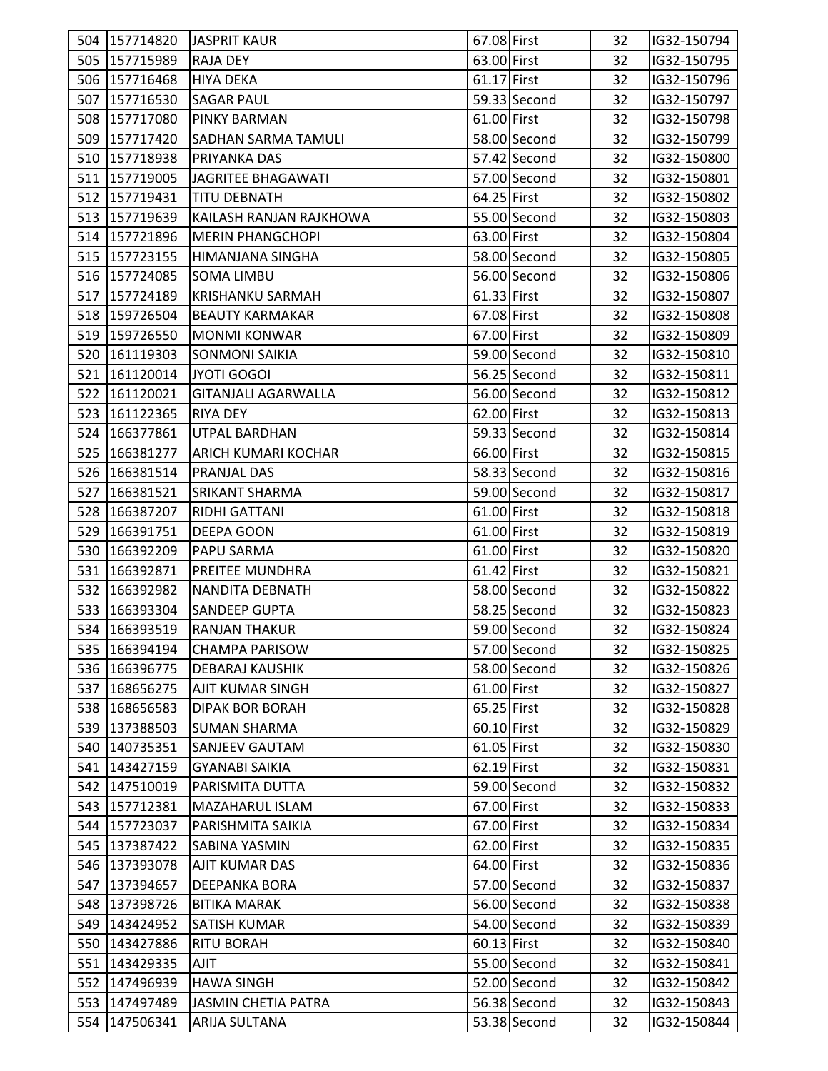|     | 504 157714820 | <b>JASPRIT KAUR</b>        | 67.08 First   |              | 32 | IG32-150794 |  |
|-----|---------------|----------------------------|---------------|--------------|----|-------------|--|
|     | 505 157715989 | <b>RAJA DEY</b>            | 63.00 First   |              | 32 | IG32-150795 |  |
|     | 506 157716468 | <b>HIYA DEKA</b>           | 61.17 First   |              | 32 | IG32-150796 |  |
|     | 507 157716530 | <b>SAGAR PAUL</b>          |               | 59.33 Second | 32 | IG32-150797 |  |
|     | 508 157717080 | <b>PINKY BARMAN</b>        | 61.00 First   |              | 32 | IG32-150798 |  |
|     | 509 157717420 | <b>SADHAN SARMA TAMULI</b> |               | 58.00 Second | 32 | IG32-150799 |  |
|     | 510 157718938 | PRIYANKA DAS               |               | 57.42 Second | 32 | IG32-150800 |  |
|     | 511 157719005 | <b>JAGRITEE BHAGAWATI</b>  |               | 57.00 Second | 32 | IG32-150801 |  |
|     | 512 157719431 | <b>TITU DEBNATH</b>        | 64.25 First   |              | 32 | IG32-150802 |  |
|     | 513 157719639 | KAILASH RANJAN RAJKHOWA    |               | 55.00 Second | 32 | IG32-150803 |  |
|     | 514 157721896 | <b>MERIN PHANGCHOPI</b>    | 63.00 First   |              | 32 | IG32-150804 |  |
|     | 515 157723155 | HIMANJANA SINGHA           |               | 58.00 Second | 32 | IG32-150805 |  |
|     | 516 157724085 | <b>SOMA LIMBU</b>          |               | 56.00 Second | 32 | IG32-150806 |  |
|     | 517 157724189 | KRISHANKU SARMAH           | $61.33$ First |              | 32 | IG32-150807 |  |
|     | 518 159726504 | <b>BEAUTY KARMAKAR</b>     | 67.08 First   |              | 32 | IG32-150808 |  |
|     | 519 159726550 | <b>MONMI KONWAR</b>        | 67.00 First   |              | 32 | IG32-150809 |  |
|     | 520 161119303 | <b>SONMONI SAIKIA</b>      |               | 59.00 Second | 32 | IG32-150810 |  |
|     | 521 161120014 | JYOTI GOGOI                |               | 56.25 Second | 32 | IG32-150811 |  |
|     | 522 161120021 | <b>GITANJALI AGARWALLA</b> |               | 56.00 Second | 32 | IG32-150812 |  |
|     | 523 161122365 | <b>RIYA DEY</b>            | 62.00 First   |              | 32 | IG32-150813 |  |
|     | 524 166377861 | UTPAL BARDHAN              |               | 59.33 Second | 32 | IG32-150814 |  |
|     | 525 166381277 | <b>ARICH KUMARI KOCHAR</b> | 66.00 First   |              | 32 | IG32-150815 |  |
|     | 526 166381514 | <b>PRANJAL DAS</b>         |               | 58.33 Second | 32 | IG32-150816 |  |
|     | 527 166381521 | <b>SRIKANT SHARMA</b>      |               | 59.00 Second | 32 | IG32-150817 |  |
|     | 528 166387207 | RIDHI GATTANI              | 61.00 First   |              | 32 | IG32-150818 |  |
|     | 529 166391751 | DEEPA GOON                 | 61.00 First   |              | 32 | IG32-150819 |  |
|     | 530 166392209 | PAPU SARMA                 | 61.00 First   |              | 32 | IG32-150820 |  |
|     | 531 166392871 | <b>PREITEE MUNDHRA</b>     | 61.42 First   |              | 32 | IG32-150821 |  |
|     | 532 166392982 | NANDITA DEBNATH            |               | 58.00 Second | 32 | IG32-150822 |  |
|     | 533 166393304 | <b>SANDEEP GUPTA</b>       |               | 58.25 Second | 32 | IG32-150823 |  |
|     | 534 166393519 | <b>RANJAN THAKUR</b>       |               | 59.00 Second | 32 | IG32-150824 |  |
|     | 535 166394194 | <b>CHAMPA PARISOW</b>      |               | 57.00 Second | 32 | IG32-150825 |  |
|     | 536 166396775 | <b>DEBARAJ KAUSHIK</b>     |               | 58.00 Second | 32 | IG32-150826 |  |
|     | 537 168656275 | <b>AJIT KUMAR SINGH</b>    | 61.00 First   |              | 32 | IG32-150827 |  |
|     | 538 168656583 | <b>DIPAK BOR BORAH</b>     | 65.25 First   |              | 32 | IG32-150828 |  |
|     | 539 137388503 | <b>SUMAN SHARMA</b>        | 60.10 First   |              | 32 | IG32-150829 |  |
|     | 540 140735351 | SANJEEV GAUTAM             | 61.05 First   |              | 32 | IG32-150830 |  |
|     | 541 143427159 | <b>GYANABI SAIKIA</b>      | 62.19 First   |              | 32 | IG32-150831 |  |
|     | 542 147510019 | PARISMITA DUTTA            |               | 59.00 Second | 32 | IG32-150832 |  |
|     | 543 157712381 | <b>MAZAHARUL ISLAM</b>     | 67.00 First   |              | 32 | IG32-150833 |  |
|     | 544 157723037 | PARISHMITA SAIKIA          | 67.00 First   |              | 32 | IG32-150834 |  |
|     | 545 137387422 | SABINA YASMIN              | 62.00 First   |              | 32 | IG32-150835 |  |
|     | 546 137393078 | AJIT KUMAR DAS             | 64.00 First   |              | 32 | IG32-150836 |  |
|     | 547 137394657 | <b>DEEPANKA BORA</b>       |               | 57.00 Second | 32 | IG32-150837 |  |
|     | 548 137398726 | <b>BITIKA MARAK</b>        |               | 56.00 Second | 32 | IG32-150838 |  |
|     | 549 143424952 | <b>SATISH KUMAR</b>        |               | 54.00 Second | 32 | IG32-150839 |  |
|     | 550 143427886 | <b>RITU BORAH</b>          | 60.13 First   |              | 32 | IG32-150840 |  |
|     | 551 143429335 | AJIT                       |               | 55.00 Second | 32 | IG32-150841 |  |
| 552 | 147496939     | <b>HAWA SINGH</b>          |               | 52.00 Second | 32 | IG32-150842 |  |
| 553 | 147497489     | JASMIN CHETIA PATRA        |               | 56.38 Second | 32 | IG32-150843 |  |
|     | 554 147506341 | <b>ARIJA SULTANA</b>       |               | 53.38 Second | 32 | IG32-150844 |  |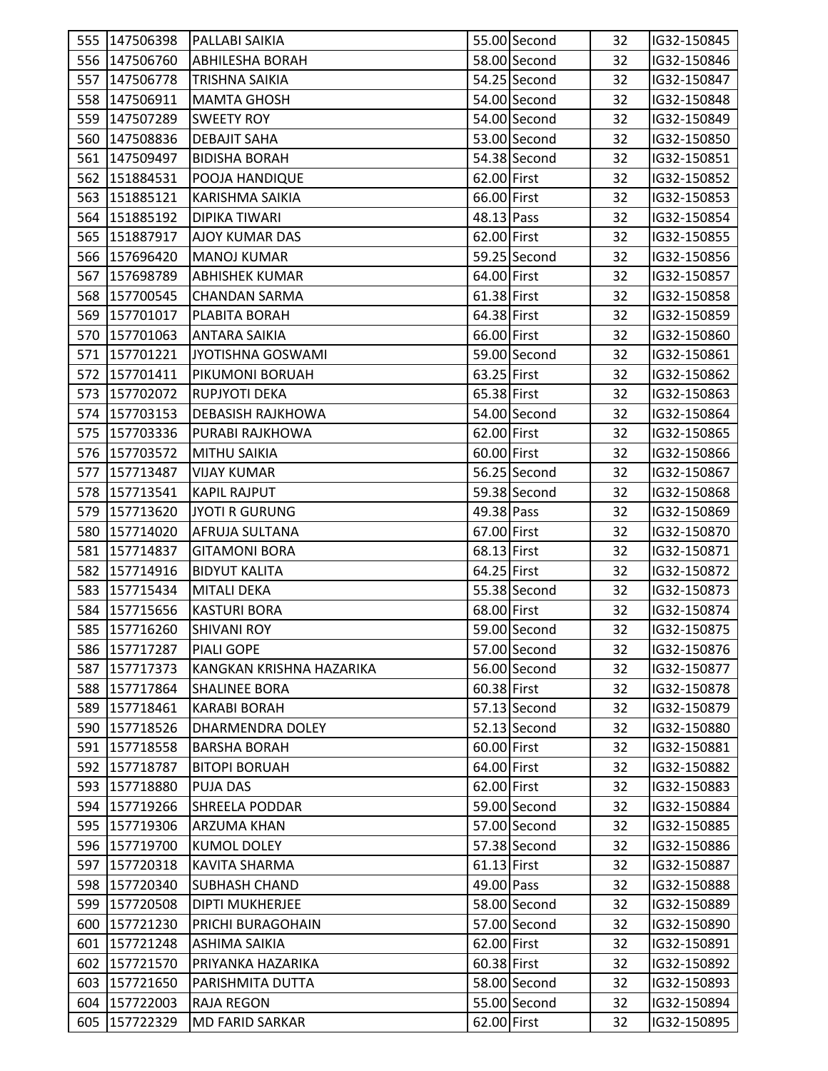| 555 147506398 | <b>PALLABI SAIKIA</b>    |               | 55.00 Second | 32 | IG32-150845 |  |
|---------------|--------------------------|---------------|--------------|----|-------------|--|
| 556 147506760 | <b>ABHILESHA BORAH</b>   |               | 58.00 Second | 32 | IG32-150846 |  |
| 557 147506778 |                          |               | 54.25 Second | 32 | IG32-150847 |  |
|               | <b>TRISHNA SAIKIA</b>    |               |              |    |             |  |
| 558 147506911 | <b>MAMTA GHOSH</b>       |               | 54.00 Second | 32 | IG32-150848 |  |
| 559 147507289 | <b>SWEETY ROY</b>        |               | 54.00 Second | 32 | IG32-150849 |  |
| 560 147508836 | <b>DEBAJIT SAHA</b>      |               | 53.00 Second | 32 | IG32-150850 |  |
| 561 147509497 | <b>BIDISHA BORAH</b>     |               | 54.38 Second | 32 | IG32-150851 |  |
| 562 151884531 | POOJA HANDIQUE           | 62.00 First   |              | 32 | IG32-150852 |  |
| 563 151885121 | <b>KARISHMA SAIKIA</b>   | 66.00 First   |              | 32 | IG32-150853 |  |
| 564 151885192 | DIPIKA TIWARI            | 48.13 Pass    |              | 32 | IG32-150854 |  |
| 565 151887917 | <b>AJOY KUMAR DAS</b>    | 62.00 First   |              | 32 | IG32-150855 |  |
| 566 157696420 | <b>MANOJ KUMAR</b>       |               | 59.25 Second | 32 | IG32-150856 |  |
| 567 157698789 | <b>ABHISHEK KUMAR</b>    | 64.00 First   |              | 32 | IG32-150857 |  |
| 568 157700545 | <b>CHANDAN SARMA</b>     | 61.38 First   |              | 32 | IG32-150858 |  |
| 569 157701017 | PLABITA BORAH            | 64.38 First   |              | 32 | IG32-150859 |  |
| 570 157701063 | <b>ANTARA SAIKIA</b>     | 66.00 First   |              | 32 | IG32-150860 |  |
| 571 157701221 | JYOTISHNA GOSWAMI        |               | 59.00 Second | 32 | IG32-150861 |  |
| 572 157701411 | PIKUMONI BORUAH          | 63.25 First   |              | 32 | IG32-150862 |  |
| 573 157702072 | RUPJYOTI DEKA            | 65.38 First   |              | 32 | IG32-150863 |  |
| 574 157703153 | <b>DEBASISH RAJKHOWA</b> |               | 54.00 Second | 32 | IG32-150864 |  |
| 575 157703336 | PURABI RAJKHOWA          | 62.00 First   |              | 32 | IG32-150865 |  |
| 576 157703572 | MITHU SAIKIA             | 60.00 First   |              | 32 | IG32-150866 |  |
| 577 157713487 | <b>VIJAY KUMAR</b>       |               | 56.25 Second | 32 | IG32-150867 |  |
| 578 157713541 | <b>KAPIL RAJPUT</b>      |               | 59.38 Second | 32 | IG32-150868 |  |
| 579 157713620 | <b>JYOTI R GURUNG</b>    | 49.38 Pass    |              | 32 | IG32-150869 |  |
| 580 157714020 | AFRUJA SULTANA           | 67.00 First   |              | 32 | IG32-150870 |  |
| 581 157714837 | <b>GITAMONI BORA</b>     | 68.13 First   |              | 32 | IG32-150871 |  |
| 582 157714916 | <b>BIDYUT KALITA</b>     | 64.25 First   |              | 32 | IG32-150872 |  |
| 583 157715434 | <b>MITALI DEKA</b>       |               | 55.38 Second | 32 | IG32-150873 |  |
| 584 157715656 | <b>KASTURI BORA</b>      | 68.00 First   |              | 32 | IG32-150874 |  |
| 585 157716260 | <b>SHIVANI ROY</b>       |               | 59.00 Second | 32 | IG32-150875 |  |
| 586 157717287 | <b>PIALI GOPE</b>        |               | 57.00 Second | 32 | IG32-150876 |  |
| 587 157717373 | KANGKAN KRISHNA HAZARIKA |               | 56.00 Second | 32 | IG32-150877 |  |
| 588 157717864 | <b>SHALINEE BORA</b>     | 60.38 First   |              | 32 | IG32-150878 |  |
| 589 157718461 | <b>KARABI BORAH</b>      |               | 57.13 Second | 32 | IG32-150879 |  |
| 590 157718526 | DHARMENDRA DOLEY         |               | 52.13 Second | 32 | IG32-150880 |  |
| 591 157718558 | <b>BARSHA BORAH</b>      | 60.00 First   |              | 32 | IG32-150881 |  |
| 592 157718787 | <b>BITOPI BORUAH</b>     | 64.00 First   |              | 32 | IG32-150882 |  |
| 593 157718880 | <b>PUJA DAS</b>          | 62.00 First   |              | 32 | IG32-150883 |  |
| 594 157719266 | <b>SHREELA PODDAR</b>    |               | 59.00 Second | 32 | IG32-150884 |  |
| 595 157719306 | <b>ARZUMA KHAN</b>       |               | 57.00 Second | 32 | IG32-150885 |  |
| 596 157719700 | <b>KUMOL DOLEY</b>       |               | 57.38 Second | 32 | IG32-150886 |  |
| 597 157720318 | KAVITA SHARMA            | $61.13$ First |              | 32 | IG32-150887 |  |
| 598 157720340 | <b>SUBHASH CHAND</b>     | 49.00 Pass    |              | 32 | IG32-150888 |  |
| 599 157720508 | <b>DIPTI MUKHERJEE</b>   |               | 58.00 Second | 32 | IG32-150889 |  |
| 600 157721230 | PRICHI BURAGOHAIN        |               | 57.00 Second | 32 | IG32-150890 |  |
| 601 157721248 | <b>ASHIMA SAIKIA</b>     | 62.00 First   |              | 32 | IG32-150891 |  |
| 602 157721570 | PRIYANKA HAZARIKA        | 60.38 First   |              | 32 | IG32-150892 |  |
| 603 157721650 | PARISHMITA DUTTA         |               | 58.00 Second | 32 | IG32-150893 |  |
| 604 157722003 | <b>RAJA REGON</b>        |               | 55.00 Second | 32 | IG32-150894 |  |
| 605 157722329 | <b>MD FARID SARKAR</b>   | 62.00 First   |              | 32 | IG32-150895 |  |
|               |                          |               |              |    |             |  |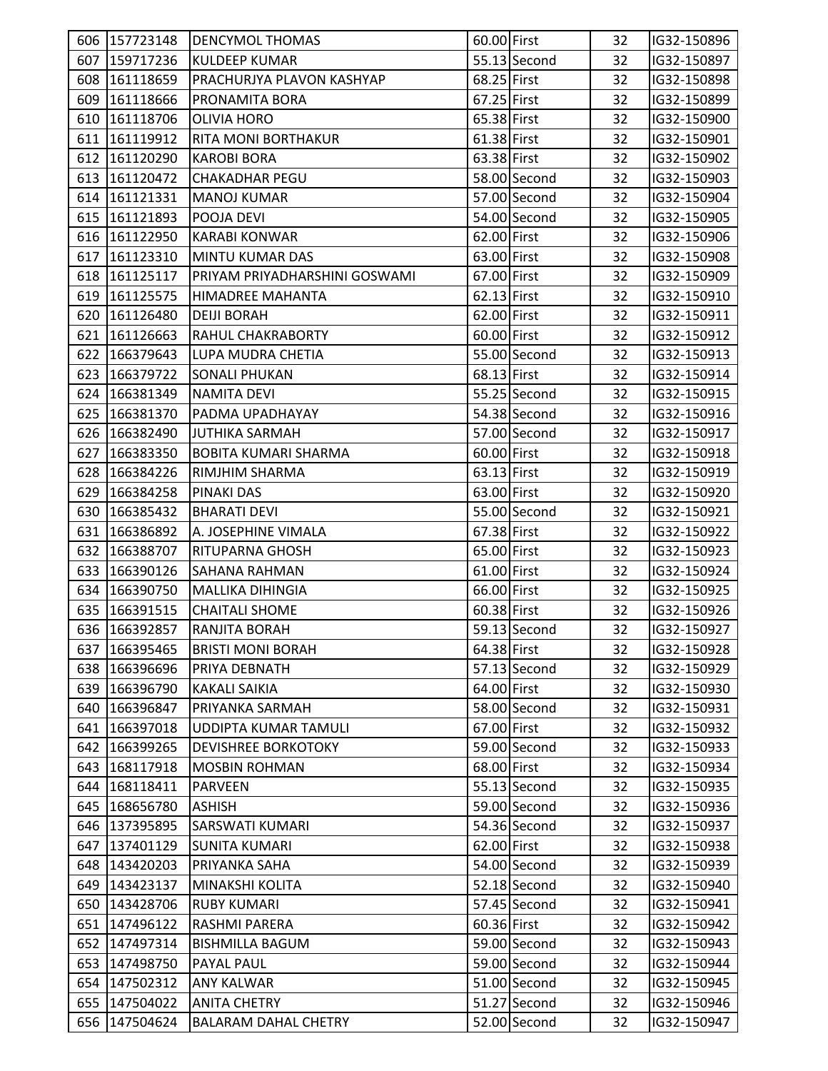| 607 | 606 157723148 | <b>DENCYMOL THOMAS</b>        | 60.00 First |              | 32<br>32 | IG32-150896 |  |
|-----|---------------|-------------------------------|-------------|--------------|----------|-------------|--|
|     | 159717236     | <b>KULDEEP KUMAR</b>          |             | 55.13 Second |          | IG32-150897 |  |
|     | 608 161118659 | PRACHURJYA PLAVON KASHYAP     | 68.25 First |              | 32       | IG32-150898 |  |
|     | 609 161118666 | PRONAMITA BORA                | 67.25 First |              | 32       | IG32-150899 |  |
|     | 610 161118706 | <b>OLIVIA HORO</b>            | 65.38 First |              | 32       | IG32-150900 |  |
|     | 611 161119912 | <b>RITA MONI BORTHAKUR</b>    | 61.38 First |              | 32       | IG32-150901 |  |
| 612 | 161120290     | <b>KAROBI BORA</b>            | 63.38 First |              | 32       | IG32-150902 |  |
|     | 613 161120472 | <b>CHAKADHAR PEGU</b>         |             | 58.00 Second | 32       | IG32-150903 |  |
|     | 614 161121331 | <b>MANOJ KUMAR</b>            |             | 57.00 Second | 32       | IG32-150904 |  |
|     | 615 161121893 | POOJA DEVI                    |             | 54.00 Second | 32       | IG32-150905 |  |
|     | 616 161122950 | <b>KARABI KONWAR</b>          | 62.00 First |              | 32       | IG32-150906 |  |
| 617 | 161123310     | MINTU KUMAR DAS               | 63.00 First |              | 32       | IG32-150908 |  |
|     | 618 161125117 | PRIYAM PRIYADHARSHINI GOSWAMI | 67.00 First |              | 32       | IG32-150909 |  |
|     | 619 161125575 | HIMADREE MAHANTA              | 62.13 First |              | 32       | IG32-150910 |  |
|     | 620 161126480 | <b>DEIJI BORAH</b>            | 62.00 First |              | 32       | IG32-150911 |  |
|     | 621 161126663 | RAHUL CHAKRABORTY             | 60.00 First |              | 32       | IG32-150912 |  |
|     | 622 166379643 | LUPA MUDRA CHETIA             |             | 55.00 Second | 32       | IG32-150913 |  |
| 623 | 166379722     | <b>SONALI PHUKAN</b>          | 68.13 First |              | 32       | IG32-150914 |  |
| 624 | 166381349     | <b>NAMITA DEVI</b>            |             | 55.25 Second | 32       | IG32-150915 |  |
|     | 625 166381370 | PADMA UPADHAYAY               |             | 54.38 Second | 32       | IG32-150916 |  |
|     | 626 166382490 | <b>JUTHIKA SARMAH</b>         |             | 57.00 Second | 32       | IG32-150917 |  |
| 627 | 166383350     | <b>BOBITA KUMARI SHARMA</b>   | 60.00 First |              | 32       | IG32-150918 |  |
|     | 628 166384226 | RIMJHIM SHARMA                | 63.13 First |              | 32       | IG32-150919 |  |
| 629 | 166384258     | PINAKI DAS                    | 63.00 First |              | 32       | IG32-150920 |  |
| 630 | 166385432     | <b>BHARATI DEVI</b>           |             | 55.00 Second | 32       | IG32-150921 |  |
| 631 | 166386892     | A. JOSEPHINE VIMALA           | 67.38 First |              | 32       | IG32-150922 |  |
|     | 632 166388707 | RITUPARNA GHOSH               | 65.00 First |              | 32       | IG32-150923 |  |
|     | 633 166390126 | <b>SAHANA RAHMAN</b>          | 61.00 First |              | 32       | IG32-150924 |  |
|     | 634 166390750 | <b>MALLIKA DIHINGIA</b>       | 66.00 First |              | 32       | IG32-150925 |  |
| 635 | 166391515     | <b>CHAITALI SHOME</b>         | 60.38 First |              | 32       | IG32-150926 |  |
|     | 636 166392857 | <b>RANJITA BORAH</b>          |             | 59.13 Second | 32       | IG32-150927 |  |
|     | 637 166395465 | <b>BRISTI MONI BORAH</b>      | 64.38 First |              | 32       | IG32-150928 |  |
|     | 638 166396696 | PRIYA DEBNATH                 |             | 57.13 Second | 32       | IG32-150929 |  |
|     | 639 166396790 | <b>KAKALI SAIKIA</b>          | 64.00 First |              | 32       | IG32-150930 |  |
|     | 640 166396847 | PRIYANKA SARMAH               |             | 58.00 Second | 32       | IG32-150931 |  |
|     | 641 166397018 | UDDIPTA KUMAR TAMULI          | 67.00 First |              | 32       | IG32-150932 |  |
|     | 642 166399265 | <b>DEVISHREE BORKOTOKY</b>    |             | 59.00 Second | 32       | IG32-150933 |  |
| 643 | 168117918     | <b>MOSBIN ROHMAN</b>          | 68.00 First |              | 32       | IG32-150934 |  |
|     | 644 168118411 | <b>PARVEEN</b>                |             | 55.13 Second | 32       | IG32-150935 |  |
|     | 645 168656780 | <b>ASHISH</b>                 |             | 59.00 Second | 32       | IG32-150936 |  |
|     | 646 137395895 | <b>SARSWATI KUMARI</b>        |             | 54.36 Second | 32       | IG32-150937 |  |
|     | 647 137401129 | <b>SUNITA KUMARI</b>          | 62.00 First |              | 32       |             |  |
|     |               |                               |             | 54.00 Second |          | IG32-150938 |  |
| 648 | 143420203     | PRIYANKA SAHA                 |             |              | 32       | IG32-150939 |  |
| 649 | 143423137     | MINAKSHI KOLITA               |             | 52.18 Second | 32       | IG32-150940 |  |
|     | 650 143428706 | <b>RUBY KUMARI</b>            |             | 57.45 Second | 32       | IG32-150941 |  |
|     | 651 147496122 | RASHMI PARERA                 | 60.36 First |              | 32       | IG32-150942 |  |
|     | 652 147497314 | <b>BISHMILLA BAGUM</b>        |             | 59.00 Second | 32       | IG32-150943 |  |
| 653 | 147498750     | PAYAL PAUL                    |             | 59.00 Second | 32       | IG32-150944 |  |
|     | 654 147502312 | <b>ANY KALWAR</b>             |             | 51.00 Second | 32       | IG32-150945 |  |
| 655 | 147504022     | <b>ANITA CHETRY</b>           |             | 51.27 Second | 32       | IG32-150946 |  |
|     | 656 147504624 | <b>BALARAM DAHAL CHETRY</b>   |             | 52.00 Second | 32       | IG32-150947 |  |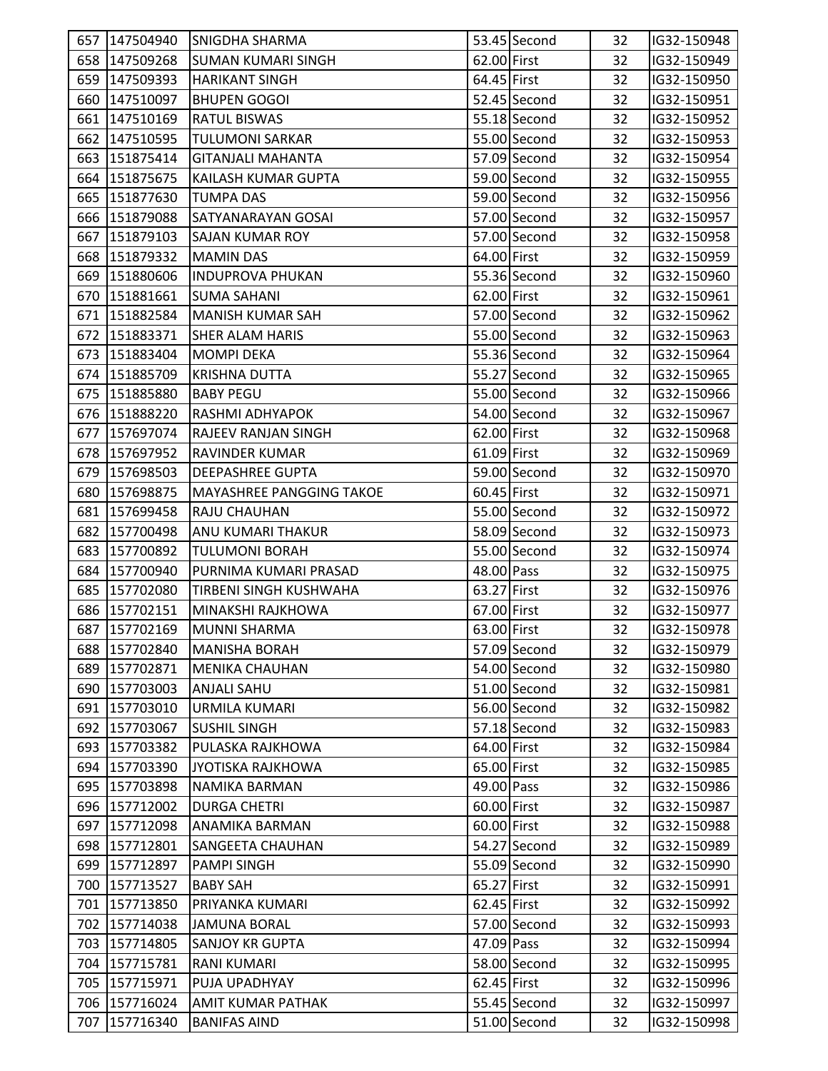|     | 657 147504940 | <b>SNIGDHA SHARMA</b>           |             | 53.45 Second | 32 | IG32-150948 |  |
|-----|---------------|---------------------------------|-------------|--------------|----|-------------|--|
|     | 658 147509268 | ISUMAN KUMARI SINGH             | 62.00 First |              | 32 | IG32-150949 |  |
|     | 659 147509393 | <b>HARIKANT SINGH</b>           | 64.45 First |              | 32 | IG32-150950 |  |
|     | 660 147510097 | <b>BHUPEN GOGOI</b>             |             | 52.45 Second | 32 | IG32-150951 |  |
|     | 661 147510169 | <b>RATUL BISWAS</b>             |             | 55.18 Second | 32 | IG32-150952 |  |
|     | 662 147510595 | <b>TULUMONI SARKAR</b>          |             | 55.00 Second | 32 | IG32-150953 |  |
|     | 663 151875414 | <b>GITANJALI MAHANTA</b>        |             | 57.09 Second | 32 | IG32-150954 |  |
|     | 664 151875675 | KAILASH KUMAR GUPTA             |             | 59.00 Second | 32 | IG32-150955 |  |
| 665 | 151877630     | <b>TUMPA DAS</b>                |             | 59.00 Second | 32 | IG32-150956 |  |
|     | 666 151879088 | SATYANARAYAN GOSAI              |             | 57.00 Second | 32 | IG32-150957 |  |
|     | 667 151879103 | <b>SAJAN KUMAR ROY</b>          |             | 57.00 Second | 32 | IG32-150958 |  |
| 668 | 151879332     | <b>MAMIN DAS</b>                | 64.00 First |              | 32 | IG32-150959 |  |
|     | 669 151880606 | <b>INDUPROVA PHUKAN</b>         |             | 55.36 Second | 32 | IG32-150960 |  |
|     | 670 151881661 | ISUMA SAHANI                    | 62.00 First |              | 32 | IG32-150961 |  |
|     | 671 151882584 | <b>MANISH KUMAR SAH</b>         |             | 57.00 Second | 32 | IG32-150962 |  |
|     | 672 151883371 | <b>SHER ALAM HARIS</b>          |             | 55.00 Second | 32 | IG32-150963 |  |
| 673 | 151883404     | <b>MOMPI DEKA</b>               |             | 55.36 Second | 32 | IG32-150964 |  |
|     | 674 151885709 | <b>KRISHNA DUTTA</b>            |             | 55.27 Second | 32 | IG32-150965 |  |
|     | 675 151885880 | <b>BABY PEGU</b>                |             | 55.00 Second | 32 | IG32-150966 |  |
|     | 676 151888220 | <b>RASHMI ADHYAPOK</b>          |             | 54.00 Second | 32 | IG32-150967 |  |
|     | 677 157697074 | <b>RAJEEV RANJAN SINGH</b>      | 62.00 First |              | 32 | IG32-150968 |  |
|     | 678 157697952 | RAVINDER KUMAR                  | 61.09 First |              | 32 | IG32-150969 |  |
|     | 679 157698503 | DEEPASHREE GUPTA                |             | 59.00 Second | 32 | IG32-150970 |  |
|     | 680 157698875 | <b>MAYASHREE PANGGING TAKOE</b> | 60.45 First |              | 32 | IG32-150971 |  |
|     | 681 157699458 | RAJU CHAUHAN                    |             | 55.00 Second | 32 | IG32-150972 |  |
|     | 682 157700498 | ANU KUMARI THAKUR               |             | 58.09 Second | 32 | IG32-150973 |  |
|     | 683 157700892 | <b>TULUMONI BORAH</b>           |             | 55.00 Second | 32 | IG32-150974 |  |
|     | 684 157700940 | PURNIMA KUMARI PRASAD           | 48.00 Pass  |              | 32 | IG32-150975 |  |
|     | 685 157702080 | TIRBENI SINGH KUSHWAHA          | 63.27 First |              | 32 | IG32-150976 |  |
|     | 686 157702151 | MINAKSHI RAJKHOWA               | 67.00 First |              | 32 | IG32-150977 |  |
|     | 687 157702169 | MUNNI SHARMA                    | 63.00 First |              | 32 | IG32-150978 |  |
|     | 688 157702840 | MANISHA BORAH                   |             | 57.09 Second | 32 | IG32-150979 |  |
| 689 | 157702871     | <b>MENIKA CHAUHAN</b>           |             | 54.00 Second | 32 | IG32-150980 |  |
|     | 690 157703003 | <b>ANJALI SAHU</b>              |             | 51.00 Second | 32 | IG32-150981 |  |
|     | 691 157703010 | <b>URMILA KUMARI</b>            |             | 56.00 Second | 32 | IG32-150982 |  |
| 692 | 157703067     | <b>SUSHIL SINGH</b>             |             | 57.18 Second | 32 | IG32-150983 |  |
| 693 | 157703382     | PULASKA RAJKHOWA                | 64.00 First |              | 32 | IG32-150984 |  |
|     | 694 157703390 | JYOTISKA RAJKHOWA               | 65.00 First |              | 32 | IG32-150985 |  |
|     | 695 157703898 | NAMIKA BARMAN                   | 49.00 Pass  |              | 32 | IG32-150986 |  |
| 696 | 157712002     | <b>DURGA CHETRI</b>             | 60.00 First |              | 32 | IG32-150987 |  |
|     | 697 157712098 | ANAMIKA BARMAN                  | 60.00 First |              | 32 | IG32-150988 |  |
|     | 698 157712801 | <b>SANGEETA CHAUHAN</b>         |             | 54.27 Second | 32 | IG32-150989 |  |
| 699 | 157712897     | <b>PAMPI SINGH</b>              |             | 55.09 Second | 32 | IG32-150990 |  |
|     | 700 157713527 | <b>BABY SAH</b>                 | 65.27 First |              | 32 | IG32-150991 |  |
|     | 701 157713850 | PRIYANKA KUMARI                 | 62.45 First |              | 32 | IG32-150992 |  |
|     | 702 157714038 | <b>JAMUNA BORAL</b>             |             | 57.00 Second | 32 | IG32-150993 |  |
|     | 703 157714805 | <b>SANJOY KR GUPTA</b>          | 47.09 Pass  |              | 32 | IG32-150994 |  |
|     | 704 157715781 | <b>RANI KUMARI</b>              |             | 58.00 Second | 32 | IG32-150995 |  |
| 705 | 157715971     | PUJA UPADHYAY                   | 62.45 First |              | 32 | IG32-150996 |  |
|     | 706 157716024 | <b>AMIT KUMAR PATHAK</b>        |             | 55.45 Second | 32 | IG32-150997 |  |
| 707 | 157716340     | <b>BANIFAS AIND</b>             |             | 51.00 Second | 32 | IG32-150998 |  |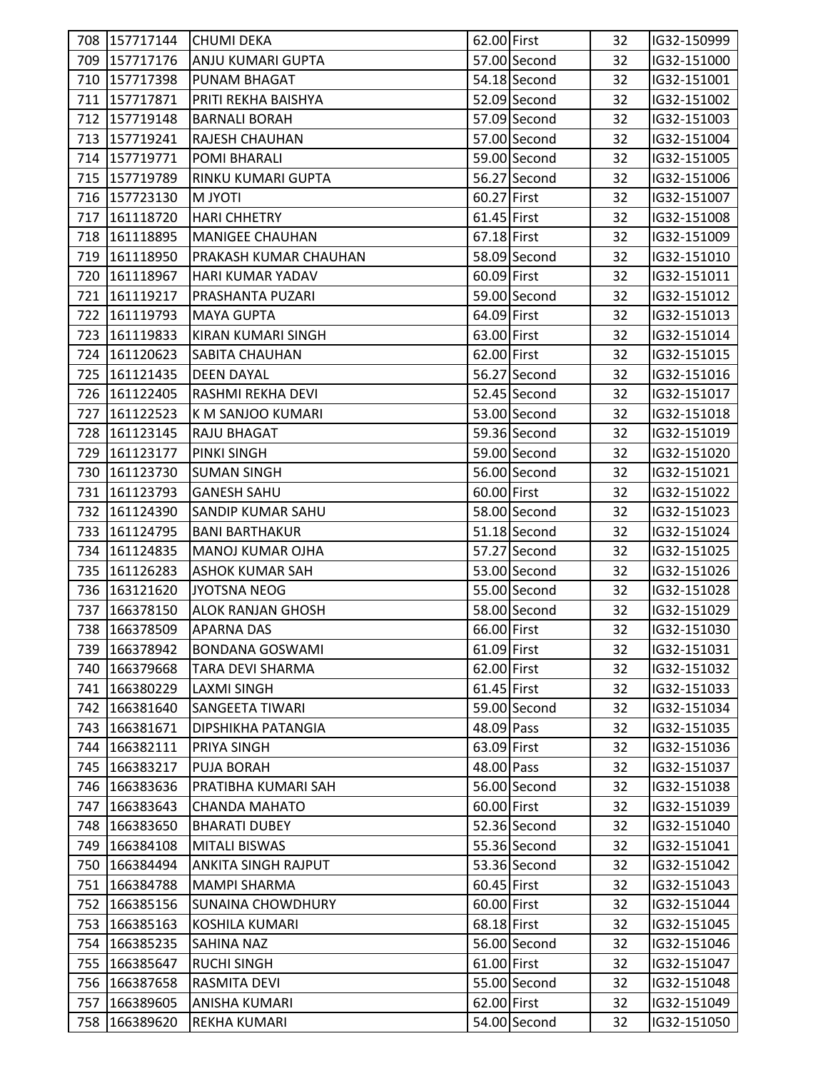|     | 708 157717144 | <b>CHUMI DEKA</b>         | 62.00 First   |              | 32 | IG32-150999 |  |
|-----|---------------|---------------------------|---------------|--------------|----|-------------|--|
|     | 709 157717176 | <b>ANJU KUMARI GUPTA</b>  |               | 57.00 Second | 32 | IG32-151000 |  |
|     | 710 157717398 | PUNAM BHAGAT              |               | 54.18 Second | 32 | IG32-151001 |  |
|     | 711 157717871 | PRITI REKHA BAISHYA       |               | 52.09 Second | 32 | IG32-151002 |  |
|     | 712 157719148 | <b>BARNALI BORAH</b>      |               | 57.09 Second | 32 | IG32-151003 |  |
|     | 713 157719241 | RAJESH CHAUHAN            |               | 57.00 Second | 32 | IG32-151004 |  |
|     | 714 157719771 | POMI BHARALI              |               | 59.00 Second | 32 | IG32-151005 |  |
|     | 715 157719789 | RINKU KUMARI GUPTA        |               | 56.27 Second | 32 | IG32-151006 |  |
|     | 716 157723130 | <b>ITOYL M</b>            | 60.27 First   |              | 32 | IG32-151007 |  |
|     | 717 161118720 | <b>HARI CHHETRY</b>       | $61.45$ First |              | 32 | IG32-151008 |  |
|     | 718 161118895 | <b>MANIGEE CHAUHAN</b>    | 67.18 First   |              | 32 | IG32-151009 |  |
|     | 719 161118950 | PRAKASH KUMAR CHAUHAN     |               | 58.09 Second | 32 | IG32-151010 |  |
|     | 720 161118967 | HARI KUMAR YADAV          | 60.09 First   |              | 32 | IG32-151011 |  |
|     | 721 161119217 | PRASHANTA PUZARI          |               | 59.00 Second | 32 | IG32-151012 |  |
|     | 722 161119793 | <b>MAYA GUPTA</b>         | 64.09 First   |              | 32 | IG32-151013 |  |
|     | 723 161119833 | <b>KIRAN KUMARI SINGH</b> | 63.00 First   |              | 32 | IG32-151014 |  |
|     | 724 161120623 | SABITA CHAUHAN            | 62.00 First   |              | 32 | IG32-151015 |  |
|     | 725 161121435 | <b>DEEN DAYAL</b>         |               | 56.27 Second | 32 | IG32-151016 |  |
|     | 726 161122405 | RASHMI REKHA DEVI         |               | 52.45 Second | 32 | IG32-151017 |  |
|     | 727 161122523 | K M SANJOO KUMARI         |               | 53.00 Second | 32 | IG32-151018 |  |
|     | 728 161123145 | <b>RAJU BHAGAT</b>        |               | 59.36 Second | 32 | IG32-151019 |  |
|     | 729 161123177 | <b>PINKI SINGH</b>        |               | 59.00 Second | 32 | IG32-151020 |  |
|     | 730 161123730 | <b>SUMAN SINGH</b>        |               | 56.00 Second | 32 | IG32-151021 |  |
|     | 731 161123793 | <b>GANESH SAHU</b>        | 60.00 First   |              | 32 | IG32-151022 |  |
|     | 732 161124390 | SANDIP KUMAR SAHU         |               | 58.00 Second | 32 | IG32-151023 |  |
|     | 733 161124795 | <b>BANI BARTHAKUR</b>     |               | 51.18 Second | 32 | IG32-151024 |  |
|     | 734 161124835 | <b>MANOJ KUMAR OJHA</b>   |               | 57.27 Second | 32 | IG32-151025 |  |
|     | 735 161126283 | <b>ASHOK KUMAR SAH</b>    |               | 53.00 Second | 32 | IG32-151026 |  |
|     | 736 163121620 | <b>JYOTSNA NEOG</b>       |               | 55.00 Second | 32 | IG32-151028 |  |
|     | 737 166378150 | <b>ALOK RANJAN GHOSH</b>  |               | 58.00 Second | 32 | IG32-151029 |  |
|     | 738 166378509 | <b>APARNA DAS</b>         | 66.00 First   |              | 32 | IG32-151030 |  |
|     | 739 166378942 | <b>BONDANA GOSWAMI</b>    | 61.09 First   |              | 32 | IG32-151031 |  |
| 740 | 166379668     | <b>TARA DEVI SHARMA</b>   | 62.00 First   |              | 32 | IG32-151032 |  |
| 741 | 166380229     | <b>LAXMI SINGH</b>        | 61.45 First   |              | 32 | IG32-151033 |  |
|     | 742 166381640 | <b>SANGEETA TIWARI</b>    |               | 59.00 Second | 32 | IG32-151034 |  |
| 743 | 166381671     | DIPSHIKHA PATANGIA        | 48.09 Pass    |              | 32 | IG32-151035 |  |
| 744 | 166382111     | PRIYA SINGH               | 63.09 First   |              | 32 | IG32-151036 |  |
| 745 | 166383217     | <b>PUJA BORAH</b>         | 48.00 Pass    |              | 32 | IG32-151037 |  |
|     | 746 166383636 | PRATIBHA KUMARI SAH       |               | 56.00 Second | 32 | IG32-151038 |  |
| 747 | 166383643     | <b>CHANDA MAHATO</b>      | 60.00 First   |              |    |             |  |
|     |               |                           |               |              | 32 | IG32-151039 |  |
| 748 | 166383650     | <b>BHARATI DUBEY</b>      |               | 52.36 Second | 32 | IG32-151040 |  |
|     | 749 166384108 | <b>MITALI BISWAS</b>      |               | 55.36 Second | 32 | IG32-151041 |  |
| 750 | 166384494     | ANKITA SINGH RAJPUT       |               | 53.36 Second | 32 | IG32-151042 |  |
| 751 | 166384788     | <b>MAMPI SHARMA</b>       | 60.45 First   |              | 32 | IG32-151043 |  |
| 752 | 166385156     | <b>SUNAINA CHOWDHURY</b>  | 60.00 First   |              | 32 | IG32-151044 |  |
|     | 753 166385163 | KOSHILA KUMARI            | 68.18 First   |              | 32 | IG32-151045 |  |
|     | 754 166385235 | <b>SAHINA NAZ</b>         |               | 56.00 Second | 32 | IG32-151046 |  |
| 755 | 166385647     | <b>RUCHI SINGH</b>        | 61.00 First   |              | 32 | IG32-151047 |  |
| 756 | 166387658     | RASMITA DEVI              |               | 55.00 Second | 32 | IG32-151048 |  |
| 757 | 166389605     | ANISHA KUMARI             | 62.00 First   |              | 32 | IG32-151049 |  |
| 758 | 166389620     | REKHA KUMARI              |               | 54.00 Second | 32 | IG32-151050 |  |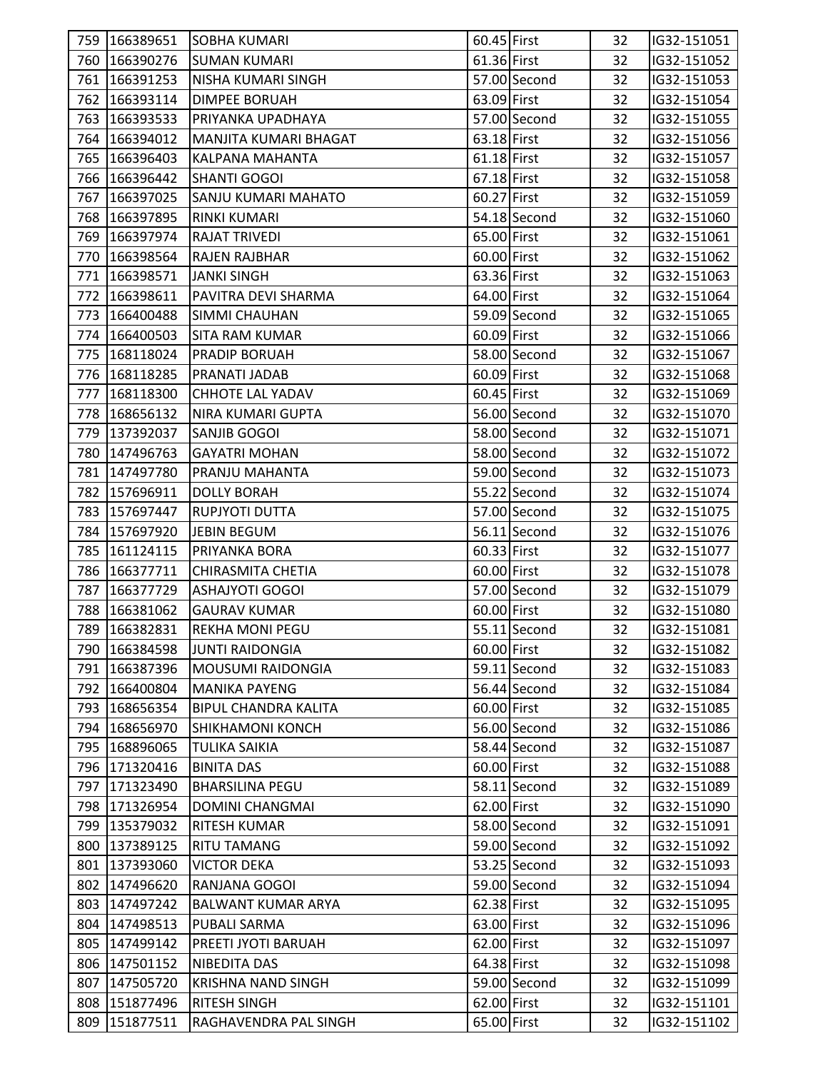|     | 759 166389651 | <b>SOBHA KUMARI</b>         | 60.45 First |                | 32 | IG32-151051 |  |
|-----|---------------|-----------------------------|-------------|----------------|----|-------------|--|
|     | 760 166390276 | <b>SUMAN KUMARI</b>         | 61.36 First |                | 32 | IG32-151052 |  |
|     | 761 166391253 | NISHA KUMARI SINGH          |             | 57.00 Second   | 32 | IG32-151053 |  |
|     | 762 166393114 | <b>DIMPEE BORUAH</b>        | 63.09 First |                | 32 | IG32-151054 |  |
|     | 763 166393533 | PRIYANKA UPADHAYA           |             | 57.00 Second   | 32 | IG32-151055 |  |
|     | 764 166394012 | MANJITA KUMARI BHAGAT       | 63.18 First |                | 32 | IG32-151056 |  |
|     | 765 166396403 | KALPANA MAHANTA             | 61.18 First |                | 32 | IG32-151057 |  |
|     | 766 166396442 | <b>SHANTI GOGOI</b>         | 67.18 First |                | 32 | IG32-151058 |  |
|     | 767 166397025 | SANJU KUMARI MAHATO         | 60.27 First |                | 32 | IG32-151059 |  |
| 768 | 166397895     | <b>RINKI KUMARI</b>         |             | 54.18 Second   | 32 | IG32-151060 |  |
| 769 | 166397974     | <b>RAJAT TRIVEDI</b>        | 65.00 First |                | 32 | IG32-151061 |  |
|     | 770 166398564 | <b>RAJEN RAJBHAR</b>        | 60.00 First |                | 32 | IG32-151062 |  |
|     | 771 166398571 | <b>JANKI SINGH</b>          | 63.36 First |                | 32 | IG32-151063 |  |
|     | 772 166398611 | PAVITRA DEVI SHARMA         | 64.00 First |                | 32 | IG32-151064 |  |
|     | 773 166400488 | SIMMI CHAUHAN               |             | 59.09 Second   | 32 | IG32-151065 |  |
|     | 774 166400503 | <b>SITA RAM KUMAR</b>       | 60.09 First |                | 32 | IG32-151066 |  |
|     | 775 168118024 | <b>PRADIP BORUAH</b>        |             | 58.00 Second   | 32 | IG32-151067 |  |
|     | 776 168118285 | PRANATI JADAB               | 60.09 First |                | 32 | IG32-151068 |  |
|     | 777 168118300 | <b>CHHOTE LAL YADAV</b>     | 60.45 First |                | 32 | IG32-151069 |  |
|     | 778 168656132 | NIRA KUMARI GUPTA           |             | 56.00 Second   | 32 | IG32-151070 |  |
|     | 779 137392037 | <b>SANJIB GOGOI</b>         |             | 58.00 Second   | 32 | IG32-151071 |  |
|     | 780 147496763 | <b>GAYATRI MOHAN</b>        |             | 58.00 Second   | 32 | IG32-151072 |  |
|     | 781 147497780 | PRANJU MAHANTA              |             | 59.00 Second   | 32 | IG32-151073 |  |
|     | 782 157696911 | <b>DOLLY BORAH</b>          |             | 55.22 Second   | 32 | IG32-151074 |  |
|     | 783 157697447 | RUPJYOTI DUTTA              |             | 57.00 Second   | 32 | IG32-151075 |  |
|     | 784 157697920 | JEBIN BEGUM                 |             | 56.11 Second   | 32 | IG32-151076 |  |
| 785 | 161124115     | PRIYANKA BORA               | 60.33 First |                | 32 | IG32-151077 |  |
|     | 786 166377711 | <b>CHIRASMITA CHETIA</b>    | 60.00 First |                | 32 | IG32-151078 |  |
| 787 | 166377729     | <b>ASHAJYOTI GOGOI</b>      |             | 57.00 Second   | 32 | IG32-151079 |  |
| 788 | 166381062     | <b>GAURAV KUMAR</b>         | 60.00 First |                | 32 | IG32-151080 |  |
|     | 789 166382831 | <b>REKHA MONI PEGU</b>      |             | $55.11$ Second | 32 | IG32-151081 |  |
|     | 790 166384598 | <b>JUNTI RAIDONGIA</b>      | 60.00 First |                | 32 | IG32-151082 |  |
|     | 791 166387396 | <b>MOUSUMI RAIDONGIA</b>    |             | 59.11 Second   | 32 | IG32-151083 |  |
| 792 | 166400804     | <b>MANIKA PAYENG</b>        |             | 56.44 Second   | 32 | IG32-151084 |  |
| 793 | 168656354     | <b>BIPUL CHANDRA KALITA</b> | 60.00 First |                | 32 | IG32-151085 |  |
| 794 | 168656970     | <b>SHIKHAMONI KONCH</b>     |             | 56.00 Second   | 32 | IG32-151086 |  |
| 795 | 168896065     | <b>TULIKA SAIKIA</b>        |             | 58.44 Second   | 32 | IG32-151087 |  |
|     | 796 171320416 | <b>BINITA DAS</b>           | 60.00 First |                | 32 | IG32-151088 |  |
|     | 797 171323490 | <b>BHARSILINA PEGU</b>      |             | 58.11 Second   | 32 | IG32-151089 |  |
| 798 | 171326954     | <b>DOMINI CHANGMAI</b>      | 62.00 First |                | 32 | IG32-151090 |  |
| 799 | 135379032     | RITESH KUMAR                |             | 58.00 Second   | 32 | IG32-151091 |  |
| 800 | 137389125     | <b>RITU TAMANG</b>          |             | 59.00 Second   | 32 | IG32-151092 |  |
|     | 801 137393060 | <b>VICTOR DEKA</b>          |             | 53.25 Second   | 32 | IG32-151093 |  |
| 802 | 147496620     | RANJANA GOGOI               |             | 59.00 Second   | 32 | IG32-151094 |  |
| 803 | 147497242     | BALWANT KUMAR ARYA          | 62.38 First |                | 32 | IG32-151095 |  |
|     | 804 147498513 | PUBALI SARMA                | 63.00 First |                | 32 | IG32-151096 |  |
| 805 | 147499142     | PREETI JYOTI BARUAH         | 62.00 First |                | 32 | IG32-151097 |  |
| 806 | 147501152     | NIBEDITA DAS                | 64.38 First |                | 32 | IG32-151098 |  |
| 807 | 147505720     | <b>KRISHNA NAND SINGH</b>   |             | 59.00 Second   | 32 | IG32-151099 |  |
| 808 | 151877496     | <b>RITESH SINGH</b>         | 62.00 First |                | 32 | IG32-151101 |  |
|     | 809 151877511 | RAGHAVENDRA PAL SINGH       | 65.00 First |                | 32 | IG32-151102 |  |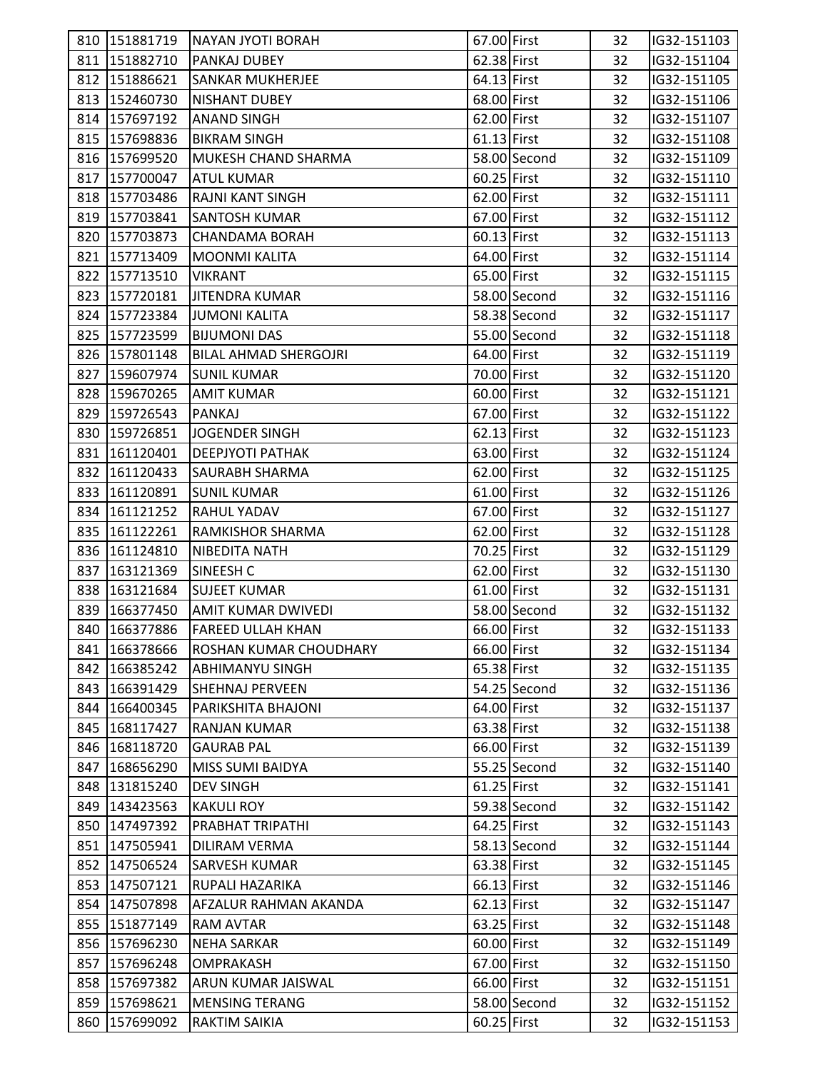|     | 810 151881719   | <b>NAYAN JYOTI BORAH</b>      | 67.00 First   |              | 32 | IG32-151103 |  |
|-----|-----------------|-------------------------------|---------------|--------------|----|-------------|--|
|     | 811 151882710   | PANKAJ DUBEY                  | 62.38 First   |              | 32 | IG32-151104 |  |
|     | 812 151886621   | <b>SANKAR MUKHERJEE</b>       | 64.13 First   |              | 32 | IG32-151105 |  |
|     | 813 152460730   | <b>NISHANT DUBEY</b>          | 68.00 First   |              | 32 | IG32-151106 |  |
|     | 814 157697192   | <b>ANAND SINGH</b>            | 62.00 First   |              | 32 | IG32-151107 |  |
|     | 815 157698836   | <b>BIKRAM SINGH</b>           | $61.13$ First |              | 32 | IG32-151108 |  |
|     | 816 157699520   | <b>MUKESH CHAND SHARMA</b>    |               | 58.00 Second | 32 | IG32-151109 |  |
|     | 817 157700047   | <b>ATUL KUMAR</b>             | 60.25 First   |              | 32 | IG32-151110 |  |
|     | 818 157703486   | <b>RAJNI KANT SINGH</b>       | 62.00 First   |              | 32 | IG32-151111 |  |
|     | 819 157703841   | SANTOSH KUMAR                 | 67.00 First   |              | 32 | IG32-151112 |  |
|     | 820 157703873   | <b>CHANDAMA BORAH</b>         | 60.13 First   |              | 32 | IG32-151113 |  |
|     | 821 157713409   | <b>MOONMI KALITA</b>          | 64.00 First   |              | 32 | IG32-151114 |  |
|     | 822 157713510   | <b>VIKRANT</b>                | 65.00 First   |              | 32 | IG32-151115 |  |
|     | 823 157720181   | JITENDRA KUMAR                |               | 58.00 Second | 32 | IG32-151116 |  |
|     | 824 157723384   | <b>JUMONI KALITA</b>          |               | 58.38 Second | 32 | IG32-151117 |  |
|     | 825 157723599   | <b>BIJUMONI DAS</b>           |               | 55.00 Second | 32 | IG32-151118 |  |
|     | 826 157801148   | <b>BILAL AHMAD SHERGOJRI</b>  | 64.00 First   |              | 32 | IG32-151119 |  |
|     | 827 159607974   | <b>SUNIL KUMAR</b>            | 70.00 First   |              | 32 | IG32-151120 |  |
|     | 828 159670265   | <b>AMIT KUMAR</b>             | 60.00 First   |              | 32 | IG32-151121 |  |
|     | 829 159726543   | PANKAJ                        | 67.00 First   |              | 32 | IG32-151122 |  |
|     | 830 159726851   | JOGENDER SINGH                | 62.13 First   |              | 32 | IG32-151123 |  |
|     | 831 161120401   | <b>DEEPJYOTI PATHAK</b>       | 63.00 First   |              | 32 | IG32-151124 |  |
|     | 832 161120433   | <b>SAURABH SHARMA</b>         | 62.00 First   |              | 32 | IG32-151125 |  |
|     | 833 161120891   | <b>SUNIL KUMAR</b>            | 61.00 First   |              | 32 | IG32-151126 |  |
|     | 834 161121252   | <b>RAHUL YADAV</b>            | 67.00 First   |              | 32 | IG32-151127 |  |
|     | 835 161122261   | <b>RAMKISHOR SHARMA</b>       | 62.00 First   |              | 32 | IG32-151128 |  |
|     | 836 161124810   | NIBEDITA NATH                 | 70.25 First   |              | 32 | IG32-151129 |  |
|     | 837 163121369   | SINEESH C                     | 62.00 First   |              | 32 | IG32-151130 |  |
|     | 838 163121684   | <b>SUJEET KUMAR</b>           | 61.00 First   |              | 32 | IG32-151131 |  |
|     | 839 166377450   | <b>AMIT KUMAR DWIVEDI</b>     |               | 58.00 Second | 32 | IG32-151132 |  |
|     | 840 166377886   | <b>FAREED ULLAH KHAN</b>      | 66.00 First   |              | 32 | IG32-151133 |  |
|     | 841 166378666   | <b>ROSHAN KUMAR CHOUDHARY</b> | 66.00 First   |              | 32 | IG32-151134 |  |
|     | 842 166385242   | <b>ABHIMANYU SINGH</b>        | 65.38 First   |              | 32 | IG32-151135 |  |
|     | 843 166391429   | <b>SHEHNAJ PERVEEN</b>        |               | 54.25 Second | 32 | IG32-151136 |  |
|     | 844 166400345   | PARIKSHITA BHAJONI            | 64.00 First   |              | 32 | IG32-151137 |  |
| 845 | 168117427       | <b>RANJAN KUMAR</b>           | 63.38 First   |              | 32 | IG32-151138 |  |
|     | 846 168118720   | <b>GAURAB PAL</b>             | 66.00 First   |              | 32 | IG32-151139 |  |
|     | 847 168656290   | <b>MISS SUMI BAIDYA</b>       |               | 55.25 Second | 32 | IG32-151140 |  |
|     | 848 131815240   | <b>DEV SINGH</b>              | 61.25 First   |              | 32 | IG32-151141 |  |
|     | 849 143423563   | <b>KAKULI ROY</b>             |               | 59.38 Second | 32 | IG32-151142 |  |
|     | 850 147497392   | PRABHAT TRIPATHI              | 64.25 First   |              | 32 | IG32-151143 |  |
|     | 851 147505941   | DILIRAM VERMA                 |               | 58.13 Second | 32 | IG32-151144 |  |
|     | 852 147506524   | <b>SARVESH KUMAR</b>          | 63.38 First   |              | 32 | IG32-151145 |  |
|     | 853 147507121   | RUPALI HAZARIKA               | 66.13 First   |              | 32 | IG32-151146 |  |
|     | 854 147507898   | AFZALUR RAHMAN AKANDA         | 62.13 First   |              | 32 | IG32-151147 |  |
|     | 855   151877149 | <b>RAM AVTAR</b>              | 63.25 First   |              | 32 | IG32-151148 |  |
|     | 856 157696230   | <b>NEHA SARKAR</b>            | 60.00 First   |              | 32 | IG32-151149 |  |
|     | 857 157696248   | <b>OMPRAKASH</b>              | 67.00 First   |              | 32 | IG32-151150 |  |
|     | 858 157697382   | ARUN KUMAR JAISWAL            | 66.00 First   |              | 32 | IG32-151151 |  |
|     | 859 157698621   | <b>MENSING TERANG</b>         |               | 58.00 Second | 32 | IG32-151152 |  |
|     | 860 157699092   | RAKTIM SAIKIA                 | 60.25 First   |              | 32 | IG32-151153 |  |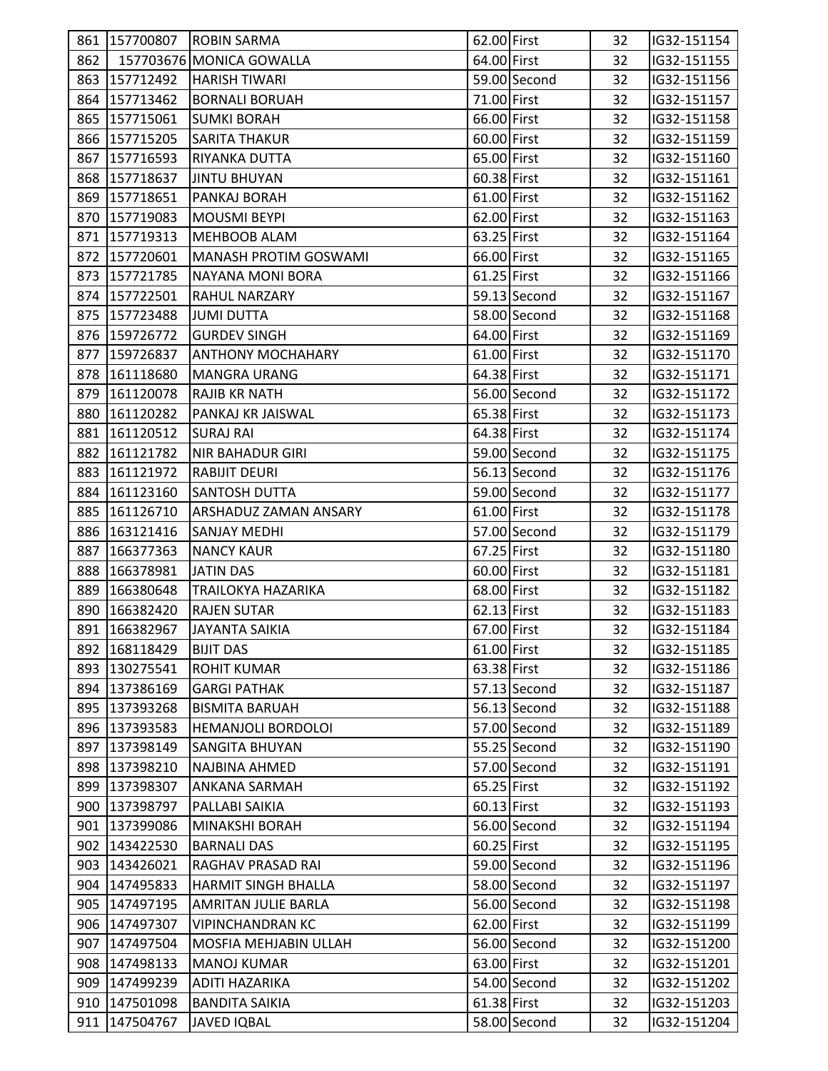|     | 861 157700807 | <b>ROBIN SARMA</b>        | 62.00 First |              | 32 | IG32-151154 |  |
|-----|---------------|---------------------------|-------------|--------------|----|-------------|--|
| 862 |               | 157703676 MONICA GOWALLA  | 64.00 First |              | 32 | IG32-151155 |  |
|     | 863 157712492 | <b>HARISH TIWARI</b>      |             | 59.00 Second | 32 | IG32-151156 |  |
|     | 864 157713462 | <b>BORNALI BORUAH</b>     | 71.00 First |              | 32 | IG32-151157 |  |
|     | 865 157715061 | <b>SUMKI BORAH</b>        | 66.00 First |              | 32 | IG32-151158 |  |
|     |               |                           |             |              |    |             |  |
|     | 866 157715205 | <b>SARITA THAKUR</b>      | 60.00 First |              | 32 | IG32-151159 |  |
|     | 867 157716593 | RIYANKA DUTTA             | 65.00 First |              | 32 | IG32-151160 |  |
|     | 868 157718637 | <b>JINTU BHUYAN</b>       | 60.38 First |              | 32 | IG32-151161 |  |
|     | 869 157718651 | PANKAJ BORAH              | 61.00 First |              | 32 | IG32-151162 |  |
|     | 870 157719083 | <b>MOUSMI BEYPI</b>       | 62.00 First |              | 32 | IG32-151163 |  |
|     | 871 157719313 | <b>MEHBOOB ALAM</b>       | 63.25 First |              | 32 | IG32-151164 |  |
| 872 | 157720601     | MANASH PROTIM GOSWAMI     | 66.00 First |              | 32 | IG32-151165 |  |
|     | 873 157721785 | NAYANA MONI BORA          | 61.25 First |              | 32 | IG32-151166 |  |
|     | 874 157722501 | <b>RAHUL NARZARY</b>      |             | 59.13 Second | 32 | IG32-151167 |  |
|     | 875 157723488 | <b>JUMI DUTTA</b>         |             | 58.00 Second | 32 | IG32-151168 |  |
|     | 876 159726772 | <b>GURDEV SINGH</b>       | 64.00 First |              | 32 | IG32-151169 |  |
|     | 877 159726837 | <b>ANTHONY MOCHAHARY</b>  | 61.00 First |              | 32 | IG32-151170 |  |
|     | 878 161118680 | <b>MANGRA URANG</b>       | 64.38 First |              | 32 | IG32-151171 |  |
| 879 | 161120078     | <b>RAJIB KR NATH</b>      |             | 56.00 Second | 32 | IG32-151172 |  |
|     | 880 161120282 | PANKAJ KR JAISWAL         | 65.38 First |              | 32 | IG32-151173 |  |
|     | 881 161120512 | <b>SURAJ RAI</b>          | 64.38 First |              | 32 | IG32-151174 |  |
|     | 882 161121782 | <b>NIR BAHADUR GIRI</b>   |             | 59.00 Second | 32 | IG32-151175 |  |
|     | 883 161121972 | <b>RABIJIT DEURI</b>      |             | 56.13 Second | 32 | IG32-151176 |  |
|     | 884 161123160 | <b>SANTOSH DUTTA</b>      |             | 59.00 Second | 32 | IG32-151177 |  |
|     | 885 161126710 | ARSHADUZ ZAMAN ANSARY     | 61.00 First |              | 32 | IG32-151178 |  |
|     | 886 163121416 | <b>SANJAY MEDHI</b>       |             | 57.00 Second | 32 | IG32-151179 |  |
| 887 | 166377363     | <b>NANCY KAUR</b>         | 67.25 First |              | 32 | IG32-151180 |  |
| 888 | 166378981     | <b>JATIN DAS</b>          | 60.00 First |              | 32 | IG32-151181 |  |
|     | 889 166380648 | <b>TRAILOKYA HAZARIKA</b> | 68.00 First |              | 32 | IG32-151182 |  |
| 890 | 166382420     | <b>RAJEN SUTAR</b>        | 62.13 First |              | 32 | IG32-151183 |  |
|     | 891 166382967 | JAYANTA SAIKIA            | 67.00 First |              | 32 | IG32-151184 |  |
|     | 892 168118429 | <b>BIJIT DAS</b>          | 61.00 First |              | 32 | IG32-151185 |  |
|     | 893 130275541 | <b>ROHIT KUMAR</b>        | 63.38 First |              | 32 | IG32-151186 |  |
|     | 894 137386169 | <b>GARGI PATHAK</b>       |             | 57.13 Second | 32 | IG32-151187 |  |
| 895 | 137393268     | <b>BISMITA BARUAH</b>     |             | 56.13 Second | 32 | IG32-151188 |  |
|     | 896 137393583 | HEMANJOLI BORDOLOI        |             | 57.00 Second | 32 | IG32-151189 |  |
|     | 897 137398149 | <b>SANGITA BHUYAN</b>     |             | 55.25 Second | 32 | IG32-151190 |  |
|     | 898 137398210 | NAJBINA AHMED             |             | 57.00 Second | 32 | IG32-151191 |  |
| 899 | 137398307     | ANKANA SARMAH             | 65.25 First |              | 32 | IG32-151192 |  |
|     | 900 137398797 | PALLABI SAIKIA            | 60.13 First |              | 32 | IG32-151193 |  |
|     | 901 137399086 | MINAKSHI BORAH            |             | 56.00 Second | 32 | IG32-151194 |  |
|     | 902 143422530 | <b>BARNALI DAS</b>        | 60.25 First |              | 32 | IG32-151195 |  |
| 903 | 143426021     | RAGHAV PRASAD RAI         |             | 59.00 Second | 32 | IG32-151196 |  |
| 904 | 147495833     | HARMIT SINGH BHALLA       |             | 58.00 Second | 32 | IG32-151197 |  |
|     | 905 147497195 | AMRITAN JULIE BARLA       |             | 56.00 Second | 32 | IG32-151198 |  |
|     | 906 147497307 | <b>VIPINCHANDRAN KC</b>   | 62.00 First |              | 32 | IG32-151199 |  |
|     | 907 147497504 | MOSFIA MEHJABIN ULLAH     |             | 56.00 Second | 32 | IG32-151200 |  |
| 908 | 147498133     | <b>MANOJ KUMAR</b>        | 63.00 First |              | 32 | IG32-151201 |  |
| 909 | 147499239     | <b>ADITI HAZARIKA</b>     |             | 54.00 Second | 32 | IG32-151202 |  |
| 910 | 147501098     | <b>BANDITA SAIKIA</b>     | 61.38 First |              | 32 | IG32-151203 |  |
| 911 | 147504767     | <b>JAVED IQBAL</b>        |             | 58.00 Second | 32 | IG32-151204 |  |
|     |               |                           |             |              |    |             |  |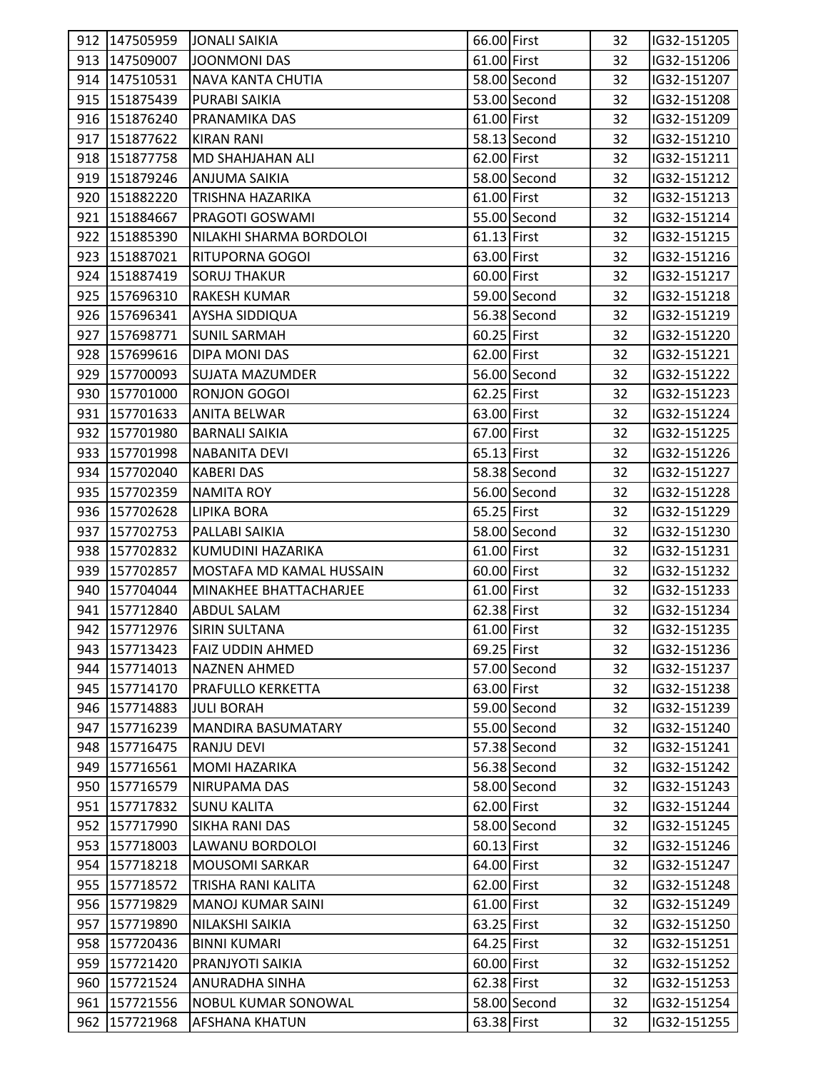|     | 912 147505959   | <b>JONALI SAIKIA</b>       | 66.00 First   |              | 32 | IG32-151205 |  |
|-----|-----------------|----------------------------|---------------|--------------|----|-------------|--|
|     | 913 147509007   | JOONMONI DAS               | 61.00 First   |              | 32 | IG32-151206 |  |
|     | 914 147510531   | NAVA KANTA CHUTIA          |               | 58.00 Second | 32 | IG32-151207 |  |
|     | 915 151875439   | PURABI SAIKIA              |               | 53.00 Second | 32 | IG32-151208 |  |
|     | 916 151876240   | PRANAMIKA DAS              | 61.00 First   |              | 32 | IG32-151209 |  |
|     | 917   151877622 | <b>KIRAN RANI</b>          |               | 58.13 Second | 32 | IG32-151210 |  |
|     | 918   151877758 | MD SHAHJAHAN ALI           | 62.00 First   |              | 32 | IG32-151211 |  |
|     | 919 151879246   | <b>ANJUMA SAIKIA</b>       |               | 58.00 Second | 32 | IG32-151212 |  |
|     | 920 151882220   | TRISHNA HAZARIKA           | 61.00 First   |              | 32 | IG32-151213 |  |
|     | 921 151884667   | PRAGOTI GOSWAMI            |               | 55.00 Second | 32 | IG32-151214 |  |
|     | 922 151885390   | NILAKHI SHARMA BORDOLOI    | $61.13$ First |              | 32 | IG32-151215 |  |
|     | 923 151887021   | <b>RITUPORNA GOGOI</b>     | 63.00 First   |              | 32 | IG32-151216 |  |
|     | 924 151887419   | <b>SORUJ THAKUR</b>        | 60.00 First   |              | 32 | IG32-151217 |  |
|     | 925 157696310   | <b>RAKESH KUMAR</b>        |               | 59.00 Second | 32 | IG32-151218 |  |
|     | 926 157696341   | <b>AYSHA SIDDIQUA</b>      |               | 56.38 Second | 32 | IG32-151219 |  |
|     | 927 157698771   | <b>SUNIL SARMAH</b>        | 60.25 First   |              | 32 | IG32-151220 |  |
|     | 928 157699616   | DIPA MONI DAS              | 62.00 First   |              | 32 | IG32-151221 |  |
|     | 929 157700093   | <b>SUJATA MAZUMDER</b>     |               | 56.00 Second | 32 | IG32-151222 |  |
|     | 930 157701000   | <b>RONJON GOGOI</b>        | 62.25 First   |              | 32 | IG32-151223 |  |
|     | 931 157701633   | <b>ANITA BELWAR</b>        | 63.00 First   |              | 32 | IG32-151224 |  |
|     | 932 157701980   | <b>BARNALI SAIKIA</b>      | 67.00 First   |              | 32 | IG32-151225 |  |
|     | 933 157701998   | <b>NABANITA DEVI</b>       | 65.13 First   |              | 32 | IG32-151226 |  |
|     | 934 157702040   | <b>KABERI DAS</b>          |               | 58.38 Second | 32 | IG32-151227 |  |
|     | 935 157702359   | <b>NAMITA ROY</b>          |               | 56.00 Second | 32 | IG32-151228 |  |
|     | 936 157702628   | <b>LIPIKA BORA</b>         | 65.25 First   |              | 32 | IG32-151229 |  |
|     | 937 157702753   | PALLABI SAIKIA             |               | 58.00 Second | 32 | IG32-151230 |  |
|     | 938 157702832   | KUMUDINI HAZARIKA          | 61.00 First   |              | 32 | IG32-151231 |  |
|     | 939 157702857   | MOSTAFA MD KAMAL HUSSAIN   | 60.00 First   |              | 32 | IG32-151232 |  |
|     | 940 157704044   | MINAKHEE BHATTACHARJEE     | 61.00 First   |              | 32 | IG32-151233 |  |
|     | 941 157712840   | <b>ABDUL SALAM</b>         | 62.38 First   |              | 32 | IG32-151234 |  |
|     | 942 157712976   | <b>SIRIN SULTANA</b>       | 61.00 First   |              | 32 | IG32-151235 |  |
|     | 943 157713423   | <b>FAIZ UDDIN AHMED</b>    | 69.25 First   |              | 32 | IG32-151236 |  |
|     | 944 157714013   | <b>NAZNEN AHMED</b>        |               | 57.00 Second | 32 | IG32-151237 |  |
|     | 945 157714170   | <b>PRAFULLO KERKETTA</b>   | 63.00 First   |              | 32 | IG32-151238 |  |
|     | 946 157714883   | <b>JULI BORAH</b>          |               | 59.00 Second | 32 | IG32-151239 |  |
| 947 | 157716239       | <b>MANDIRA BASUMATARY</b>  |               | 55.00 Second | 32 | IG32-151240 |  |
|     | 948 157716475   | <b>RANJU DEVI</b>          |               | 57.38 Second | 32 | IG32-151241 |  |
|     | 949 157716561   | <b>MOMI HAZARIKA</b>       |               | 56.38 Second | 32 | IG32-151242 |  |
|     | 950 157716579   | NIRUPAMA DAS               |               | 58.00 Second | 32 | IG32-151243 |  |
|     | 951 157717832   | <b>SUNU KALITA</b>         | 62.00 First   |              | 32 | IG32-151244 |  |
|     | 952 157717990   | <b>SIKHA RANI DAS</b>      |               | 58.00 Second | 32 | IG32-151245 |  |
|     | 953 157718003   | LAWANU BORDOLOI            | 60.13 First   |              | 32 | IG32-151246 |  |
|     | 954 157718218   | <b>MOUSOMI SARKAR</b>      | 64.00 First   |              | 32 | IG32-151247 |  |
|     | 955 157718572   | TRISHA RANI KALITA         | 62.00 First   |              | 32 | IG32-151248 |  |
|     | 956 157719829   | <b>MANOJ KUMAR SAINI</b>   | 61.00 First   |              | 32 | IG32-151249 |  |
|     | 957 157719890   | NILAKSHI SAIKIA            | 63.25 First   |              | 32 | IG32-151250 |  |
|     | 958 157720436   | <b>BINNI KUMARI</b>        | 64.25 First   |              | 32 | IG32-151251 |  |
|     | 959 157721420   | PRANJYOTI SAIKIA           | 60.00 First   |              | 32 | IG32-151252 |  |
|     | 960 157721524   | <b>ANURADHA SINHA</b>      | 62.38 First   |              | 32 | IG32-151253 |  |
|     | 961 157721556   | <b>NOBUL KUMAR SONOWAL</b> |               | 58.00 Second | 32 | IG32-151254 |  |
|     | 962 157721968   | <b>AFSHANA KHATUN</b>      | 63.38 First   |              | 32 | IG32-151255 |  |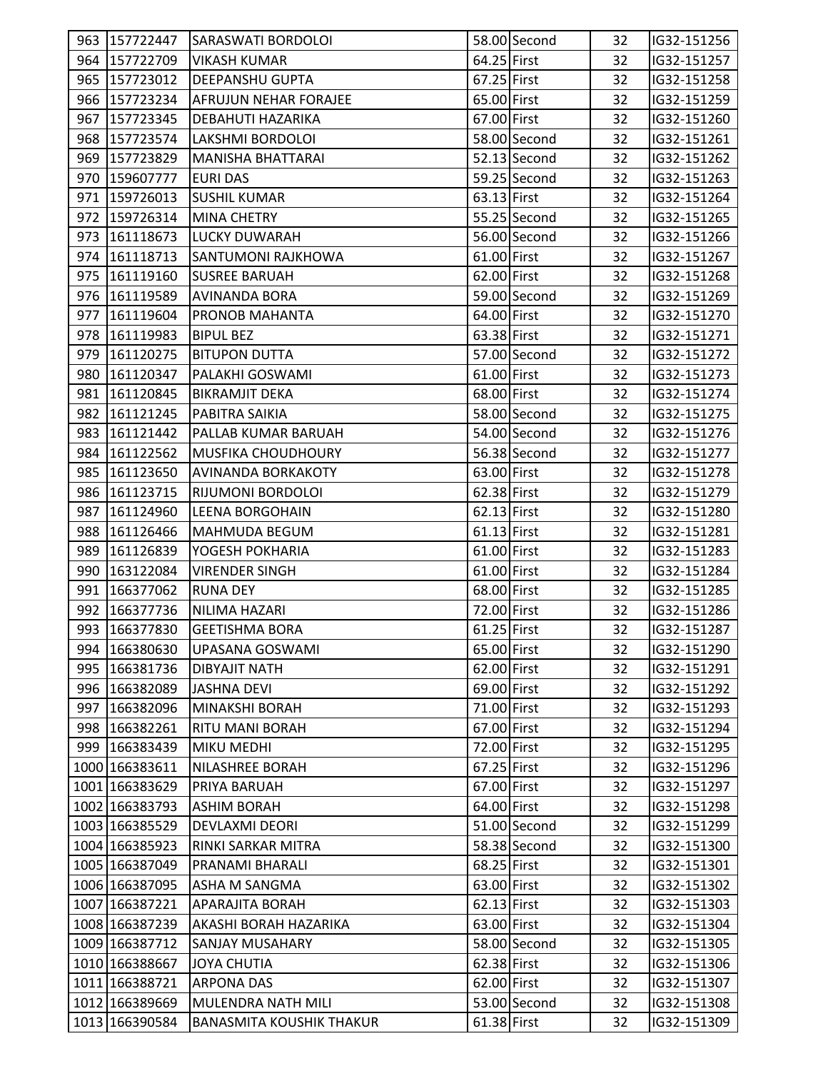|     | 963 157722447  | <b>SARASWATI BORDOLOI</b>       |             | 58.00 Second   | 32 | IG32-151256 |  |
|-----|----------------|---------------------------------|-------------|----------------|----|-------------|--|
|     | 964 157722709  | <b>VIKASH KUMAR</b>             | 64.25 First |                | 32 | IG32-151257 |  |
|     | 965 157723012  | <b>DEEPANSHU GUPTA</b>          | 67.25 First |                | 32 | IG32-151258 |  |
|     | 966 157723234  | <b>AFRUJUN NEHAR FORAJEE</b>    | 65.00 First |                | 32 | IG32-151259 |  |
|     | 967 157723345  | DEBAHUTI HAZARIKA               | 67.00 First |                | 32 | IG32-151260 |  |
|     | 968 157723574  | LAKSHMI BORDOLOI                |             | 58.00 Second   | 32 | IG32-151261 |  |
|     | 969 157723829  | <b>MANISHA BHATTARAI</b>        |             | $52.13$ Second | 32 | IG32-151262 |  |
|     | 970 159607777  | <b>EURI DAS</b>                 |             | 59.25 Second   | 32 | IG32-151263 |  |
|     | 971 159726013  | <b>SUSHIL KUMAR</b>             | 63.13 First |                | 32 | IG32-151264 |  |
|     | 972 159726314  | <b>MINA CHETRY</b>              |             | 55.25 Second   | 32 | IG32-151265 |  |
|     | 973 161118673  | <b>LUCKY DUWARAH</b>            |             | 56.00 Second   | 32 | IG32-151266 |  |
|     | 974 161118713  | <b>SANTUMONI RAJKHOWA</b>       | 61.00 First |                | 32 | IG32-151267 |  |
|     | 975 161119160  | <b>SUSREE BARUAH</b>            | 62.00 First |                | 32 | IG32-151268 |  |
|     | 976 161119589  | <b>AVINANDA BORA</b>            |             | 59.00 Second   | 32 | IG32-151269 |  |
|     | 977 161119604  | PRONOB MAHANTA                  | 64.00 First |                | 32 | IG32-151270 |  |
|     | 978 161119983  | <b>BIPUL BEZ</b>                | 63.38 First |                | 32 |             |  |
|     |                |                                 |             |                |    | IG32-151271 |  |
|     | 979 161120275  | <b>BITUPON DUTTA</b>            |             | 57.00 Second   | 32 | IG32-151272 |  |
|     | 980 161120347  | PALAKHI GOSWAMI                 | 61.00 First |                | 32 | IG32-151273 |  |
| 981 | 161120845      | <b>BIKRAMJIT DEKA</b>           | 68.00 First |                | 32 | IG32-151274 |  |
|     | 982 161121245  | PABITRA SAIKIA                  |             | 58.00 Second   | 32 | IG32-151275 |  |
|     | 983 161121442  | PALLAB KUMAR BARUAH             |             | 54.00 Second   | 32 | IG32-151276 |  |
|     | 984 161122562  | MUSFIKA CHOUDHOURY              |             | 56.38 Second   | 32 | IG32-151277 |  |
|     | 985 161123650  | <b>AVINANDA BORKAKOTY</b>       | 63.00 First |                | 32 | IG32-151278 |  |
|     | 986 161123715  | RIJUMONI BORDOLOI               | 62.38 First |                | 32 | IG32-151279 |  |
| 987 | 161124960      | <b>LEENA BORGOHAIN</b>          | 62.13 First |                | 32 | IG32-151280 |  |
| 988 | 161126466      | MAHMUDA BEGUM                   | 61.13 First |                | 32 | IG32-151281 |  |
|     | 989 161126839  | YOGESH POKHARIA                 | 61.00 First |                | 32 | IG32-151283 |  |
|     | 990 163122084  | <b>VIRENDER SINGH</b>           | 61.00 First |                | 32 | IG32-151284 |  |
|     | 991 166377062  | RUNA DEY                        | 68.00 First |                | 32 | IG32-151285 |  |
|     | 992 166377736  | NILIMA HAZARI                   | 72.00 First |                | 32 | IG32-151286 |  |
|     | 993 166377830  | <b>GEETISHMA BORA</b>           | 61.25 First |                | 32 | IG32-151287 |  |
|     | 994 166380630  | UPASANA GOSWAMI                 | 65.00 First |                | 32 | IG32-151290 |  |
|     | 995 166381736  | <b>DIBYAJIT NATH</b>            | 62.00 First |                | 32 | IG32-151291 |  |
|     | 996 166382089  | <b>JASHNA DEVI</b>              | 69.00 First |                | 32 | IG32-151292 |  |
|     | 997 166382096  | <b>MINAKSHI BORAH</b>           | 71.00 First |                | 32 | IG32-151293 |  |
|     | 998 166382261  | RITU MANI BORAH                 | 67.00 First |                | 32 | IG32-151294 |  |
|     | 999 166383439  | <b>MIKU MEDHI</b>               | 72.00 First |                | 32 | IG32-151295 |  |
|     | 1000 166383611 | NILASHREE BORAH                 | 67.25 First |                | 32 | IG32-151296 |  |
|     | 1001 166383629 | PRIYA BARUAH                    | 67.00 First |                | 32 | IG32-151297 |  |
|     | 1002 166383793 | <b>ASHIM BORAH</b>              | 64.00 First |                | 32 | IG32-151298 |  |
|     | 1003 166385529 | <b>DEVLAXMI DEORI</b>           |             | 51.00 Second   | 32 | IG32-151299 |  |
|     | 1004 166385923 | RINKI SARKAR MITRA              |             | 58.38 Second   | 32 | IG32-151300 |  |
|     | 1005 166387049 | PRANAMI BHARALI                 | 68.25 First |                | 32 | IG32-151301 |  |
|     | 1006 166387095 | ASHA M SANGMA                   | 63.00 First |                | 32 | IG32-151302 |  |
|     | 1007 166387221 | <b>APARAJITA BORAH</b>          | 62.13 First |                | 32 | IG32-151303 |  |
|     | 1008 166387239 | AKASHI BORAH HAZARIKA           | 63.00 First |                | 32 | IG32-151304 |  |
|     | 1009 166387712 | <b>SANJAY MUSAHARY</b>          |             | 58.00 Second   | 32 | IG32-151305 |  |
|     | 1010 166388667 | <b>JOYA CHUTIA</b>              | 62.38 First |                | 32 | IG32-151306 |  |
|     | 1011 166388721 | <b>ARPONA DAS</b>               | 62.00 First |                | 32 | IG32-151307 |  |
|     | 1012 166389669 | MULENDRA NATH MILI              |             | 53.00 Second   | 32 | IG32-151308 |  |
|     | 1013 166390584 | <b>BANASMITA KOUSHIK THAKUR</b> | 61.38 First |                | 32 | IG32-151309 |  |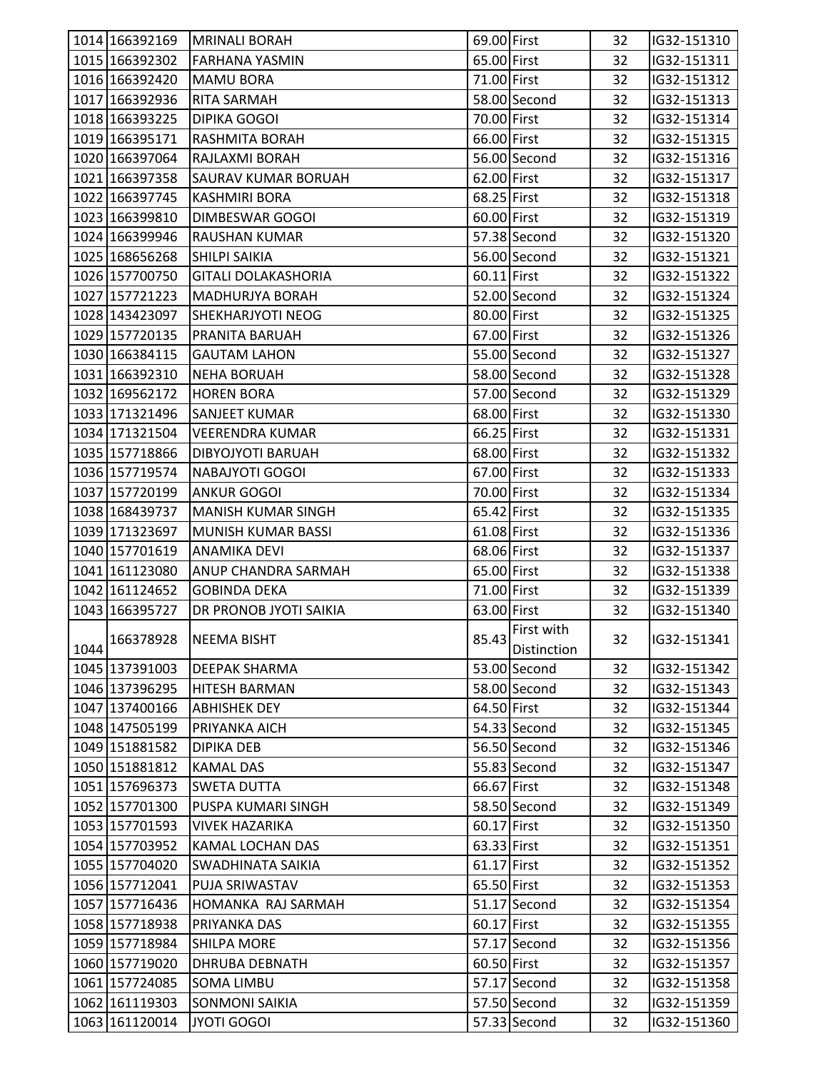|      | 1014 166392169 | <b>MRINALI BORAH</b>       | 69.00 First |                                 | 32 | IG32-151310 |  |
|------|----------------|----------------------------|-------------|---------------------------------|----|-------------|--|
|      | 1015 166392302 | lFARHANA YASMIN            | 65.00 First |                                 | 32 | IG32-151311 |  |
|      | 1016 166392420 | <b>MAMU BORA</b>           | 71.00 First |                                 | 32 | IG32-151312 |  |
|      | 1017 166392936 | <b>RITA SARMAH</b>         |             | 58.00 Second                    | 32 | IG32-151313 |  |
|      | 1018 166393225 | DIPIKA GOGOI               | 70.00 First |                                 | 32 | IG32-151314 |  |
|      | 1019 166395171 | <b>RASHMITA BORAH</b>      | 66.00 First |                                 | 32 | IG32-151315 |  |
|      | 1020 166397064 | RAJLAXMI BORAH             |             | 56.00 Second                    | 32 | IG32-151316 |  |
|      | 1021 166397358 | <b>SAURAV KUMAR BORUAH</b> | 62.00 First |                                 | 32 | IG32-151317 |  |
|      | 1022 166397745 | <b>KASHMIRI BORA</b>       | 68.25 First |                                 | 32 | IG32-151318 |  |
|      | 1023 166399810 | <b>DIMBESWAR GOGOI</b>     | 60.00 First |                                 | 32 | IG32-151319 |  |
|      | 1024 166399946 | <b>RAUSHAN KUMAR</b>       |             | 57.38 Second                    | 32 | IG32-151320 |  |
|      | 1025 168656268 | SHILPI SAIKIA              |             | 56.00 Second                    | 32 | IG32-151321 |  |
|      | 1026 157700750 | <b>GITALI DOLAKASHORIA</b> | 60.11 First |                                 | 32 | IG32-151322 |  |
|      | 1027 157721223 | <b>MADHURJYA BORAH</b>     |             | 52.00 Second                    | 32 | IG32-151324 |  |
|      | 1028 143423097 | <b>SHEKHARJYOTI NEOG</b>   | 80.00 First |                                 | 32 | IG32-151325 |  |
|      | 1029 157720135 | <b>PRANITA BARUAH</b>      | 67.00 First |                                 | 32 | IG32-151326 |  |
|      | 1030 166384115 | <b>GAUTAM LAHON</b>        |             | 55.00 Second                    | 32 | IG32-151327 |  |
|      | 1031 166392310 | <b>NEHA BORUAH</b>         |             | 58.00 Second                    | 32 | IG32-151328 |  |
|      | 1032 169562172 | <b>HOREN BORA</b>          |             | 57.00 Second                    | 32 | IG32-151329 |  |
|      | 1033 171321496 | <b>SANJEET KUMAR</b>       | 68.00 First |                                 | 32 | IG32-151330 |  |
|      | 1034 171321504 | <b>VEERENDRA KUMAR</b>     | 66.25 First |                                 | 32 | IG32-151331 |  |
|      | 1035 157718866 | DIBYOJYOTI BARUAH          | 68.00 First |                                 | 32 | IG32-151332 |  |
|      | 1036 157719574 | <b>NABAJYOTI GOGOI</b>     | 67.00 First |                                 | 32 | IG32-151333 |  |
|      | 1037 157720199 | <b>ANKUR GOGOI</b>         | 70.00 First |                                 | 32 | IG32-151334 |  |
|      | 1038 168439737 | <b>MANISH KUMAR SINGH</b>  | 65.42 First |                                 | 32 | IG32-151335 |  |
|      |                |                            | 61.08 First |                                 |    |             |  |
|      | 1039 171323697 | MUNISH KUMAR BASSI         |             |                                 | 32 | IG32-151336 |  |
|      | 1040 157701619 | <b>ANAMIKA DEVI</b>        | 68.06 First |                                 | 32 | IG32-151337 |  |
|      | 1041 161123080 | <b>ANUP CHANDRA SARMAH</b> | 65.00 First |                                 | 32 | IG32-151338 |  |
|      | 1042 161124652 | <b>GOBINDA DEKA</b>        | 71.00 First |                                 | 32 | IG32-151339 |  |
|      | 1043 166395727 | DR PRONOB JYOTI SAIKIA     | 63.00 First |                                 | 32 | IG32-151340 |  |
| 1044 | 166378928      | <b>NEEMA BISHT</b>         |             | First with<br>85.43 Distinction | 32 | IG32-151341 |  |
|      | 1045 137391003 | <b>DEEPAK SHARMA</b>       |             | 53.00 Second                    | 32 | IG32-151342 |  |
|      | 1046 137396295 | <b>HITESH BARMAN</b>       |             | 58.00 Second                    | 32 | IG32-151343 |  |
|      | 1047 137400166 | <b>ABHISHEK DEY</b>        | 64.50 First |                                 | 32 | IG32-151344 |  |
|      | 1048 147505199 | PRIYANKA AICH              |             | 54.33 Second                    | 32 | IG32-151345 |  |
|      | 1049 151881582 | <b>DIPIKA DEB</b>          |             | 56.50 Second                    | 32 | IG32-151346 |  |
|      | 1050 151881812 | <b>KAMAL DAS</b>           |             | 55.83 Second                    | 32 | IG32-151347 |  |
|      | 1051 157696373 | <b>SWETA DUTTA</b>         | 66.67 First |                                 | 32 | IG32-151348 |  |
|      | 1052 157701300 | PUSPA KUMARI SINGH         |             | 58.50 Second                    | 32 | IG32-151349 |  |
|      | 1053 157701593 | <b>VIVEK HAZARIKA</b>      | 60.17 First |                                 | 32 | IG32-151350 |  |
|      | 1054 157703952 | KAMAL LOCHAN DAS           | 63.33 First |                                 | 32 | IG32-151351 |  |
|      | 1055 157704020 | SWADHINATA SAIKIA          | 61.17 First |                                 | 32 | IG32-151352 |  |
|      | 1056 157712041 | PUJA SRIWASTAV             | 65.50 First |                                 | 32 | IG32-151353 |  |
|      | 1057 157716436 | HOMANKA RAJ SARMAH         |             | 51.17 Second                    | 32 | IG32-151354 |  |
|      | 1058 157718938 | PRIYANKA DAS               | 60.17 First |                                 | 32 | IG32-151355 |  |
|      | 1059 157718984 | <b>SHILPA MORE</b>         |             | 57.17 Second                    | 32 | IG32-151356 |  |
|      | 1060 157719020 | DHRUBA DEBNATH             | 60.50 First |                                 | 32 | IG32-151357 |  |
|      | 1061 157724085 | <b>SOMA LIMBU</b>          |             | 57.17 Second                    | 32 | IG32-151358 |  |
|      | 1062 161119303 | <b>SONMONI SAIKIA</b>      |             | 57.50 Second                    | 32 | IG32-151359 |  |
|      | 1063 161120014 | JYOTI GOGOI                |             | 57.33 Second                    | 32 | IG32-151360 |  |
|      |                |                            |             |                                 |    |             |  |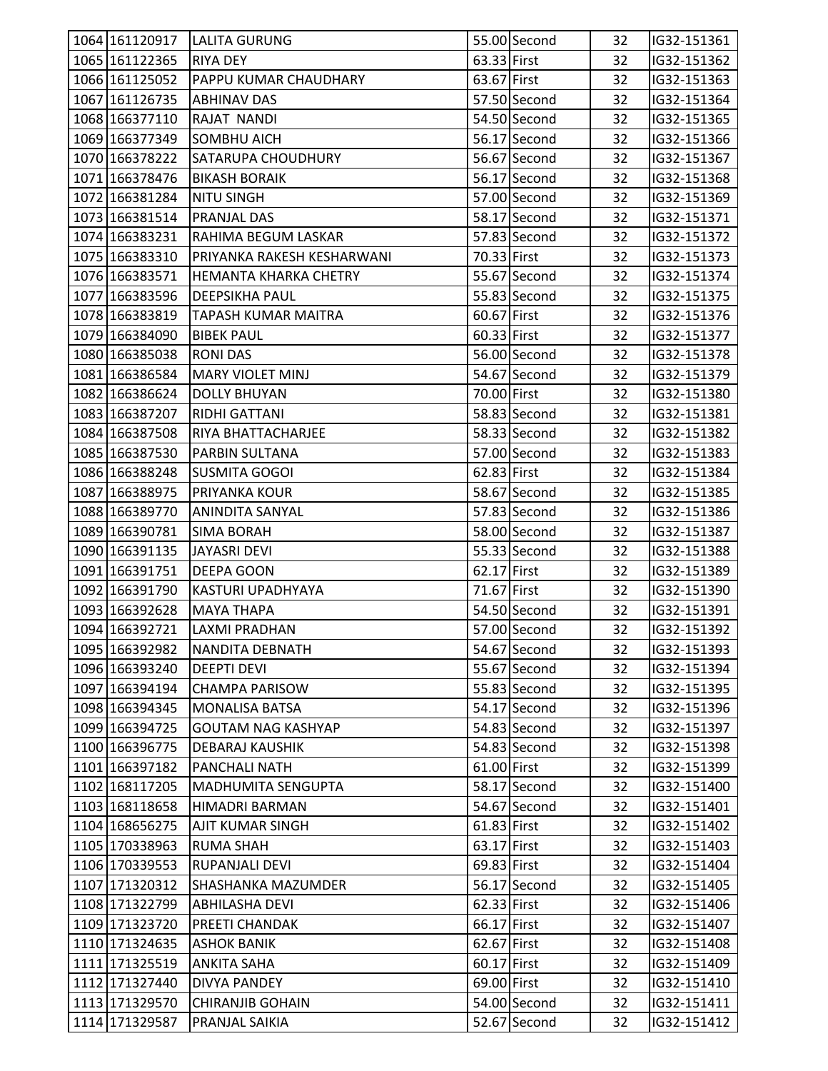| 1064 161120917 | <b>LALITA GURUNG</b>       |             | 55.00 Second | 32 | IG32-151361 |  |
|----------------|----------------------------|-------------|--------------|----|-------------|--|
| 1065 161122365 | <b>RIYA DEY</b>            | 63.33 First |              | 32 | IG32-151362 |  |
| 1066 161125052 | PAPPU KUMAR CHAUDHARY      | 63.67 First |              | 32 | IG32-151363 |  |
| 1067 161126735 | <b>ABHINAV DAS</b>         |             | 57.50 Second | 32 | IG32-151364 |  |
| 1068 166377110 | RAJAT NANDI                |             | 54.50 Second | 32 | IG32-151365 |  |
| 1069 166377349 | <b>SOMBHU AICH</b>         |             | 56.17 Second | 32 | IG32-151366 |  |
| 1070 166378222 | <b>SATARUPA CHOUDHURY</b>  |             | 56.67 Second | 32 | IG32-151367 |  |
| 1071 166378476 | <b>BIKASH BORAIK</b>       |             | 56.17 Second | 32 | IG32-151368 |  |
| 1072 166381284 | <b>NITU SINGH</b>          |             | 57.00 Second | 32 | IG32-151369 |  |
| 1073 166381514 | <b>PRANJAL DAS</b>         |             | 58.17 Second | 32 | IG32-151371 |  |
| 1074 166383231 | RAHIMA BEGUM LASKAR        |             | 57.83 Second | 32 | IG32-151372 |  |
| 1075 166383310 | PRIYANKA RAKESH KESHARWANI | 70.33 First |              | 32 | IG32-151373 |  |
| 1076 166383571 | HEMANTA KHARKA CHETRY      |             | 55.67 Second | 32 | IG32-151374 |  |
| 1077 166383596 | <b>DEEPSIKHA PAUL</b>      |             | 55.83 Second | 32 | IG32-151375 |  |
| 1078 166383819 | <b>TAPASH KUMAR MAITRA</b> | 60.67 First |              | 32 | IG32-151376 |  |
| 1079 166384090 | <b>BIBEK PAUL</b>          | 60.33 First |              | 32 | IG32-151377 |  |
| 1080 166385038 | RONI DAS                   |             | 56.00 Second | 32 | IG32-151378 |  |
| 1081 166386584 | <b>MARY VIOLET MINJ</b>    |             | 54.67 Second | 32 | IG32-151379 |  |
| 1082 166386624 | <b>DOLLY BHUYAN</b>        | 70.00 First |              | 32 | IG32-151380 |  |
| 1083 166387207 | <b>RIDHI GATTANI</b>       |             | 58.83 Second | 32 | IG32-151381 |  |
| 1084 166387508 | RIYA BHATTACHARJEE         |             | 58.33 Second | 32 | IG32-151382 |  |
| 1085 166387530 | PARBIN SULTANA             |             | 57.00 Second | 32 | IG32-151383 |  |
| 1086 166388248 | <b>SUSMITA GOGOI</b>       | 62.83 First |              | 32 | IG32-151384 |  |
| 1087 166388975 | <b>PRIYANKA KOUR</b>       |             | 58.67 Second | 32 | IG32-151385 |  |
| 1088 166389770 | <b>ANINDITA SANYAL</b>     |             | 57.83 Second | 32 | IG32-151386 |  |
| 1089 166390781 | <b>SIMA BORAH</b>          |             | 58.00 Second | 32 | IG32-151387 |  |
| 1090 166391135 | <b>JAYASRI DEVI</b>        |             | 55.33 Second | 32 | IG32-151388 |  |
| 1091 166391751 | DEEPA GOON                 | 62.17 First |              | 32 | IG32-151389 |  |
| 1092 166391790 | <b>KASTURI UPADHYAYA</b>   | 71.67 First |              | 32 | IG32-151390 |  |
| 1093 166392628 | <b>MAYA THAPA</b>          |             | 54.50 Second | 32 | IG32-151391 |  |
| 1094 166392721 | <b>LAXMI PRADHAN</b>       |             | 57.00 Second | 32 | IG32-151392 |  |
| 1095 166392982 | NANDITA DEBNATH            |             | 54.67 Second | 32 | IG32-151393 |  |
| 1096 166393240 | <b>DEEPTI DEVI</b>         |             | 55.67 Second | 32 | IG32-151394 |  |
| 1097 166394194 | <b>CHAMPA PARISOW</b>      |             | 55.83 Second | 32 | IG32-151395 |  |
| 1098 166394345 | <b>MONALISA BATSA</b>      |             | 54.17 Second | 32 | IG32-151396 |  |
| 1099 166394725 | <b>GOUTAM NAG KASHYAP</b>  |             | 54.83 Second | 32 | IG32-151397 |  |
| 1100 166396775 | DEBARAJ KAUSHIK            |             | 54.83 Second | 32 | IG32-151398 |  |
| 1101 166397182 | PANCHALI NATH              | 61.00 First |              | 32 | IG32-151399 |  |
| 1102 168117205 | MADHUMITA SENGUPTA         |             | 58.17 Second | 32 | IG32-151400 |  |
| 1103 168118658 | <b>HIMADRI BARMAN</b>      |             | 54.67 Second | 32 | IG32-151401 |  |
| 1104 168656275 | AJIT KUMAR SINGH           | 61.83 First |              | 32 | IG32-151402 |  |
| 1105 170338963 | <b>RUMA SHAH</b>           | 63.17 First |              | 32 | IG32-151403 |  |
| 1106 170339553 | RUPANJALI DEVI             | 69.83 First |              | 32 | IG32-151404 |  |
| 1107 171320312 | SHASHANKA MAZUMDER         |             | 56.17 Second | 32 | IG32-151405 |  |
| 1108 171322799 | <b>ABHILASHA DEVI</b>      | 62.33 First |              | 32 | IG32-151406 |  |
| 1109 171323720 | PREETI CHANDAK             | 66.17 First |              | 32 | IG32-151407 |  |
| 1110 171324635 | <b>ASHOK BANIK</b>         | 62.67 First |              | 32 | IG32-151408 |  |
| 1111 171325519 | ANKITA SAHA                | 60.17 First |              | 32 | IG32-151409 |  |
| 1112 171327440 | <b>DIVYA PANDEY</b>        | 69.00 First |              | 32 | IG32-151410 |  |
| 1113 171329570 | <b>CHIRANJIB GOHAIN</b>    |             | 54.00 Second | 32 | IG32-151411 |  |
| 1114 171329587 | PRANJAL SAIKIA             |             | 52.67 Second | 32 | IG32-151412 |  |
|                |                            |             |              |    |             |  |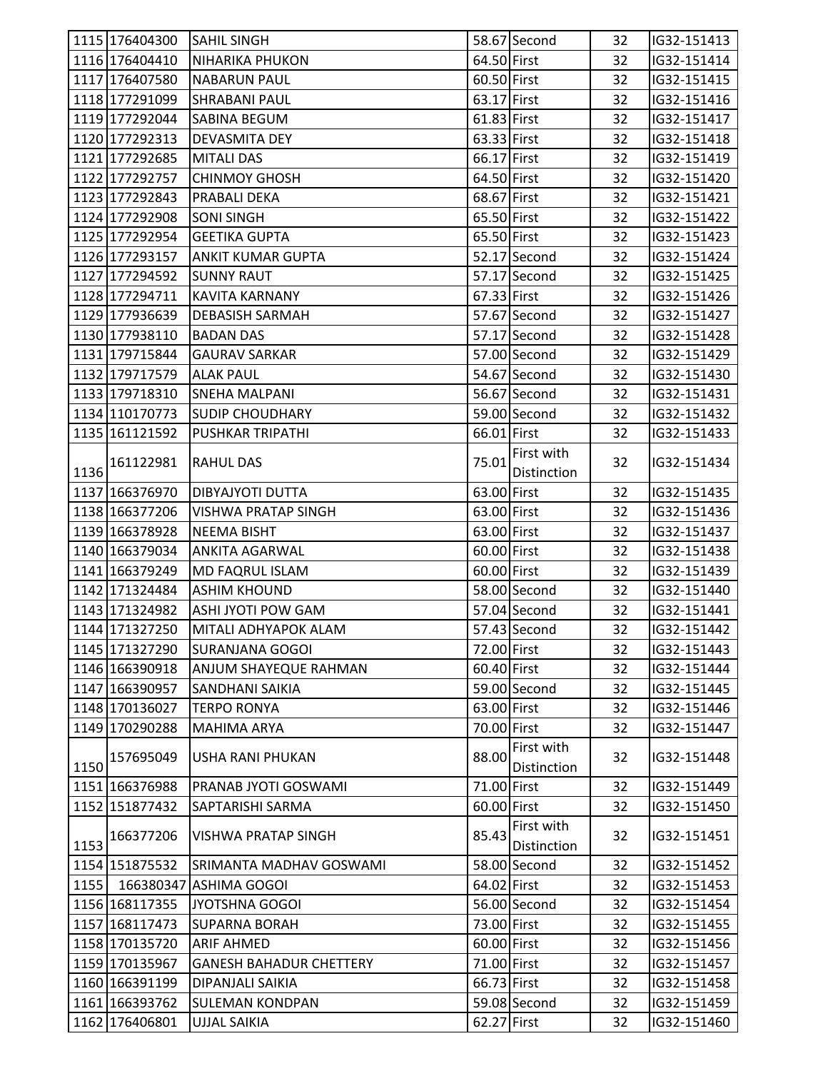|      | 1115 176404300 | <b>SAHIL SINGH</b>             |             | 58.67 Second | 32 | IG32-151413 |
|------|----------------|--------------------------------|-------------|--------------|----|-------------|
|      | 1116 176404410 | <b>NIHARIKA PHUKON</b>         | 64.50 First |              | 32 | IG32-151414 |
|      | 1117 176407580 | <b>NABARUN PAUL</b>            | 60.50 First |              | 32 | IG32-151415 |
|      | 1118 177291099 | <b>SHRABANI PAUL</b>           | 63.17 First |              | 32 | IG32-151416 |
|      | 1119 177292044 | SABINA BEGUM                   | 61.83 First |              | 32 | IG32-151417 |
|      | 1120 177292313 | DEVASMITA DEY                  | 63.33 First |              | 32 | IG32-151418 |
|      | 1121 177292685 | <b>MITALI DAS</b>              | 66.17 First |              | 32 | IG32-151419 |
|      | 1122 177292757 | <b>CHINMOY GHOSH</b>           | 64.50 First |              | 32 | IG32-151420 |
|      | 1123 177292843 | <b>PRABALI DEKA</b>            | 68.67 First |              | 32 | IG32-151421 |
|      | 1124 177292908 | <b>SONI SINGH</b>              | 65.50 First |              | 32 | IG32-151422 |
|      | 1125 177292954 | <b>GEETIKA GUPTA</b>           | 65.50 First |              | 32 | IG32-151423 |
|      | 1126 177293157 | <b>ANKIT KUMAR GUPTA</b>       |             | 52.17 Second | 32 | IG32-151424 |
|      | 1127 177294592 | <b>SUNNY RAUT</b>              |             | 57.17 Second | 32 | IG32-151425 |
|      | 1128 177294711 | <b>KAVITA KARNANY</b>          | 67.33 First |              | 32 | IG32-151426 |
|      | 1129 177936639 | <b>DEBASISH SARMAH</b>         |             | 57.67 Second | 32 | IG32-151427 |
|      | 1130 177938110 | <b>BADAN DAS</b>               |             | 57.17 Second | 32 | IG32-151428 |
|      | 1131 179715844 | <b>GAURAV SARKAR</b>           |             | 57.00 Second | 32 | IG32-151429 |
|      | 1132 179717579 | <b>ALAK PAUL</b>               |             | 54.67 Second | 32 | IG32-151430 |
|      | 1133 179718310 | <b>SNEHA MALPANI</b>           |             | 56.67 Second | 32 | IG32-151431 |
|      | 1134 110170773 | <b>SUDIP CHOUDHARY</b>         |             | 59.00 Second | 32 | IG32-151432 |
|      | 1135 161121592 | <b>PUSHKAR TRIPATHI</b>        | 66.01 First |              | 32 | IG32-151433 |
|      |                |                                |             | First with   |    |             |
| 1136 | 161122981      | <b>RAHUL DAS</b>               | 75.01       | Distinction  | 32 | IG32-151434 |
|      | 1137 166376970 | DIBYAJYOTI DUTTA               | 63.00 First |              | 32 | IG32-151435 |
|      | 1138 166377206 | <b>VISHWA PRATAP SINGH</b>     | 63.00 First |              | 32 | IG32-151436 |
|      | 1139 166378928 |                                | 63.00 First |              | 32 |             |
|      | 1140 166379034 | <b>NEEMA BISHT</b>             |             |              |    | IG32-151437 |
|      |                | <b>ANKITA AGARWAL</b>          | 60.00 First |              | 32 | IG32-151438 |
|      | 1141 166379249 | <b>MD FAQRUL ISLAM</b>         | 60.00 First |              | 32 | IG32-151439 |
|      | 1142 171324484 | <b>ASHIM KHOUND</b>            |             | 58.00 Second | 32 | IG32-151440 |
|      | 1143 171324982 | <b>ASHI JYOTI POW GAM</b>      |             | 57.04 Second | 32 | IG32-151441 |
|      | 1144 171327250 | MITALI ADHYAPOK ALAM           |             | 57.43 Second | 32 | IG32-151442 |
|      | 1145 171327290 | <b>SURANJANA GOGOI</b>         | 72.00 First |              | 32 | IG32-151443 |
|      | 1146 166390918 | <b>ANJUM SHAYEQUE RAHMAN</b>   | 60.40 First |              | 32 | IG32-151444 |
|      | 1147 166390957 | <b>SANDHANI SAIKIA</b>         |             | 59.00 Second | 32 | IG32-151445 |
|      | 1148 170136027 | <b>TERPO RONYA</b>             | 63.00 First |              | 32 | IG32-151446 |
|      | 1149 170290288 | MAHIMA ARYA                    | 70.00 First |              | 32 | IG32-151447 |
|      | 157695049      | <b>USHA RANI PHUKAN</b>        | 88.00       | First with   | 32 | IG32-151448 |
| 1150 |                |                                |             | Distinction  |    |             |
|      | 1151 166376988 | PRANAB JYOTI GOSWAMI           | 71.00 First |              | 32 | IG32-151449 |
|      | 1152 151877432 | SAPTARISHI SARMA               | 60.00 First |              | 32 | IG32-151450 |
|      | 166377206      | <b>VISHWA PRATAP SINGH</b>     | 85.43       | First with   | 32 | IG32-151451 |
| 1153 |                |                                |             | Distinction  |    |             |
|      | 1154 151875532 | SRIMANTA MADHAV GOSWAMI        |             | 58.00 Second | 32 | IG32-151452 |
|      | 1155 166380347 | <b>ASHIMA GOGOI</b>            | 64.02 First |              | 32 | IG32-151453 |
|      | 1156 168117355 | JYOTSHNA GOGOI                 |             | 56.00 Second | 32 | IG32-151454 |
|      | 1157 168117473 | <b>SUPARNA BORAH</b>           | 73.00 First |              | 32 | IG32-151455 |
|      | 1158 170135720 | <b>ARIF AHMED</b>              | 60.00 First |              | 32 | IG32-151456 |
|      | 1159 170135967 | <b>GANESH BAHADUR CHETTERY</b> | 71.00 First |              | 32 | IG32-151457 |
|      | 1160 166391199 | DIPANJALI SAIKIA               | 66.73 First |              | 32 | IG32-151458 |
|      | 1161 166393762 | <b>SULEMAN KONDPAN</b>         |             | 59.08 Second | 32 | IG32-151459 |
|      | 1162 176406801 | <b>UJJAL SAIKIA</b>            | 62.27 First |              | 32 | IG32-151460 |
|      |                |                                |             |              |    |             |